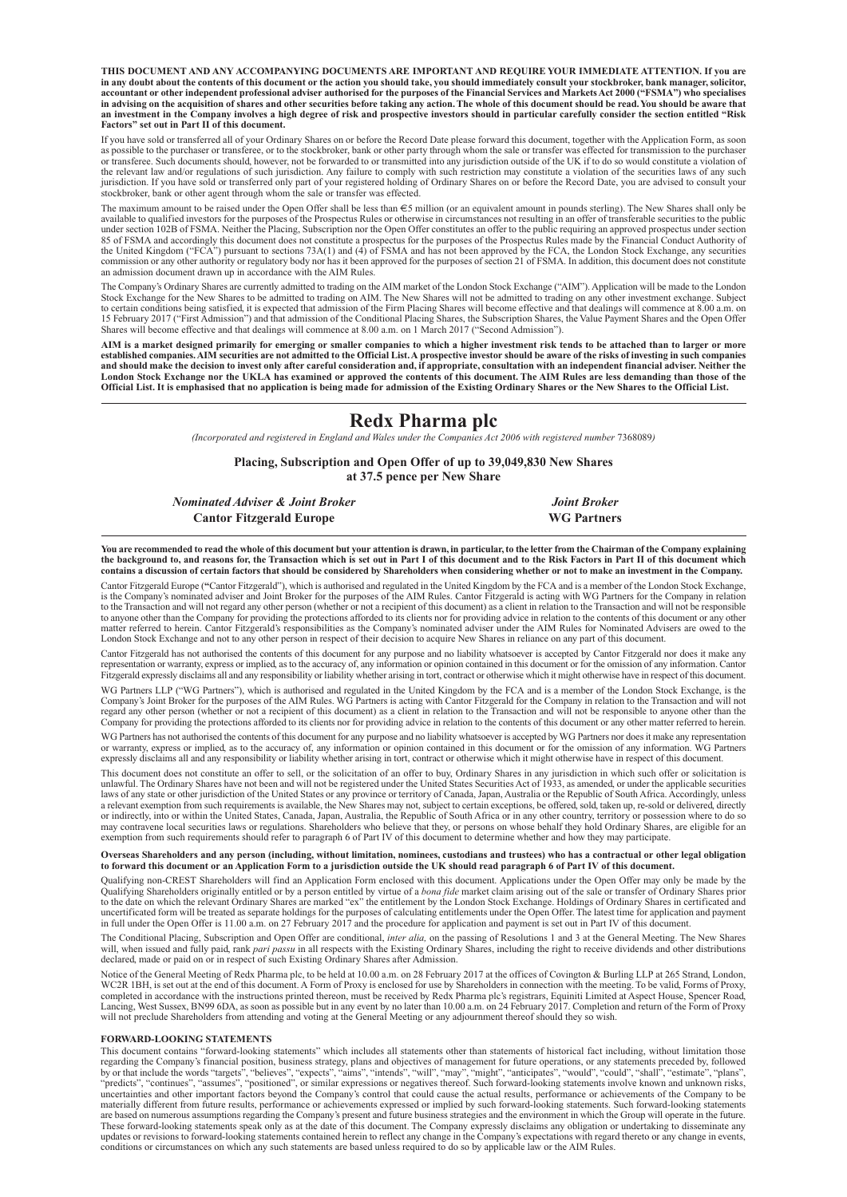**THIS DOCUMENT AND ANY ACCOMPANYING DOCUMENTS ARE IMPORTANT AND REQUIRE YOUR IMMEDIATE ATTENTION. If you are** in any doubt about the contents of this document or the action you should take, you should immediately consult your stockbroker, bank manager, solicitor,<br>accountant or other independent professional adviser authorised for in advising on the acquisition of shares and other securities before taking any action. The whole of this document should be read. You should be aware that an investment in the Company involves a high degree of risk and prospective investors should in particular carefully consider the section entitled "Risk **Factors" set out in Part II of this document.**

If you have sold or transferred all of your Ordinary Shares on or before the Record Date please forward this document, together with the Application Form, as soon as possible to the purchaser or transferee, or to the stockbroker, bank or other party through whom the sale or transfer was effected for transmission to the purchaser<br>or transferee. Such documents should, however, not be jurisdiction. If you have sold or transferred only part of your registered holding of Ordinary Shares on or before the Record Date, you are advised to consult your stockbroker, bank or other agent through whom the sale or transfer was effected.

The maximum amount to be raised under the Open Offer shall be less than  $\epsilon$ 5 million (or an equivalent amount in pounds sterling). The New Shares shall only be available to qualified investors for the purposes of the Prospectus Rules or otherwise in circumstances not resulting in an offer of transferable securities to the public<br>under section 102B of FSMA. Neither the Placing, Su 85 of FSMA and accordingly this document does not constitute a prospectus for the purposes of the Prospectus Rules made by the Financial Conduct Authority of the United Kingdom ("FCA") pursuant to sections 73A(1) and (4) of FSMA and has not been approved by the FCA, the London Stock Exchange, any securities commission or any other authority or regulatory body nor has it been approved for the purposes of section 21 of FSMA. In addition, this document does not constitute an admission document drawn up in accordance with the AIM Rules.

The Company's Ordinary Shares are currently admitted to trading on the AIM market of the London Stock Exchange ("AIM"). Application will be made to the London Stock Exchange for the New Shares to be admitted to trading on AIM. The New Shares will not be admitted to trading on any other investment exchange. Subject<br>to certain conditions being satisfied, it is expected that admiss 15 February 2017 ("First Admission") and that admission of the Conditional Placing Shares, the Subscription Shares, the Value Payment Shares and the Open Offer Shares will become effective and that dealings will commence at 8.00 a.m. on 1 March 2017 ("Second Admission").

AIM is a market designed primarily for emerging or smaller companies to which a higher investment risk tends to be attached than to larger or more established companies. AIM securities are not admitted to the Official List. A prospective investor should be aware of the risks of investing in such companies and should make the decision to invest only after careful consideration and, if appropriate, consultation with an independent financial adviser. Neither the<br>London Stock Exchange nor the UKLA has examined or approved the c

#### **Redx Pharma plc**

*(Incorporated and registered in England and Wales under the Companies Act 2006 with registered number* 7368089*)*

**Placing, Subscription and Open Offer of up to 39,049,830 New Shares at 37.5 pence per New Share**

*Nominated Adviser & Joint Broker Joint Broker* **Cantor Fitzgerald Europe WG Partners**

You are recommended to read the whole of this document but your attention is drawn, in particular, to the letter from the Chairman of the Company explaining the background to, and reasons for, the Transaction which is set out in Part I of this document and to the Risk Factors in Part II of this document which<br>contains a discussion of certain factors that should be considered b

Cantor Fitzgerald Europe (**"**Cantor Fitzgerald"), which is authorised and regulated in the United Kingdom by the FCA and is a member of the London Stock Exchange, is the Company's nominated adviser and Joint Broker for the purposes of the AIM Rules. Cantor Fitzgerald is acting with WG Partners for the Company in relation<br>to the Transaction and will not regard any other person (wheth to anyone other than the Company for providing the protections afforded to its clients nor for providing advice in relation to the contents of this document or any other matter referred to herein. Cantor Fitzgerald's responsibilities as the Company's nominated adviser under the AIM Rules for Nominated Advisers are owed to the<br>London Stock Exchange and not to any other person in respect of

Cantor Fitzgerald has not authorised the contents of this document for any purpose and no liability whatsoever is accepted by Cantor Fitzgerald nor does it make any representation or warranty, express or implied, as to the accuracy of, any information or opinion contained in this document or for the omission of any information. Cantor<br>Fitzgerald expressly disclaims all and any respons

WG Partners LLP ("WG Partners"), which is authorised and regulated in the United Kingdom by the FCA and is a member of the London Stock Exchange, is the Company's Joint Broker for the purposes of the AIM Rules. WG Partners is acting with Cantor Fitzgerald for the Company in relation to the Transaction and will not regard any other person (whether or not a recipient of this document) as a client in relation to the Transaction and will not be responsible to anyone other than the Company for providing the protections afforded to its clients nor for providing advice in relation to the contents of this document or any other matter referred to herein.

WG Partners has not authorised the contents of this document for any purpose and no liability whatsoever is accepted by WG Partners nor doesit make any representation or warranty, express or implied, as to the accuracy of, any information or opinion contained in this document or for the omission of any information. WG Partners<br>expressly disclaims all and any responsibility or liability

This document does not constitute an offer to sell, or the solicitation of an offer to buy, Ordinary Shares in any jurisdiction in which such offer or solicitation is unlawful. The Ordinary Shares have not been and will not be registered under the United States Securities Act of 1933, as amended, or under the applicable securities<br>laws of any state or other jurisdiction of the United St or indirectly, into or within the United States, Canada, Japan, Australia, the Republic of South Africa or in any other country, territory or possession where to do so<br>may contravene local securities laws or regulations. S exemption from such requirements should refer to paragraph 6 of Part IV of this document to determine whether and how they may participate.

# Overseas Shareholders and any person (including, without limitation, nominees, custodians and trustees) who has a contractual or other legal obligation<br>to forward this document or an Application Form to a jurisdiction outs

Qualifying non-CREST Shareholders will find an Application Form enclosed with this document. Applications under the Open Offer may only be made by the Qualifying Shareholders originally entitled or by a person entitled by uncertificated form will be treated as separate holdings for the purposes of calculating entitlements under the Open Offer. The latest time for application and payment<br>in full under the Open Offer is 11.00 a.m. on 27 Febru

The Conditional Placing, Subscription and Open Offer are conditional, *inter alia,* on the passing of Resolutions 1 and 3 at the General Meeting. The New Shares will, when issued and fully paid, rank pari passu in all respects with the Existing Ordinary Shares, including the right to receive dividends and other distributions declared, made or paid on or in respect of such Existing

Notice of the General Meeting of Redx Pharma plc, to be held at 10.00 a.m. on 28 February 2017 at the offices of Covington & Burling LLP at 265 Strand, London, WC2R 1BH, is set out at the end of this document. A Form of Proxy is enclosed for use by Shareholders in connection with the meeting. To be valid, Forms of Proxy, completed in accordance with the meeting of broxy, complete

#### **FORWARD-LOOKING STATEMENTS**

This document contains "forward-looking statements" which includes all statements other than statements of historical fact including, without limitation those<br>regarding the Company's financial position, business strategy, by or that include the words "targets", "believes", "expects", "aims", "intends", "will", "may", "might", "anticipates", "would", "could", "shall", "estimate", "plans", "plans", "expects", "expects", "arms", "intends", "mt materially different from future results, performance or achievements expressed or implied by such forward-looking statements. Such forward-looking statements are based on numerous assumptions regarding the Company's present and future business strategies and the environment in which the Group will operate in the future.<br>These forward-looking statements speak only as at the date updates or revisions to forward-looking statements contained herein to reflect any change in the Company's expectations with regard thereto or any change in events,<br>conditions or circumstances on which any such statements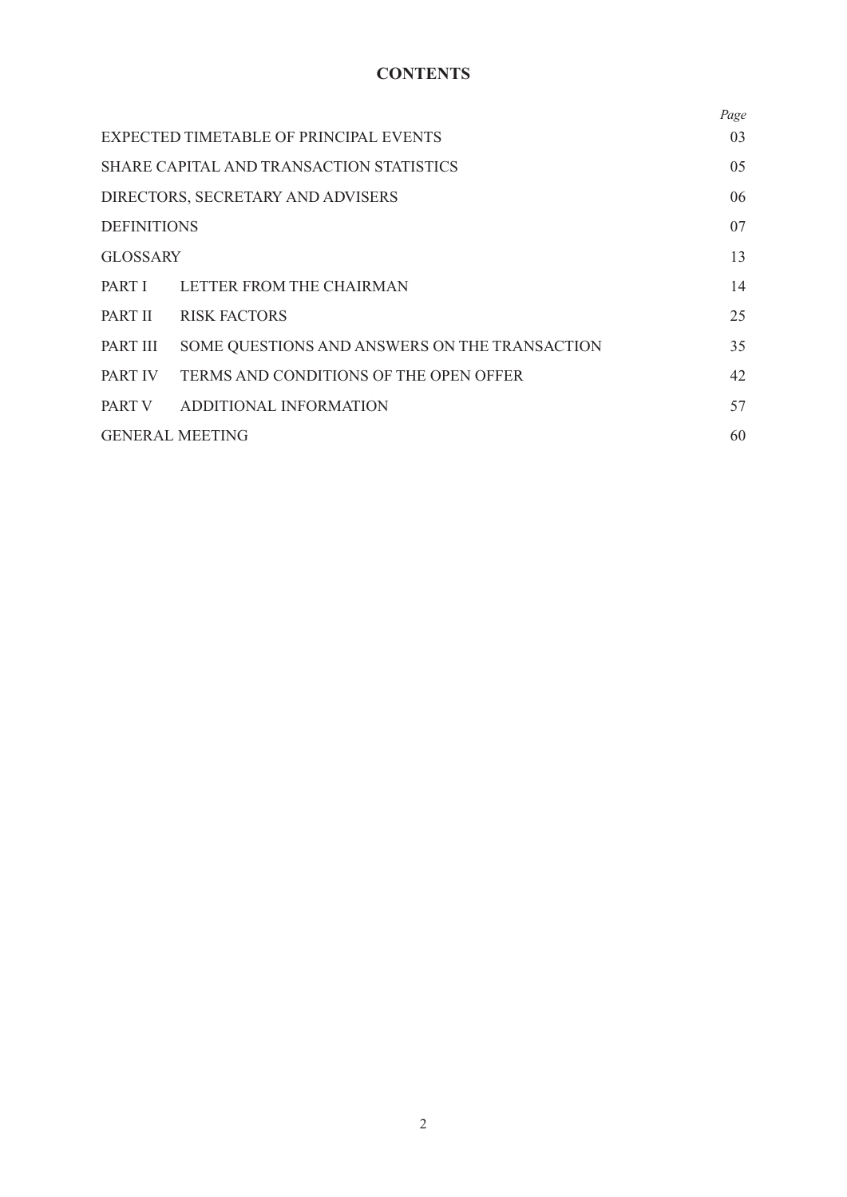# **CONTENTS**

|                                   |                                               | Page |
|-----------------------------------|-----------------------------------------------|------|
|                                   | EXPECTED TIMETABLE OF PRINCIPAL EVENTS        | 03   |
|                                   | SHARE CAPITAL AND TRANSACTION STATISTICS      | 05   |
| DIRECTORS, SECRETARY AND ADVISERS |                                               | 06   |
| <b>DEFINITIONS</b>                |                                               | 07   |
| <b>GLOSSARY</b>                   |                                               | 13   |
|                                   | PART I LETTER FROM THE CHAIRMAN               | 14   |
| PART II                           | <b>RISK FACTORS</b>                           | 25   |
| PART III                          | SOME QUESTIONS AND ANSWERS ON THE TRANSACTION | 35   |
| PART IV                           | TERMS AND CONDITIONS OF THE OPEN OFFER        | 42   |
|                                   | PART V ADDITIONAL INFORMATION                 | 57   |
|                                   | <b>GENERAL MEETING</b>                        | 60   |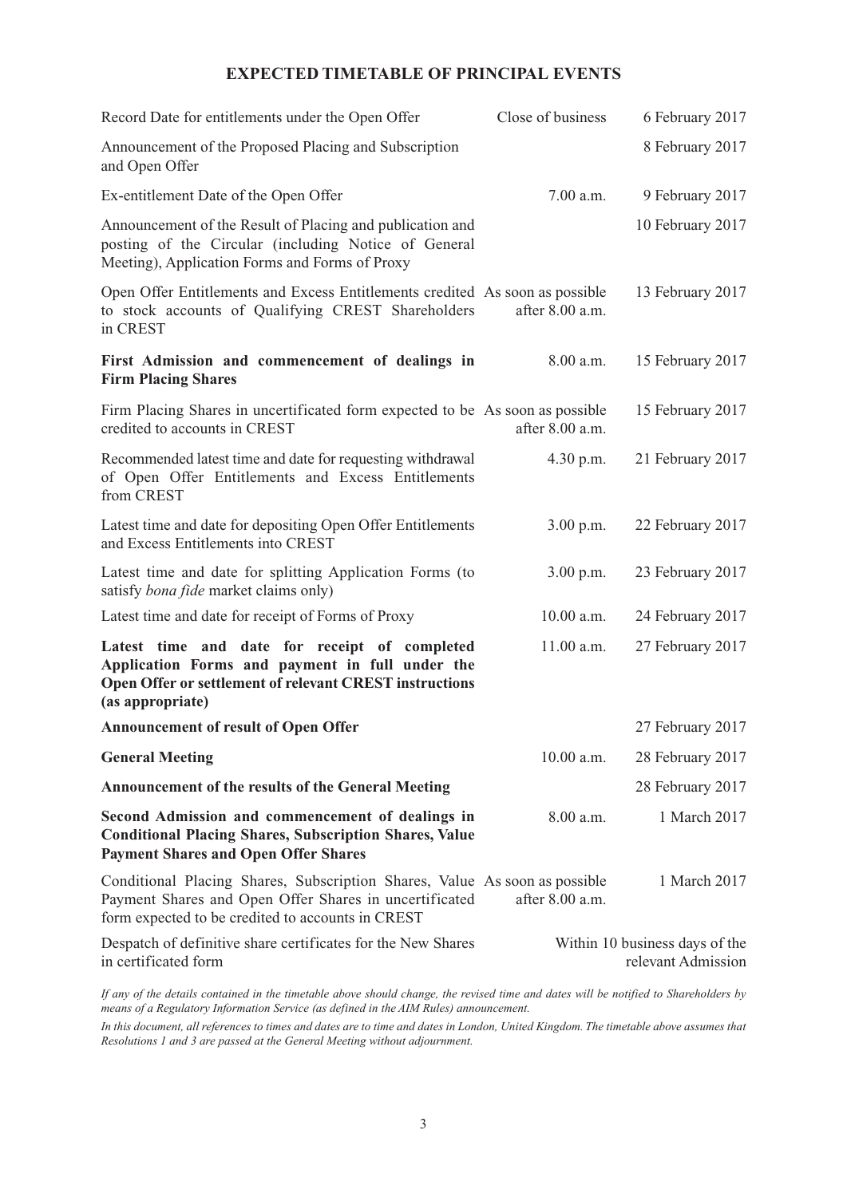## **EXPECTED TIMETABLE OF PRINCIPAL EVENTS**

| Record Date for entitlements under the Open Offer                                                                                                                                         | Close of business | 6 February 2017                                      |
|-------------------------------------------------------------------------------------------------------------------------------------------------------------------------------------------|-------------------|------------------------------------------------------|
| Announcement of the Proposed Placing and Subscription<br>and Open Offer                                                                                                                   |                   | 8 February 2017                                      |
| Ex-entitlement Date of the Open Offer                                                                                                                                                     | 7.00 a.m.         | 9 February 2017                                      |
| Announcement of the Result of Placing and publication and<br>posting of the Circular (including Notice of General<br>Meeting), Application Forms and Forms of Proxy                       |                   | 10 February 2017                                     |
| Open Offer Entitlements and Excess Entitlements credited As soon as possible<br>to stock accounts of Qualifying CREST Shareholders<br>in CREST                                            | after 8.00 a.m.   | 13 February 2017                                     |
| First Admission and commencement of dealings in<br><b>Firm Placing Shares</b>                                                                                                             | 8.00 a.m.         | 15 February 2017                                     |
| Firm Placing Shares in uncertificated form expected to be As soon as possible<br>credited to accounts in CREST                                                                            | after 8.00 a.m.   | 15 February 2017                                     |
| Recommended latest time and date for requesting withdrawal<br>of Open Offer Entitlements and Excess Entitlements<br>from CREST                                                            | 4.30 p.m.         | 21 February 2017                                     |
| Latest time and date for depositing Open Offer Entitlements<br>and Excess Entitlements into CREST                                                                                         | 3.00 p.m.         | 22 February 2017                                     |
| Latest time and date for splitting Application Forms (to<br>satisfy bona fide market claims only)                                                                                         | 3.00 p.m.         | 23 February 2017                                     |
| Latest time and date for receipt of Forms of Proxy                                                                                                                                        | 10.00 a.m.        | 24 February 2017                                     |
| Latest time and date for receipt of completed<br>Application Forms and payment in full under the<br>Open Offer or settlement of relevant CREST instructions<br>(as appropriate)           | 11.00 a.m.        | 27 February 2017                                     |
| <b>Announcement of result of Open Offer</b>                                                                                                                                               |                   | 27 February 2017                                     |
| <b>General Meeting</b>                                                                                                                                                                    | 10.00 a.m.        | 28 February 2017                                     |
| <b>Announcement of the results of the General Meeting</b>                                                                                                                                 |                   | 28 February 2017                                     |
| Second Admission and commencement of dealings in<br><b>Conditional Placing Shares, Subscription Shares, Value</b><br><b>Payment Shares and Open Offer Shares</b>                          | 8.00 a.m.         | 1 March 2017                                         |
| Conditional Placing Shares, Subscription Shares, Value As soon as possible<br>Payment Shares and Open Offer Shares in uncertificated<br>form expected to be credited to accounts in CREST | after 8.00 a.m.   | 1 March 2017                                         |
| Despatch of definitive share certificates for the New Shares<br>in certificated form                                                                                                      |                   | Within 10 business days of the<br>relevant Admission |
|                                                                                                                                                                                           |                   |                                                      |

If any of the details contained in the timetable above should change, the revised time and dates will be notified to Shareholders by *means of a Regulatory Information Service (as defined in the AIM Rules) announcement.*

In this document, all references to times and dates are to time and dates in London, United Kingdom. The timetable above assumes that *Resolutions 1 and 3 are passed at the General Meeting without adjournment.*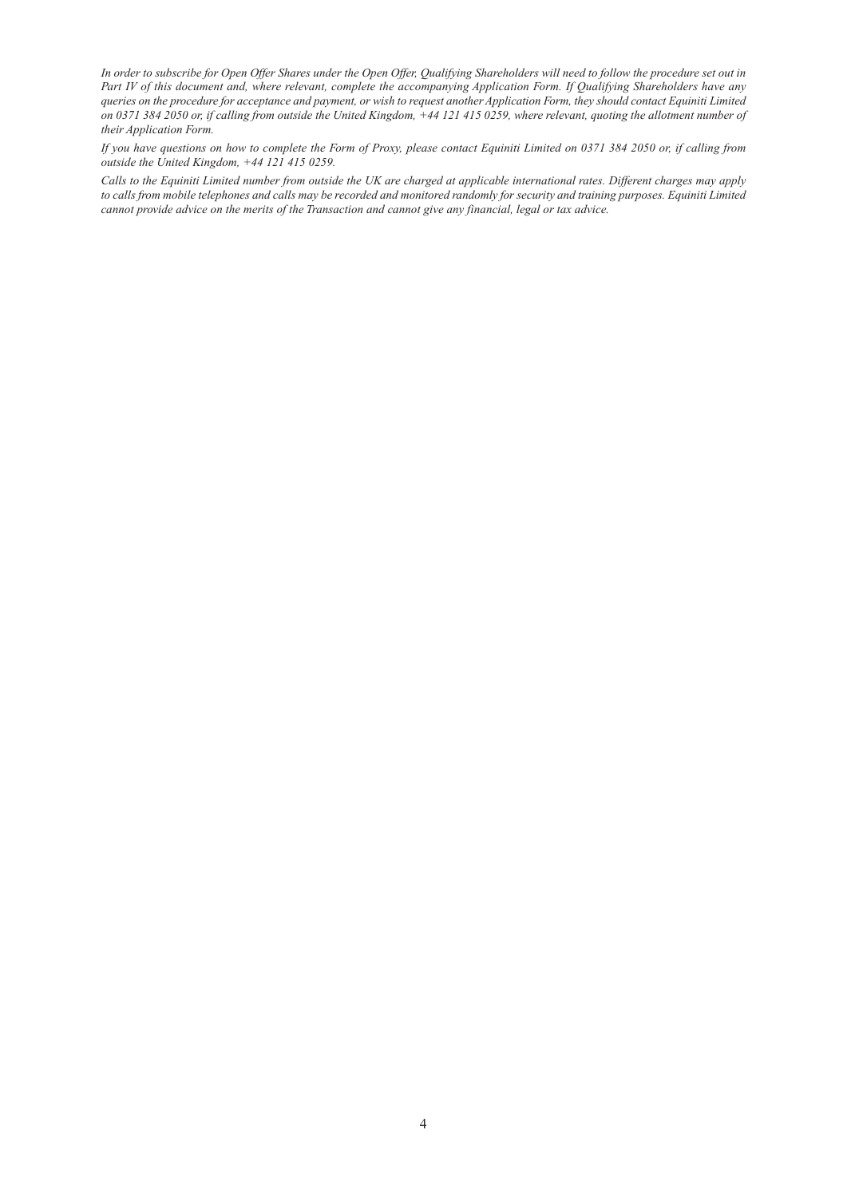In order to subscribe for Open Offer Shares under the Open Offer, Qualifying Shareholders will need to follow the procedure set out in Part IV of this document and, where relevant, complete the accompanying Application Form. If Qualifying Shareholders have any queries on the procedure for acceptance and payment, or wish to request another Application Form, they should contact Equiniti Limited on 0371 384 2050 or, if calling from outside the United Kingdom, +44 121 415 0259, where relevant, quoting the allotment number of *their Application Form.*

If you have questions on how to complete the Form of Proxy, please contact Equiniti Limited on 0371 384 2050 or, if calling from *outside the United Kingdom, +44 121 415 0259.*

Calls to the Equiniti Limited number from outside the UK are charged at applicable international rates. Different charges may apply to calls from mobile telephones and calls may be recorded and monitored randomly for security and training purposes. Equiniti Limited cannot provide advice on the merits of the Transaction and cannot give any financial, legal or tax advice.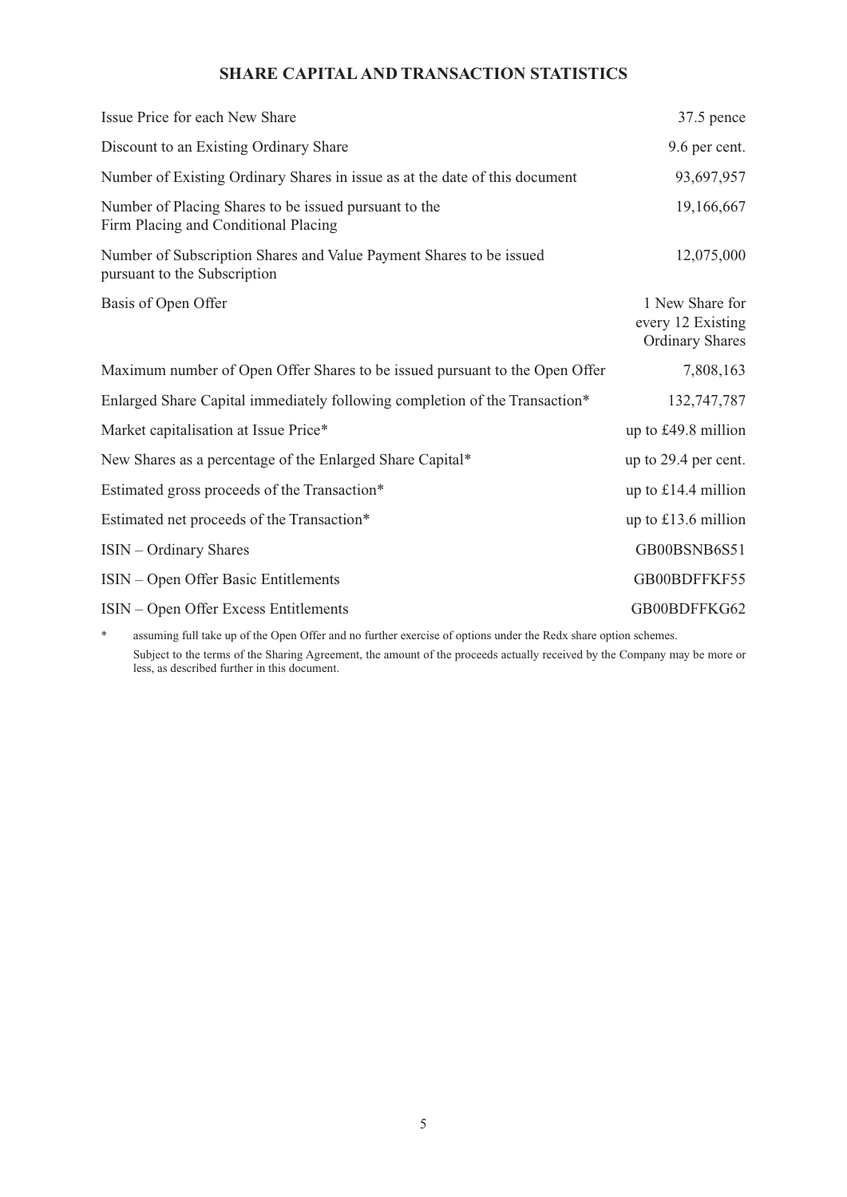## **SHARE CAPITAL AND TRANSACTION STATISTICS**

| Issue Price for each New Share                                                                      | $37.5$ pence                                                   |
|-----------------------------------------------------------------------------------------------------|----------------------------------------------------------------|
| Discount to an Existing Ordinary Share                                                              | 9.6 per cent.                                                  |
| Number of Existing Ordinary Shares in issue as at the date of this document                         | 93,697,957                                                     |
| Number of Placing Shares to be issued pursuant to the<br>Firm Placing and Conditional Placing       | 19,166,667                                                     |
| Number of Subscription Shares and Value Payment Shares to be issued<br>pursuant to the Subscription | 12,075,000                                                     |
| Basis of Open Offer                                                                                 | 1 New Share for<br>every 12 Existing<br><b>Ordinary Shares</b> |
| Maximum number of Open Offer Shares to be issued pursuant to the Open Offer                         | 7,808,163                                                      |
| Enlarged Share Capital immediately following completion of the Transaction*                         | 132,747,787                                                    |
| Market capitalisation at Issue Price*                                                               | up to £49.8 million                                            |
| New Shares as a percentage of the Enlarged Share Capital*                                           | up to 29.4 per cent.                                           |
| Estimated gross proceeds of the Transaction*                                                        | up to £14.4 million                                            |
| Estimated net proceeds of the Transaction*                                                          | up to $£13.6$ million                                          |
| <b>ISIN</b> – Ordinary Shares                                                                       | GB00BSNB6S51                                                   |
| ISIN – Open Offer Basic Entitlements                                                                | GB00BDFFKF55                                                   |
| ISIN – Open Offer Excess Entitlements                                                               | GB00BDFFKG62                                                   |

\* assuming full take up of the Open Offer and no further exercise of options under the Redx share option schemes. Subject to the terms of the Sharing Agreement, the amount of the proceeds actually received by the Company may be more or less, as described further in this document.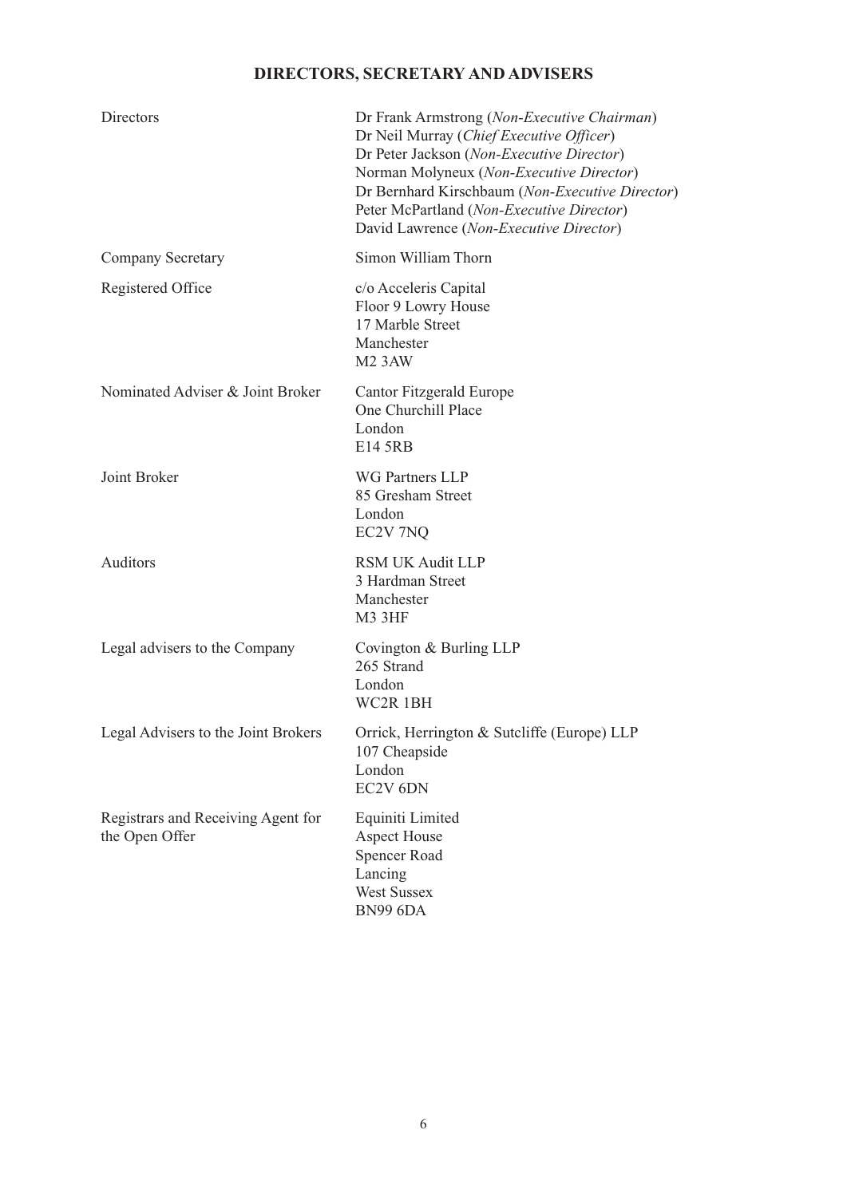# **DIRECTORS, SECRETARY AND ADVISERS**

| <b>Directors</b>                                     | Dr Frank Armstrong (Non-Executive Chairman)<br>Dr Neil Murray (Chief Executive Officer)<br>Dr Peter Jackson (Non-Executive Director)<br>Norman Molyneux (Non-Executive Director)<br>Dr Bernhard Kirschbaum (Non-Executive Director)<br>Peter McPartland (Non-Executive Director)<br>David Lawrence (Non-Executive Director) |
|------------------------------------------------------|-----------------------------------------------------------------------------------------------------------------------------------------------------------------------------------------------------------------------------------------------------------------------------------------------------------------------------|
| Company Secretary                                    | Simon William Thorn                                                                                                                                                                                                                                                                                                         |
| Registered Office                                    | c/o Acceleris Capital<br>Floor 9 Lowry House<br>17 Marble Street<br>Manchester<br>M <sub>2</sub> 3AW                                                                                                                                                                                                                        |
| Nominated Adviser & Joint Broker                     | Cantor Fitzgerald Europe<br>One Churchill Place<br>London<br>E14 5RB                                                                                                                                                                                                                                                        |
| Joint Broker                                         | <b>WG Partners LLP</b><br>85 Gresham Street<br>London<br>EC2V 7NQ                                                                                                                                                                                                                                                           |
| Auditors                                             | <b>RSM UK Audit LLP</b><br>3 Hardman Street<br>Manchester<br><b>M3 3HF</b>                                                                                                                                                                                                                                                  |
| Legal advisers to the Company                        | Covington & Burling LLP<br>265 Strand<br>London<br>WC2R 1BH                                                                                                                                                                                                                                                                 |
| Legal Advisers to the Joint Brokers                  | Orrick, Herrington & Sutcliffe (Europe) LLP<br>107 Cheapside<br>London<br>EC2V <sub>6DN</sub>                                                                                                                                                                                                                               |
| Registrars and Receiving Agent for<br>the Open Offer | Equiniti Limited<br><b>Aspect House</b><br><b>Spencer Road</b><br>Lancing<br><b>West Sussex</b><br><b>BN99 6DA</b>                                                                                                                                                                                                          |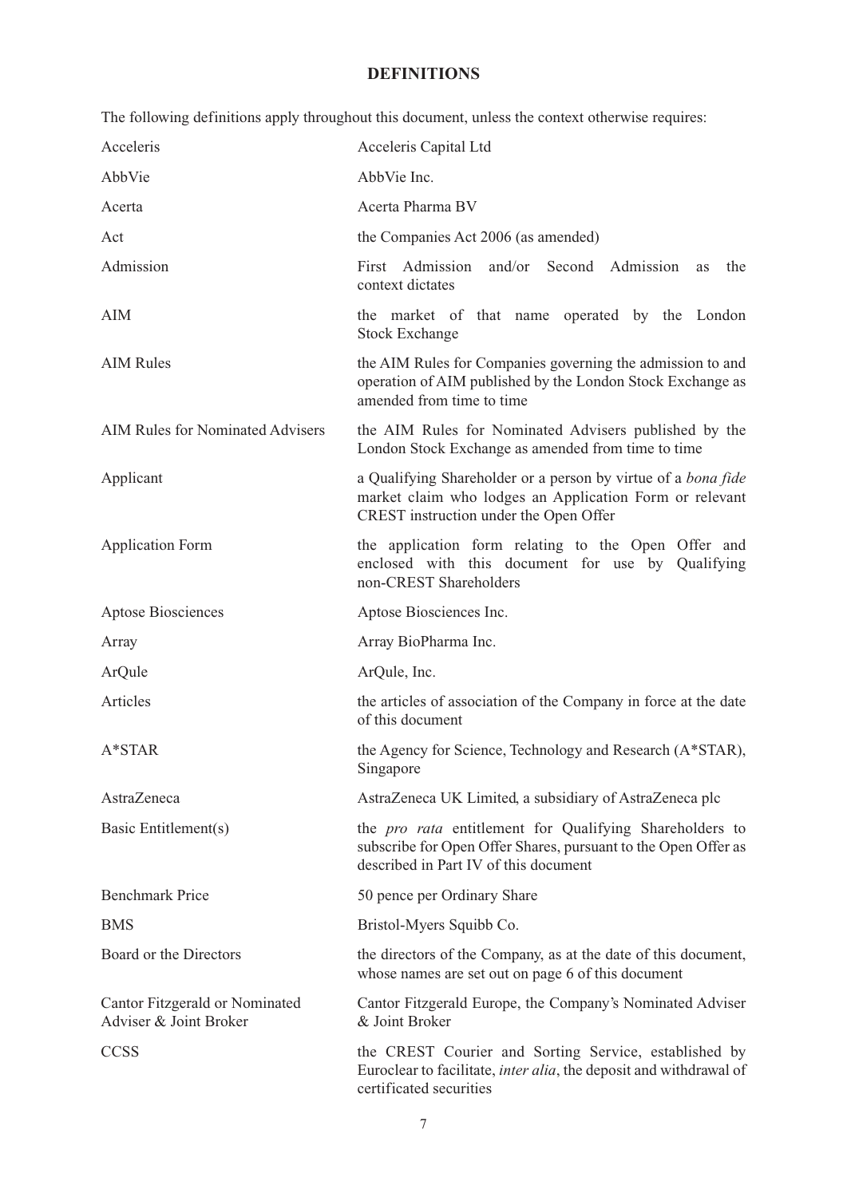## **DEFINITIONS**

|                                                          | The following definitions apply throughout this document, unless the context otherwise requires:                                                                          |  |  |
|----------------------------------------------------------|---------------------------------------------------------------------------------------------------------------------------------------------------------------------------|--|--|
| Acceleris                                                | Acceleris Capital Ltd                                                                                                                                                     |  |  |
| AbbVie                                                   | AbbVie Inc.                                                                                                                                                               |  |  |
| Acerta                                                   | Acerta Pharma BV                                                                                                                                                          |  |  |
| Act                                                      | the Companies Act 2006 (as amended)                                                                                                                                       |  |  |
| Admission                                                | First Admission and/or Second Admission<br>the<br><b>as</b><br>context dictates                                                                                           |  |  |
| <b>AIM</b>                                               | the market of that name operated by the London<br><b>Stock Exchange</b>                                                                                                   |  |  |
| <b>AIM Rules</b>                                         | the AIM Rules for Companies governing the admission to and<br>operation of AIM published by the London Stock Exchange as<br>amended from time to time                     |  |  |
| <b>AIM Rules for Nominated Advisers</b>                  | the AIM Rules for Nominated Advisers published by the<br>London Stock Exchange as amended from time to time                                                               |  |  |
| Applicant                                                | a Qualifying Shareholder or a person by virtue of a <i>bona fide</i><br>market claim who lodges an Application Form or relevant<br>CREST instruction under the Open Offer |  |  |
| <b>Application Form</b>                                  | the application form relating to the Open Offer and<br>enclosed with this document for use by Qualifying<br>non-CREST Shareholders                                        |  |  |
| Aptose Biosciences                                       | Aptose Biosciences Inc.                                                                                                                                                   |  |  |
| Array                                                    | Array BioPharma Inc.                                                                                                                                                      |  |  |
| ArQule                                                   | ArQule, Inc.                                                                                                                                                              |  |  |
| Articles                                                 | the articles of association of the Company in force at the date<br>of this document                                                                                       |  |  |
| A*STAR                                                   | the Agency for Science, Technology and Research (A*STAR),<br>Singapore                                                                                                    |  |  |
| AstraZeneca                                              | AstraZeneca UK Limited, a subsidiary of AstraZeneca plc                                                                                                                   |  |  |
| Basic Entitlement(s)                                     | the <i>pro rata</i> entitlement for Qualifying Shareholders to<br>subscribe for Open Offer Shares, pursuant to the Open Offer as<br>described in Part IV of this document |  |  |
| <b>Benchmark Price</b>                                   | 50 pence per Ordinary Share                                                                                                                                               |  |  |
| <b>BMS</b>                                               | Bristol-Myers Squibb Co.                                                                                                                                                  |  |  |
| Board or the Directors                                   | the directors of the Company, as at the date of this document,<br>whose names are set out on page 6 of this document                                                      |  |  |
| Cantor Fitzgerald or Nominated<br>Adviser & Joint Broker | Cantor Fitzgerald Europe, the Company's Nominated Adviser<br>& Joint Broker                                                                                               |  |  |
| <b>CCSS</b>                                              | the CREST Courier and Sorting Service, established by<br>Euroclear to facilitate, <i>inter alia</i> , the deposit and withdrawal of<br>certificated securities            |  |  |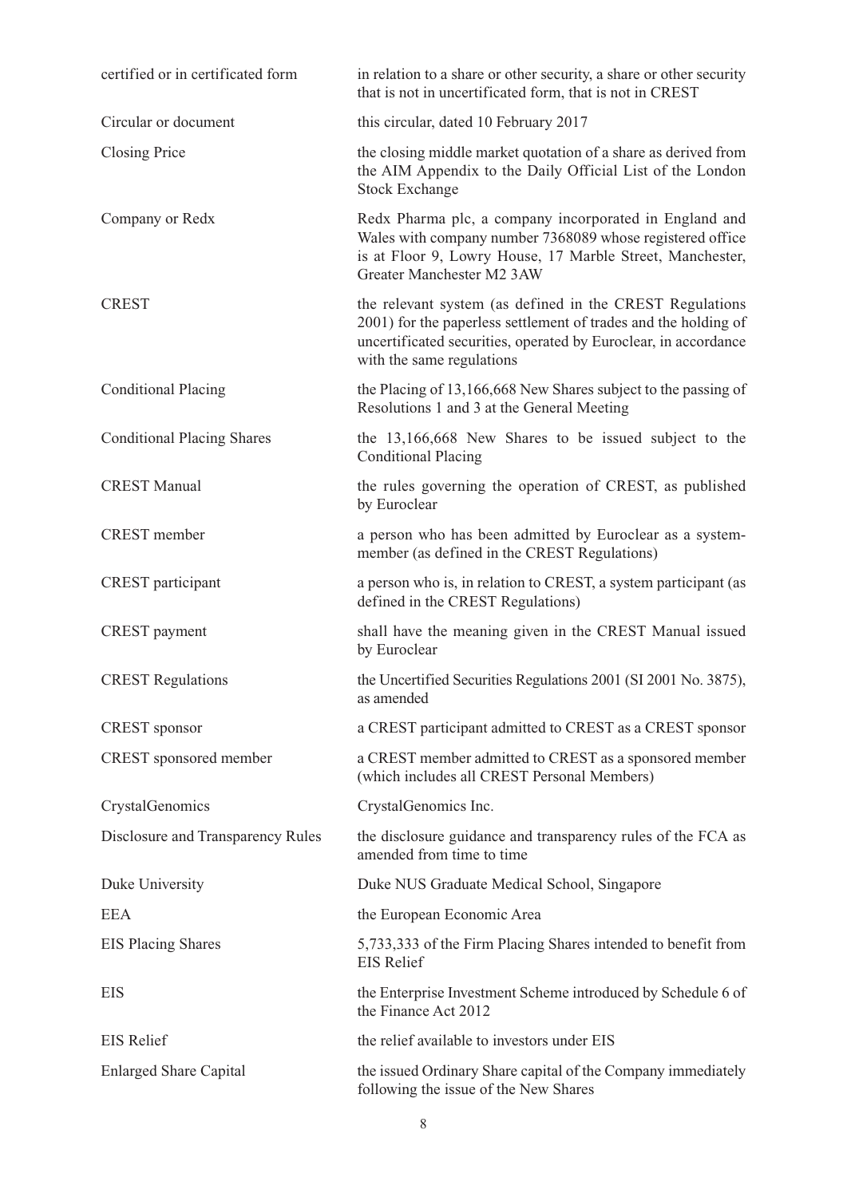| certified or in certificated form | in relation to a share or other security, a share or other security<br>that is not in uncertificated form, that is not in CREST                                                                                             |  |
|-----------------------------------|-----------------------------------------------------------------------------------------------------------------------------------------------------------------------------------------------------------------------------|--|
| Circular or document              | this circular, dated 10 February 2017                                                                                                                                                                                       |  |
| <b>Closing Price</b>              | the closing middle market quotation of a share as derived from<br>the AIM Appendix to the Daily Official List of the London<br><b>Stock Exchange</b>                                                                        |  |
| Company or Redx                   | Redx Pharma plc, a company incorporated in England and<br>Wales with company number 7368089 whose registered office<br>is at Floor 9, Lowry House, 17 Marble Street, Manchester,<br>Greater Manchester M2 3AW               |  |
| <b>CREST</b>                      | the relevant system (as defined in the CREST Regulations<br>2001) for the paperless settlement of trades and the holding of<br>uncertificated securities, operated by Euroclear, in accordance<br>with the same regulations |  |
| <b>Conditional Placing</b>        | the Placing of 13,166,668 New Shares subject to the passing of<br>Resolutions 1 and 3 at the General Meeting                                                                                                                |  |
| <b>Conditional Placing Shares</b> | the 13,166,668 New Shares to be issued subject to the<br><b>Conditional Placing</b>                                                                                                                                         |  |
| <b>CREST Manual</b>               | the rules governing the operation of CREST, as published<br>by Euroclear                                                                                                                                                    |  |
| <b>CREST</b> member               | a person who has been admitted by Euroclear as a system-<br>member (as defined in the CREST Regulations)                                                                                                                    |  |
| <b>CREST</b> participant          | a person who is, in relation to CREST, a system participant (as<br>defined in the CREST Regulations)                                                                                                                        |  |
| CREST payment                     | shall have the meaning given in the CREST Manual issued<br>by Euroclear                                                                                                                                                     |  |
| <b>CREST Regulations</b>          | the Uncertified Securities Regulations 2001 (SI 2001 No. 3875),<br>as amended                                                                                                                                               |  |
| <b>CREST</b> sponsor              | a CREST participant admitted to CREST as a CREST sponsor                                                                                                                                                                    |  |
| CREST sponsored member            | a CREST member admitted to CREST as a sponsored member<br>(which includes all CREST Personal Members)                                                                                                                       |  |
| CrystalGenomics                   | CrystalGenomics Inc.                                                                                                                                                                                                        |  |
| Disclosure and Transparency Rules | the disclosure guidance and transparency rules of the FCA as<br>amended from time to time                                                                                                                                   |  |
| Duke University                   | Duke NUS Graduate Medical School, Singapore                                                                                                                                                                                 |  |
| <b>EEA</b>                        | the European Economic Area                                                                                                                                                                                                  |  |
| <b>EIS Placing Shares</b>         | 5,733,333 of the Firm Placing Shares intended to benefit from<br><b>EIS Relief</b>                                                                                                                                          |  |
| <b>EIS</b>                        | the Enterprise Investment Scheme introduced by Schedule 6 of<br>the Finance Act 2012                                                                                                                                        |  |
| <b>EIS Relief</b>                 | the relief available to investors under EIS                                                                                                                                                                                 |  |
| <b>Enlarged Share Capital</b>     | the issued Ordinary Share capital of the Company immediately<br>following the issue of the New Shares                                                                                                                       |  |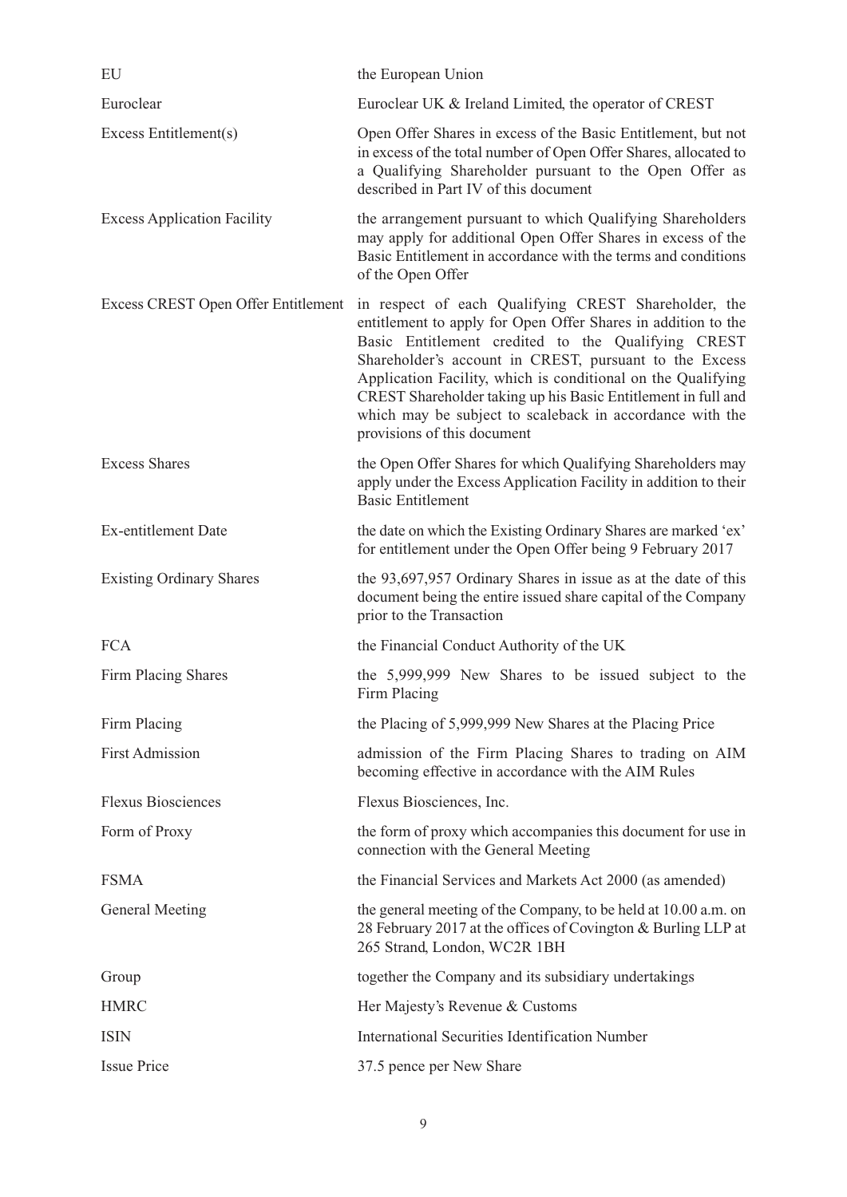| EU                                  | the European Union                                                                                                                                                                                                                                                                                                                                                                                                                                                |
|-------------------------------------|-------------------------------------------------------------------------------------------------------------------------------------------------------------------------------------------------------------------------------------------------------------------------------------------------------------------------------------------------------------------------------------------------------------------------------------------------------------------|
| Euroclear                           | Euroclear UK & Ireland Limited, the operator of CREST                                                                                                                                                                                                                                                                                                                                                                                                             |
| Excess Entitlement(s)               | Open Offer Shares in excess of the Basic Entitlement, but not<br>in excess of the total number of Open Offer Shares, allocated to<br>a Qualifying Shareholder pursuant to the Open Offer as<br>described in Part IV of this document                                                                                                                                                                                                                              |
| <b>Excess Application Facility</b>  | the arrangement pursuant to which Qualifying Shareholders<br>may apply for additional Open Offer Shares in excess of the<br>Basic Entitlement in accordance with the terms and conditions<br>of the Open Offer                                                                                                                                                                                                                                                    |
| Excess CREST Open Offer Entitlement | in respect of each Qualifying CREST Shareholder, the<br>entitlement to apply for Open Offer Shares in addition to the<br>Basic Entitlement credited to the Qualifying CREST<br>Shareholder's account in CREST, pursuant to the Excess<br>Application Facility, which is conditional on the Qualifying<br>CREST Shareholder taking up his Basic Entitlement in full and<br>which may be subject to scaleback in accordance with the<br>provisions of this document |
| <b>Excess Shares</b>                | the Open Offer Shares for which Qualifying Shareholders may<br>apply under the Excess Application Facility in addition to their<br><b>Basic Entitlement</b>                                                                                                                                                                                                                                                                                                       |
| Ex-entitlement Date                 | the date on which the Existing Ordinary Shares are marked 'ex'<br>for entitlement under the Open Offer being 9 February 2017                                                                                                                                                                                                                                                                                                                                      |
| <b>Existing Ordinary Shares</b>     | the 93,697,957 Ordinary Shares in issue as at the date of this<br>document being the entire issued share capital of the Company<br>prior to the Transaction                                                                                                                                                                                                                                                                                                       |
| <b>FCA</b>                          | the Financial Conduct Authority of the UK                                                                                                                                                                                                                                                                                                                                                                                                                         |
| Firm Placing Shares                 | the 5,999,999 New Shares to be issued subject to the<br>Firm Placing                                                                                                                                                                                                                                                                                                                                                                                              |
| Firm Placing                        | the Placing of 5,999,999 New Shares at the Placing Price                                                                                                                                                                                                                                                                                                                                                                                                          |
| <b>First Admission</b>              | admission of the Firm Placing Shares to trading on AIM<br>becoming effective in accordance with the AIM Rules                                                                                                                                                                                                                                                                                                                                                     |
| <b>Flexus Biosciences</b>           | Flexus Biosciences, Inc.                                                                                                                                                                                                                                                                                                                                                                                                                                          |
| Form of Proxy                       | the form of proxy which accompanies this document for use in<br>connection with the General Meeting                                                                                                                                                                                                                                                                                                                                                               |
| <b>FSMA</b>                         | the Financial Services and Markets Act 2000 (as amended)                                                                                                                                                                                                                                                                                                                                                                                                          |
| General Meeting                     | the general meeting of the Company, to be held at 10.00 a.m. on<br>28 February 2017 at the offices of Covington & Burling LLP at<br>265 Strand, London, WC2R 1BH                                                                                                                                                                                                                                                                                                  |
| Group                               | together the Company and its subsidiary undertakings                                                                                                                                                                                                                                                                                                                                                                                                              |
| <b>HMRC</b>                         | Her Majesty's Revenue & Customs                                                                                                                                                                                                                                                                                                                                                                                                                                   |
| <b>ISIN</b>                         | <b>International Securities Identification Number</b>                                                                                                                                                                                                                                                                                                                                                                                                             |
| <b>Issue Price</b>                  | 37.5 pence per New Share                                                                                                                                                                                                                                                                                                                                                                                                                                          |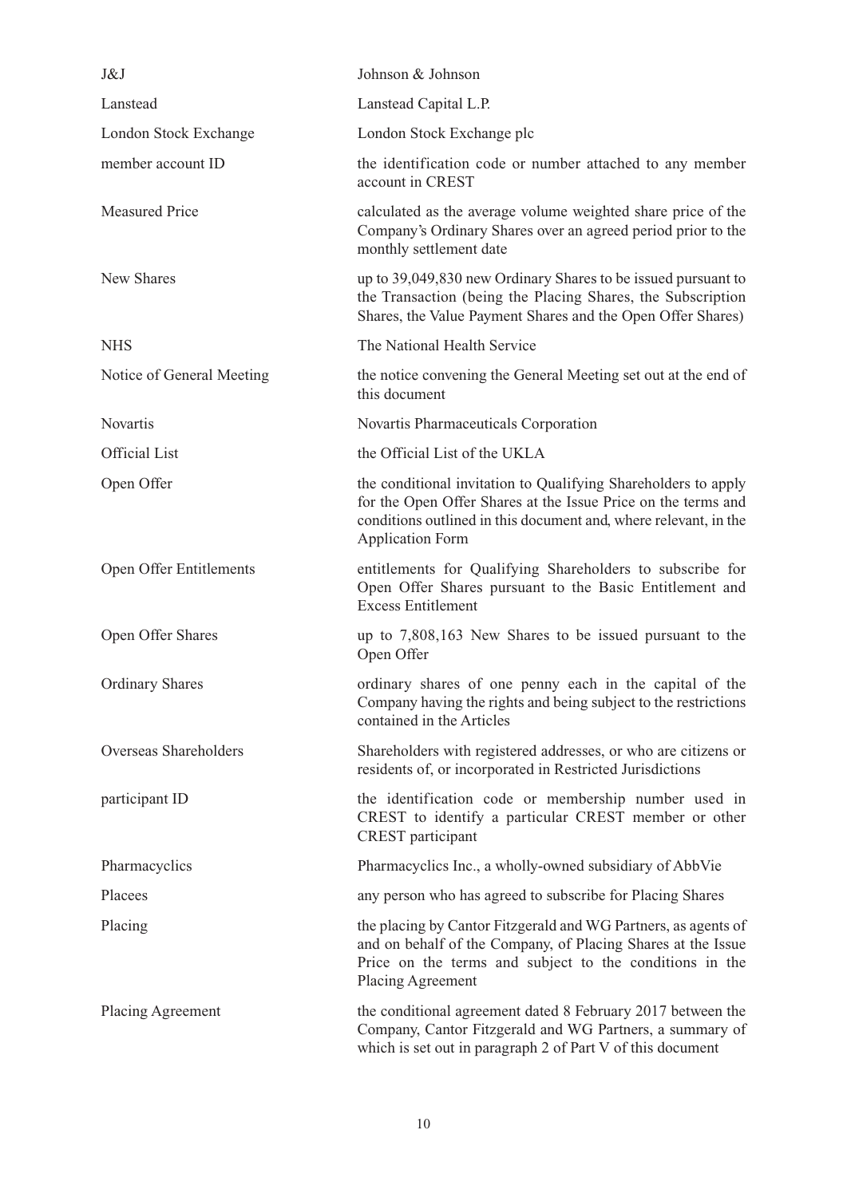| J&J                       | Johnson & Johnson                                                                                                                                                                                                              |
|---------------------------|--------------------------------------------------------------------------------------------------------------------------------------------------------------------------------------------------------------------------------|
| Lanstead                  | Lanstead Capital L.P.                                                                                                                                                                                                          |
| London Stock Exchange     | London Stock Exchange plc                                                                                                                                                                                                      |
| member account ID         | the identification code or number attached to any member<br>account in CREST                                                                                                                                                   |
| <b>Measured Price</b>     | calculated as the average volume weighted share price of the<br>Company's Ordinary Shares over an agreed period prior to the<br>monthly settlement date                                                                        |
| New Shares                | up to 39,049,830 new Ordinary Shares to be issued pursuant to<br>the Transaction (being the Placing Shares, the Subscription<br>Shares, the Value Payment Shares and the Open Offer Shares)                                    |
| <b>NHS</b>                | The National Health Service                                                                                                                                                                                                    |
| Notice of General Meeting | the notice convening the General Meeting set out at the end of<br>this document                                                                                                                                                |
| Novartis                  | Novartis Pharmaceuticals Corporation                                                                                                                                                                                           |
| <b>Official List</b>      | the Official List of the UKLA                                                                                                                                                                                                  |
| Open Offer                | the conditional invitation to Qualifying Shareholders to apply<br>for the Open Offer Shares at the Issue Price on the terms and<br>conditions outlined in this document and, where relevant, in the<br><b>Application Form</b> |
| Open Offer Entitlements   | entitlements for Qualifying Shareholders to subscribe for<br>Open Offer Shares pursuant to the Basic Entitlement and<br><b>Excess Entitlement</b>                                                                              |
| Open Offer Shares         | up to 7,808,163 New Shares to be issued pursuant to the<br>Open Offer                                                                                                                                                          |
| <b>Ordinary Shares</b>    | ordinary shares of one penny each in the capital of the<br>Company having the rights and being subject to the restrictions<br>contained in the Articles                                                                        |
| Overseas Shareholders     | Shareholders with registered addresses, or who are citizens or<br>residents of, or incorporated in Restricted Jurisdictions                                                                                                    |
| participant ID            | the identification code or membership number used in<br>CREST to identify a particular CREST member or other<br>CREST participant                                                                                              |
| Pharmacyclics             | Pharmacyclics Inc., a wholly-owned subsidiary of AbbVie                                                                                                                                                                        |
| Placees                   | any person who has agreed to subscribe for Placing Shares                                                                                                                                                                      |
| Placing                   | the placing by Cantor Fitzgerald and WG Partners, as agents of<br>and on behalf of the Company, of Placing Shares at the Issue<br>Price on the terms and subject to the conditions in the<br>Placing Agreement                 |
| Placing Agreement         | the conditional agreement dated 8 February 2017 between the<br>Company, Cantor Fitzgerald and WG Partners, a summary of<br>which is set out in paragraph 2 of Part V of this document                                          |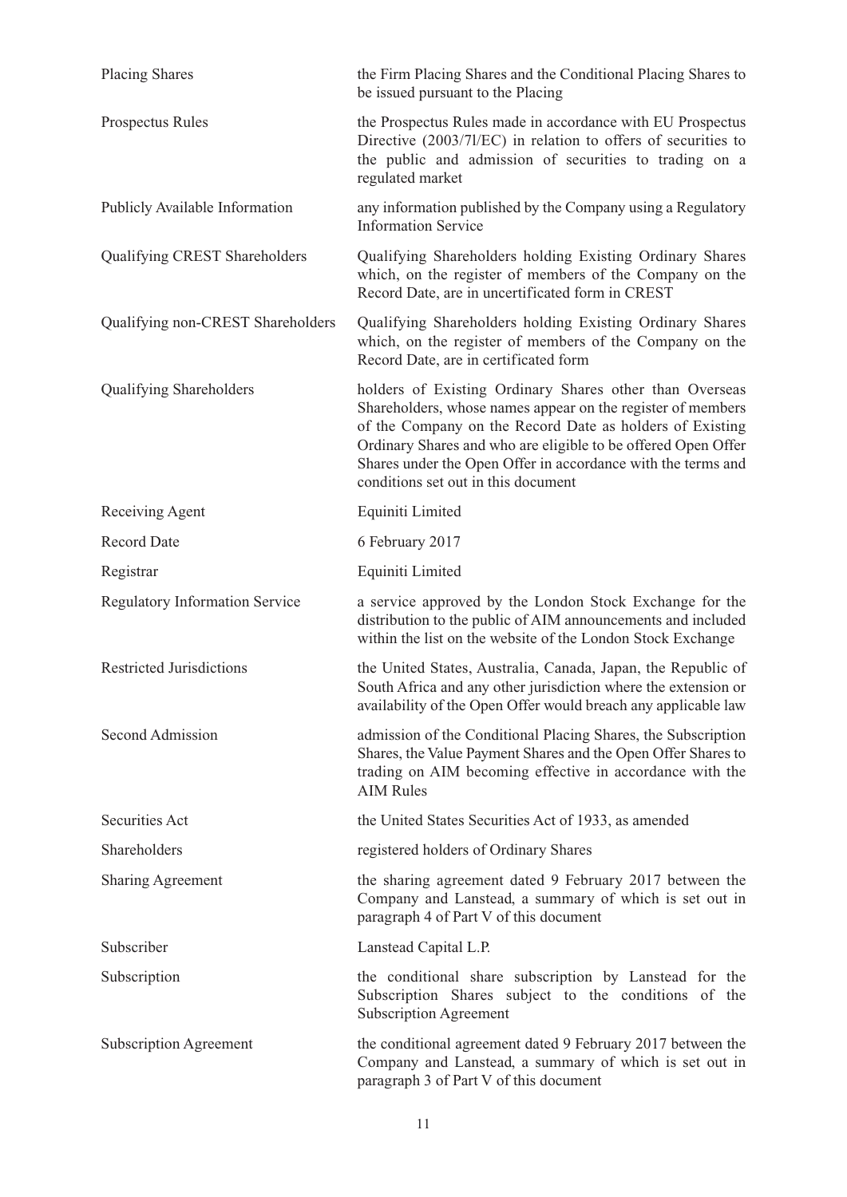| <b>Placing Shares</b>                 | the Firm Placing Shares and the Conditional Placing Shares to<br>be issued pursuant to the Placing                                                                                                                                                                                                                                                         |  |
|---------------------------------------|------------------------------------------------------------------------------------------------------------------------------------------------------------------------------------------------------------------------------------------------------------------------------------------------------------------------------------------------------------|--|
| Prospectus Rules                      | the Prospectus Rules made in accordance with EU Prospectus<br>Directive (2003/71/EC) in relation to offers of securities to<br>the public and admission of securities to trading on a<br>regulated market                                                                                                                                                  |  |
| Publicly Available Information        | any information published by the Company using a Regulatory<br><b>Information Service</b>                                                                                                                                                                                                                                                                  |  |
| Qualifying CREST Shareholders         | Qualifying Shareholders holding Existing Ordinary Shares<br>which, on the register of members of the Company on the<br>Record Date, are in uncertificated form in CREST                                                                                                                                                                                    |  |
| Qualifying non-CREST Shareholders     | Qualifying Shareholders holding Existing Ordinary Shares<br>which, on the register of members of the Company on the<br>Record Date, are in certificated form                                                                                                                                                                                               |  |
| Qualifying Shareholders               | holders of Existing Ordinary Shares other than Overseas<br>Shareholders, whose names appear on the register of members<br>of the Company on the Record Date as holders of Existing<br>Ordinary Shares and who are eligible to be offered Open Offer<br>Shares under the Open Offer in accordance with the terms and<br>conditions set out in this document |  |
| Receiving Agent                       | Equiniti Limited                                                                                                                                                                                                                                                                                                                                           |  |
| <b>Record Date</b>                    | 6 February 2017                                                                                                                                                                                                                                                                                                                                            |  |
| Registrar                             | Equiniti Limited                                                                                                                                                                                                                                                                                                                                           |  |
| <b>Regulatory Information Service</b> | a service approved by the London Stock Exchange for the<br>distribution to the public of AIM announcements and included<br>within the list on the website of the London Stock Exchange                                                                                                                                                                     |  |
| <b>Restricted Jurisdictions</b>       | the United States, Australia, Canada, Japan, the Republic of<br>South Africa and any other jurisdiction where the extension or<br>availability of the Open Offer would breach any applicable law                                                                                                                                                           |  |
| Second Admission                      | admission of the Conditional Placing Shares, the Subscription<br>Shares, the Value Payment Shares and the Open Offer Shares to<br>trading on AIM becoming effective in accordance with the<br><b>AIM Rules</b>                                                                                                                                             |  |
| <b>Securities Act</b>                 | the United States Securities Act of 1933, as amended                                                                                                                                                                                                                                                                                                       |  |
| Shareholders                          | registered holders of Ordinary Shares                                                                                                                                                                                                                                                                                                                      |  |
| <b>Sharing Agreement</b>              | the sharing agreement dated 9 February 2017 between the<br>Company and Lanstead, a summary of which is set out in<br>paragraph 4 of Part V of this document                                                                                                                                                                                                |  |
| Subscriber                            | Lanstead Capital L.P.                                                                                                                                                                                                                                                                                                                                      |  |
| Subscription                          | the conditional share subscription by Lanstead for the<br>Subscription Shares subject to the conditions of the<br><b>Subscription Agreement</b>                                                                                                                                                                                                            |  |
| <b>Subscription Agreement</b>         | the conditional agreement dated 9 February 2017 between the<br>Company and Lanstead, a summary of which is set out in<br>paragraph 3 of Part V of this document                                                                                                                                                                                            |  |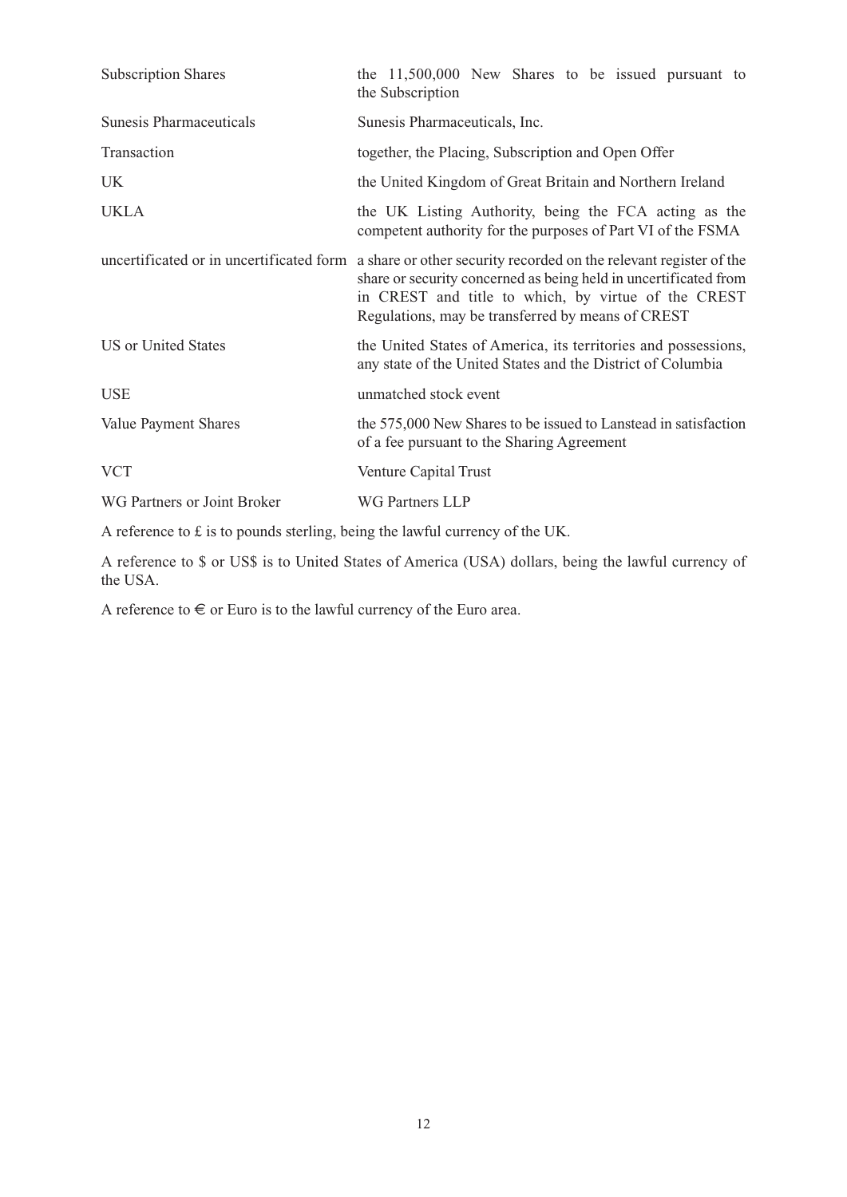| <b>Subscription Shares</b>               | the $11,500,000$ New Shares to be issued pursuant to<br>the Subscription                                                                                                                                                                           |  |  |
|------------------------------------------|----------------------------------------------------------------------------------------------------------------------------------------------------------------------------------------------------------------------------------------------------|--|--|
| <b>Sunesis Pharmaceuticals</b>           | Sunesis Pharmaceuticals, Inc.                                                                                                                                                                                                                      |  |  |
| Transaction                              | together, the Placing, Subscription and Open Offer                                                                                                                                                                                                 |  |  |
| UK                                       | the United Kingdom of Great Britain and Northern Ireland                                                                                                                                                                                           |  |  |
| <b>UKLA</b>                              | the UK Listing Authority, being the FCA acting as the<br>competent authority for the purposes of Part VI of the FSMA                                                                                                                               |  |  |
| uncertificated or in uncertificated form | a share or other security recorded on the relevant register of the<br>share or security concerned as being held in uncertificated from<br>in CREST and title to which, by virtue of the CREST<br>Regulations, may be transferred by means of CREST |  |  |
| <b>US</b> or United States               | the United States of America, its territories and possessions,<br>any state of the United States and the District of Columbia                                                                                                                      |  |  |
| <b>USE</b>                               | unmatched stock event                                                                                                                                                                                                                              |  |  |
| Value Payment Shares                     | the 575,000 New Shares to be issued to Lanstead in satisfaction<br>of a fee pursuant to the Sharing Agreement                                                                                                                                      |  |  |
| <b>VCT</b>                               | Venture Capital Trust                                                                                                                                                                                                                              |  |  |
| WG Partners or Joint Broker              | <b>WG Partners LLP</b>                                                                                                                                                                                                                             |  |  |

A reference to £ is to pounds sterling, being the lawful currency of the UK.

A reference to \$ or US\$ is to United States of America (USA) dollars, being the lawful currency of the USA.

A reference to  $\in$  or Euro is to the lawful currency of the Euro area.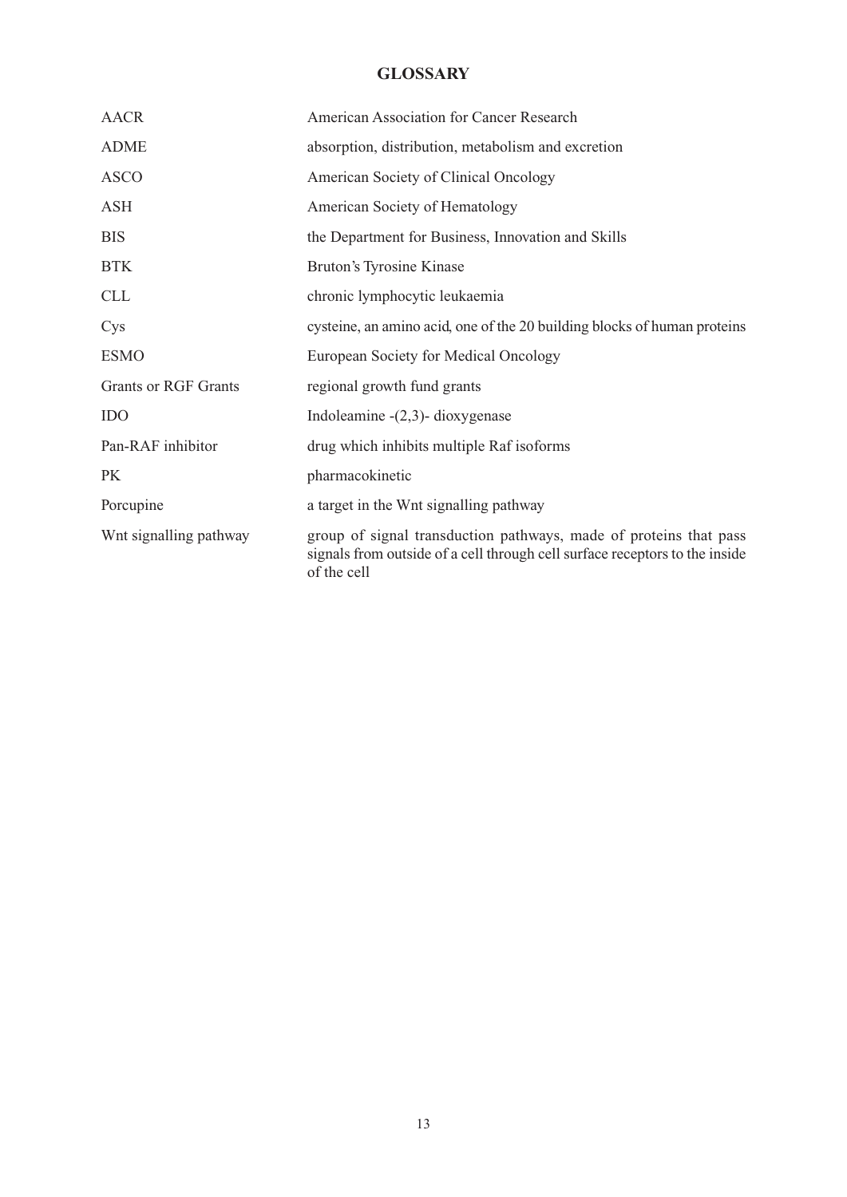# **GLOSSARY**

| <b>AACR</b>                 | American Association for Cancer Research                                                                                                                        |
|-----------------------------|-----------------------------------------------------------------------------------------------------------------------------------------------------------------|
| <b>ADME</b>                 | absorption, distribution, metabolism and excretion                                                                                                              |
| <b>ASCO</b>                 | American Society of Clinical Oncology                                                                                                                           |
| ASH                         | American Society of Hematology                                                                                                                                  |
| <b>BIS</b>                  | the Department for Business, Innovation and Skills                                                                                                              |
| <b>BTK</b>                  | Bruton's Tyrosine Kinase                                                                                                                                        |
| <b>CLL</b>                  | chronic lymphocytic leukaemia                                                                                                                                   |
| Cys                         | cysteine, an amino acid, one of the 20 building blocks of human proteins                                                                                        |
| <b>ESMO</b>                 | European Society for Medical Oncology                                                                                                                           |
| <b>Grants or RGF Grants</b> | regional growth fund grants                                                                                                                                     |
| <b>IDO</b>                  | Indoleamine $-(2,3)$ - dioxygenase                                                                                                                              |
| Pan-RAF inhibitor           | drug which inhibits multiple Raf isoforms                                                                                                                       |
| <b>PK</b>                   | pharmacokinetic                                                                                                                                                 |
| Porcupine                   | a target in the Wnt signalling pathway                                                                                                                          |
| Wnt signalling pathway      | group of signal transduction pathways, made of proteins that pass<br>signals from outside of a cell through cell surface receptors to the inside<br>of the cell |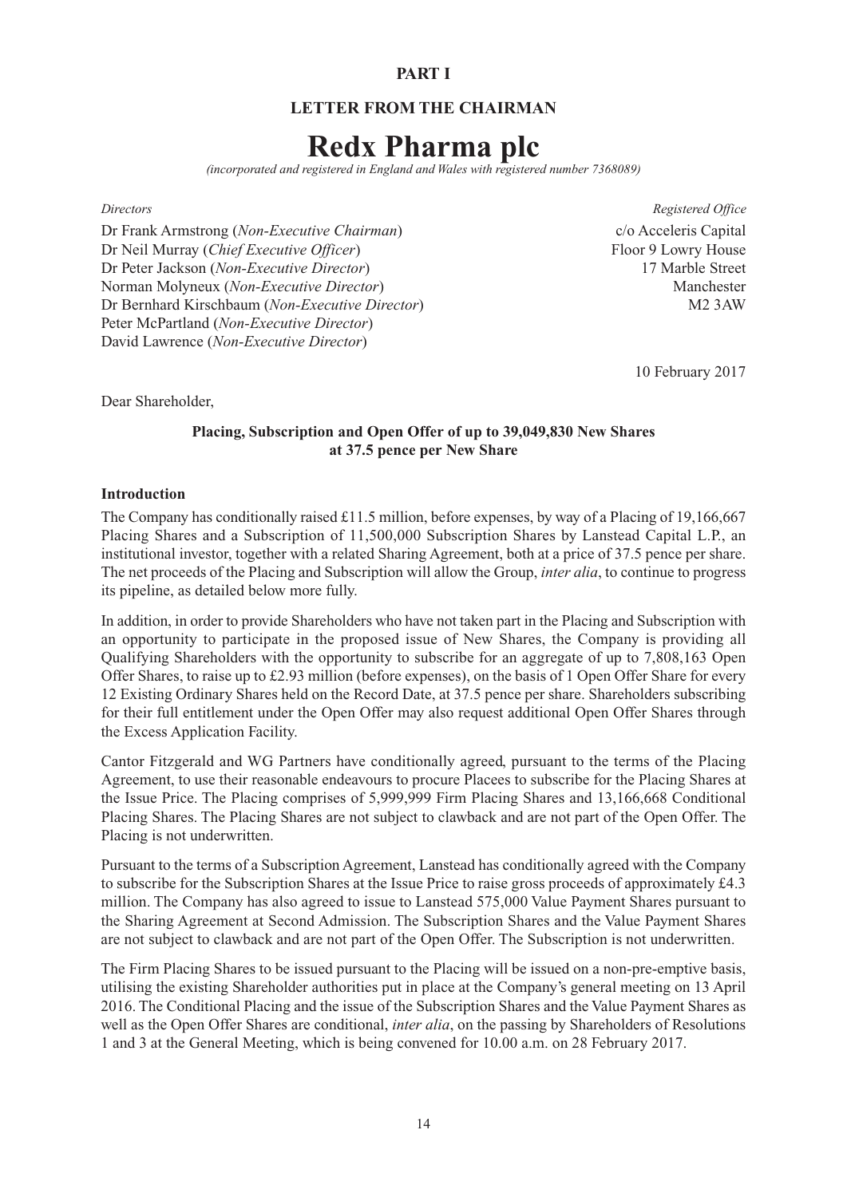## **PART I**

## **LETTER FROM THE CHAIRMAN**

# **Redx Pharma plc**

*(incorporated and registered in England and Wales with registered number 7368089)*

#### *Directors Registered Office*

Dr Frank Armstrong (*Non-Executive Chairman*) c/o Acceleris Capital Dr Neil Murray (*Chief Executive Officer*) Floor 9 Lowry House Dr Peter Jackson (*Non-Executive Director*) 17 Marble Street Norman Molyneux (*Non-Executive Director*) Manchester Dr Bernhard Kirschbaum (*Non-Executive Director*) M2 3AW Peter McPartland (*Non-Executive Director*) David Lawrence (*Non-Executive Director*)

10 February 2017

Dear Shareholder,

## **Placing, Subscription and Open Offer of up to 39,049,830 New Shares at 37.5 pence per New Share**

#### **Introduction**

The Company has conditionally raised £11.5 million, before expenses, by way of a Placing of 19,166,667 Placing Shares and a Subscription of 11,500,000 Subscription Shares by Lanstead Capital L.P., an institutional investor, together with a related Sharing Agreement, both at a price of 37.5 pence per share. The net proceeds of the Placing and Subscription will allow the Group, *inter alia*, to continue to progress its pipeline, as detailed below more fully.

In addition, in order to provide Shareholders who have not taken part in the Placing and Subscription with an opportunity to participate in the proposed issue of New Shares, the Company is providing all Qualifying Shareholders with the opportunity to subscribe for an aggregate of up to 7,808,163 Open Offer Shares, to raise up to £2.93 million (before expenses), on the basis of 1 Open Offer Share for every 12 Existing Ordinary Shares held on the Record Date, at 37.5 pence per share. Shareholders subscribing for their full entitlement under the Open Offer may also request additional Open Offer Shares through the Excess Application Facility.

Cantor Fitzgerald and WG Partners have conditionally agreed, pursuant to the terms of the Placing Agreement, to use their reasonable endeavours to procure Placees to subscribe for the Placing Shares at the Issue Price. The Placing comprises of 5,999,999 Firm Placing Shares and 13,166,668 Conditional Placing Shares. The Placing Shares are not subject to clawback and are not part of the Open Offer. The Placing is not underwritten.

Pursuant to the terms of a Subscription Agreement, Lanstead has conditionally agreed with the Company to subscribe for the Subscription Shares at the Issue Price to raise gross proceeds of approximately £4.3 million. The Company has also agreed to issue to Lanstead 575,000 Value Payment Shares pursuant to the Sharing Agreement at Second Admission. The Subscription Shares and the Value Payment Shares are not subject to clawback and are not part of the Open Offer. The Subscription is not underwritten.

The Firm Placing Shares to be issued pursuant to the Placing will be issued on a non-pre-emptive basis, utilising the existing Shareholder authorities put in place at the Company's general meeting on 13 April 2016. The Conditional Placing and the issue of the Subscription Shares and the Value Payment Shares as well as the Open Offer Shares are conditional, *inter alia*, on the passing by Shareholders of Resolutions 1 and 3 at the General Meeting, which is being convened for 10.00 a.m. on 28 February 2017.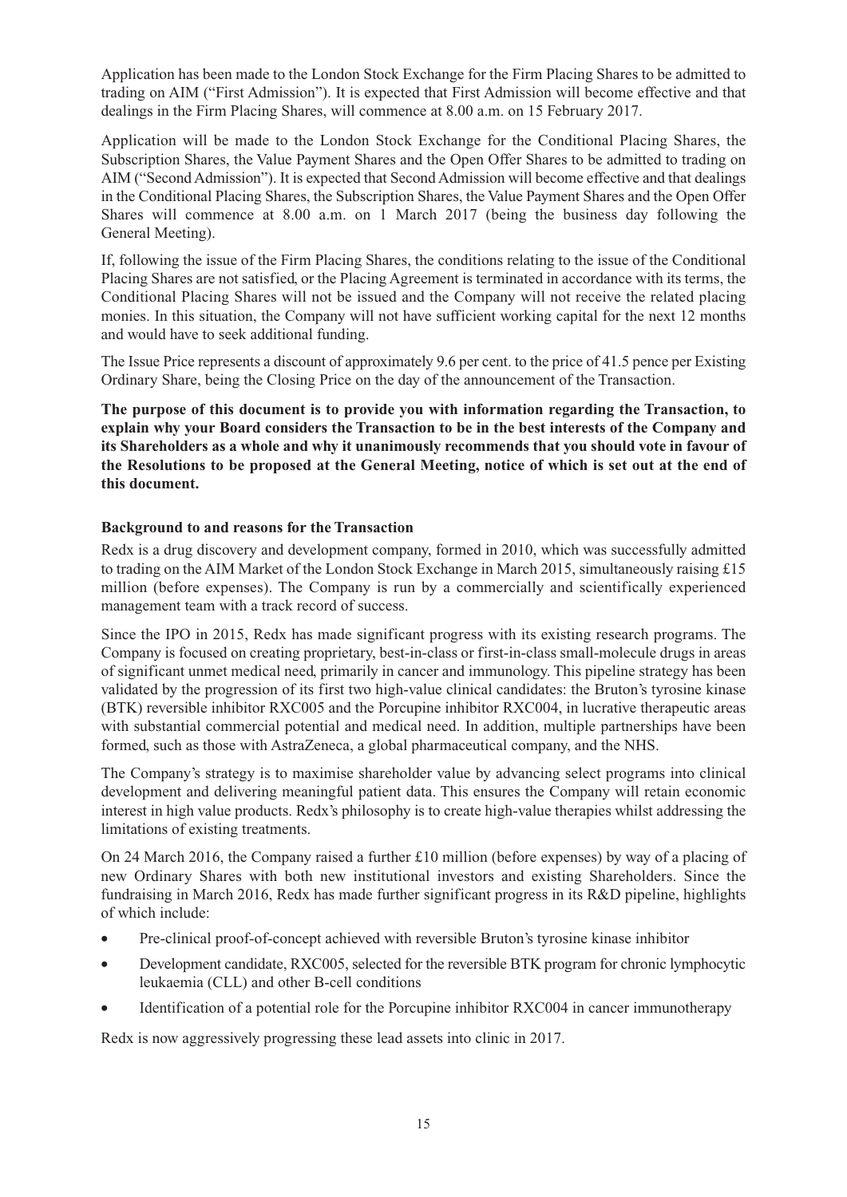Application has been made to the London Stock Exchange for the Firm Placing Shares to be admitted to trading on AIM ("First Admission"). It is expected that First Admission will become effective and that dealings in the Firm Placing Shares, will commence at 8.00 a.m. on 15 February 2017.

Application will be made to the London Stock Exchange for the Conditional Placing Shares, the Subscription Shares, the Value Payment Shares and the Open Offer Shares to be admitted to trading on AIM ("Second Admission"). It is expected that Second Admission will become effective and that dealings in the Conditional Placing Shares, the Subscription Shares, the Value Payment Shares and the Open Offer Shares will commence at 8.00 a.m. on 1 March 2017 (being the business day following the General Meeting).

If, following the issue of the Firm Placing Shares, the conditions relating to the issue of the Conditional Placing Shares are not satisfied, or the Placing Agreement is terminated in accordance with its terms, the Conditional Placing Shares will not be issued and the Company will not receive the related placing monies. In this situation, the Company will not have sufficient working capital for the next 12 months and would have to seek additional funding.

The Issue Price represents a discount of approximately 9.6 per cent. to the price of 41.5 pence per Existing Ordinary Share, being the Closing Price on the day of the announcement of the Transaction.

**The purpose of this document is to provide you with information regarding the Transaction, to explain why your Board considers the Transaction to be in the best interests of the Company and its Shareholders as a whole and why it unanimously recommends that you should vote in favour of** the Resolutions to be proposed at the General Meeting, notice of which is set out at the end of **this document.**

#### **Background to and reasons for the Transaction**

Redx is a drug discovery and development company, formed in 2010, which was successfully admitted to trading on the AIM Market of the London Stock Exchange in March 2015, simultaneously raising £15 million (before expenses). The Company is run by a commercially and scientifically experienced management team with a track record of success.

Since the IPO in 2015, Redx has made significant progress with its existing research programs. The Company is focused on creating proprietary, best-in-class or first-in-class small-molecule drugs in areas of significant unmet medical need, primarily in cancer and immunology. This pipeline strategy has been validated by the progression of its first two high-value clinical candidates: the Bruton's tyrosine kinase (BTK) reversible inhibitor RXC005 and the Porcupine inhibitor RXC004, in lucrative therapeutic areas with substantial commercial potential and medical need. In addition, multiple partnerships have been formed, such as those with AstraZeneca, a global pharmaceutical company, and the NHS.

The Company's strategy is to maximise shareholder value by advancing select programs into clinical development and delivering meaningful patient data. This ensures the Company will retain economic interest in high value products. Redx's philosophy is to create high-value therapies whilst addressing the limitations of existing treatments.

On 24 March 2016, the Company raised a further  $\pounds 10$  million (before expenses) by way of a placing of new Ordinary Shares with both new institutional investors and existing Shareholders. Since the fundraising in March 2016, Redx has made further significant progress in its R&D pipeline, highlights of which include:

- Pre-clinical proof-of-concept achieved with reversible Bruton's tyrosine kinase inhibitor
- Development candidate, RXC005, selected for the reversible BTK program for chronic lymphocytic leukaemia (CLL) and other B-cell conditions
- Identification of a potential role for the Porcupine inhibitor RXC004 in cancer immunotherapy

Redx is now aggressively progressing these lead assets into clinic in 2017.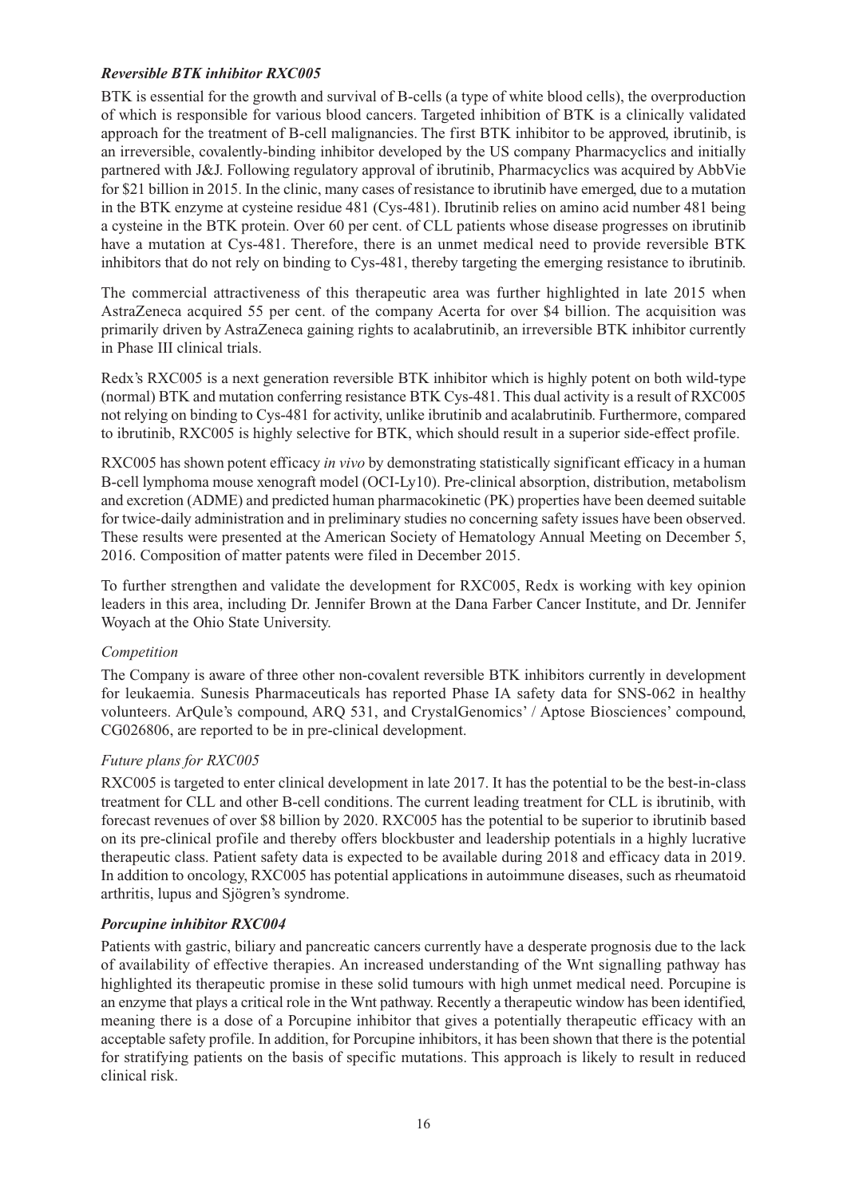## *Reversible BTK inhibitor RXC005*

BTK is essential for the growth and survival of B-cells (a type of white blood cells), the overproduction of which is responsible for various blood cancers. Targeted inhibition of BTK is a clinically validated approach for the treatment of B-cell malignancies. The first BTK inhibitor to be approved, ibrutinib, is an irreversible, covalently-binding inhibitor developed by the US company Pharmacyclics and initially partnered with J&J. Following regulatory approval of ibrutinib, Pharmacyclics was acquired by AbbVie for \$21 billion in 2015. In the clinic, many cases of resistance to ibrutinib have emerged, due to a mutation in the BTK enzyme at cysteine residue 481 (Cys-481). Ibrutinib relies on amino acid number 481 being a cysteine in the BTK protein. Over 60 per cent. of CLL patients whose disease progresses on ibrutinib have a mutation at Cys-481. Therefore, there is an unmet medical need to provide reversible BTK inhibitors that do not rely on binding to Cys-481, thereby targeting the emerging resistance to ibrutinib.

The commercial attractiveness of this therapeutic area was further highlighted in late 2015 when AstraZeneca acquired 55 per cent. of the company Acerta for over \$4 billion. The acquisition was primarily driven by AstraZeneca gaining rights to acalabrutinib, an irreversible BTK inhibitor currently in Phase III clinical trials.

Redx's RXC005 is a next generation reversible BTK inhibitor which is highly potent on both wild-type (normal) BTK and mutation conferring resistance BTK Cys-481. This dual activity is a result of RXC005 not relying on binding to Cys-481 for activity, unlike ibrutinib and acalabrutinib. Furthermore, compared to ibrutinib, RXC005 is highly selective for BTK, which should result in a superior side-effect profile.

RXC005 has shown potent efficacy *in vivo* by demonstrating statistically significant efficacy in a human B-cell lymphoma mouse xenograft model (OCI-Ly10). Pre-clinical absorption, distribution, metabolism and excretion (ADME) and predicted human pharmacokinetic (PK) properties have been deemed suitable for twice-daily administration and in preliminary studies no concerning safety issues have been observed. These results were presented at the American Society of Hematology Annual Meeting on December 5, 2016. Composition of matter patents were filed in December 2015.

To further strengthen and validate the development for RXC005, Redx is working with key opinion leaders in this area, including Dr. Jennifer Brown at the Dana Farber Cancer Institute, and Dr. Jennifer Woyach at the Ohio State University.

## *Competition*

The Company is aware of three other non-covalent reversible BTK inhibitors currently in development for leukaemia. Sunesis Pharmaceuticals has reported Phase IA safety data for SNS-062 in healthy volunteers. ArQule's compound, ARQ 531, and CrystalGenomics' / Aptose Biosciences' compound, CG026806, are reported to be in pre-clinical development.

#### *Future plans for RXC005*

RXC005 is targeted to enter clinical development in late 2017. It has the potential to be the best-in-class treatment for CLL and other B-cell conditions. The current leading treatment for CLL is ibrutinib, with forecast revenues of over \$8 billion by 2020. RXC005 has the potential to be superior to ibrutinib based on its pre-clinical profile and thereby offers blockbuster and leadership potentials in a highly lucrative therapeutic class. Patient safety data is expected to be available during 2018 and efficacy data in 2019. In addition to oncology, RXC005 has potential applications in autoimmune diseases, such as rheumatoid arthritis, lupus and Sjögren's syndrome.

## *Porcupine inhibitor RXC004*

Patients with gastric, biliary and pancreatic cancers currently have a desperate prognosis due to the lack of availability of effective therapies. An increased understanding of the Wnt signalling pathway has highlighted its therapeutic promise in these solid tumours with high unmet medical need. Porcupine is an enzyme that plays a critical role in the Wnt pathway. Recently a therapeutic window has been identified, meaning there is a dose of a Porcupine inhibitor that gives a potentially therapeutic efficacy with an acceptable safety profile. In addition, for Porcupine inhibitors, it has been shown that there is the potential for stratifying patients on the basis of specific mutations. This approach is likely to result in reduced clinical risk.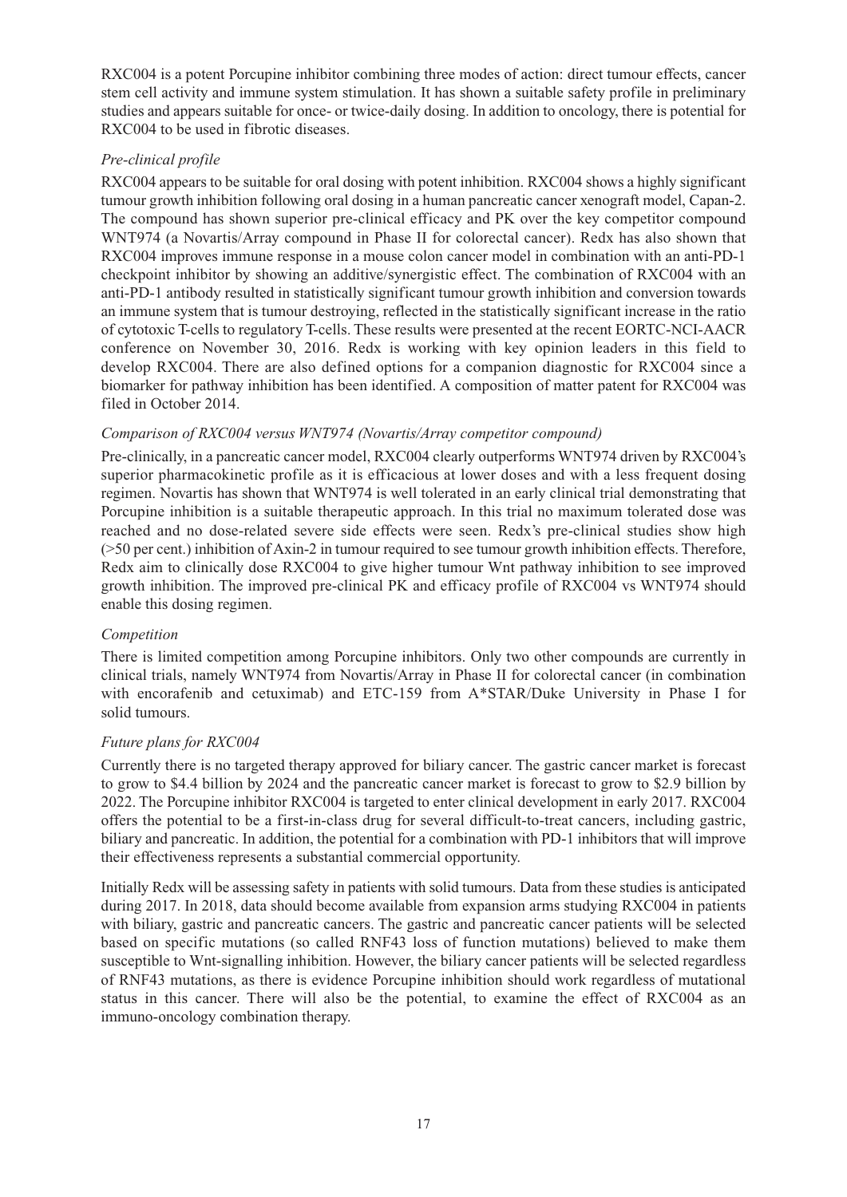RXC004 is a potent Porcupine inhibitor combining three modes of action: direct tumour effects, cancer stem cell activity and immune system stimulation. It has shown a suitable safety profile in preliminary studies and appears suitable for once- or twice-daily dosing. In addition to oncology, there is potential for RXC004 to be used in fibrotic diseases.

## *Pre-clinical profile*

RXC004 appears to be suitable for oral dosing with potent inhibition. RXC004 shows a highly significant tumour growth inhibition following oral dosing in a human pancreatic cancer xenograft model, Capan-2. The compound has shown superior pre-clinical efficacy and PK over the key competitor compound WNT974 (a Novartis/Array compound in Phase II for colorectal cancer). Redx has also shown that RXC004 improves immune response in a mouse colon cancer model in combination with an anti-PD-1 checkpoint inhibitor by showing an additive/synergistic effect. The combination of RXC004 with an anti-PD-1 antibody resulted in statistically significant tumour growth inhibition and conversion towards an immune system that is tumour destroying, reflected in the statistically significant increase in the ratio of cytotoxic T-cells to regulatory T-cells. These results were presented at the recent EORTC-NCI-AACR conference on November 30, 2016. Redx is working with key opinion leaders in this field to develop RXC004. There are also defined options for a companion diagnostic for RXC004 since a biomarker for pathway inhibition has been identified. A composition of matter patent for RXC004 was filed in October 2014.

#### *Comparison of RXC004 versus WNT974 (Novartis/Array competitor compound)*

Pre-clinically, in a pancreatic cancer model, RXC004 clearly outperforms WNT974 driven by RXC004's superior pharmacokinetic profile as it is efficacious at lower doses and with a less frequent dosing regimen. Novartis has shown that WNT974 is well tolerated in an early clinical trial demonstrating that Porcupine inhibition is a suitable therapeutic approach. In this trial no maximum tolerated dose was reached and no dose-related severe side effects were seen. Redx's pre-clinical studies show high (>50 per cent.) inhibition of Axin-2 in tumour required to see tumour growth inhibition effects. Therefore, Redx aim to clinically dose RXC004 to give higher tumour Wnt pathway inhibition to see improved growth inhibition. The improved pre-clinical PK and efficacy profile of RXC004 vs WNT974 should enable this dosing regimen.

## *Competition*

There is limited competition among Porcupine inhibitors. Only two other compounds are currently in clinical trials, namely WNT974 from Novartis/Array in Phase II for colorectal cancer (in combination with encorafenib and cetuximab) and ETC-159 from A\*STAR/Duke University in Phase I for solid tumours.

#### *Future plans for RXC004*

Currently there is no targeted therapy approved for biliary cancer. The gastric cancer market is forecast to grow to \$4.4 billion by 2024 and the pancreatic cancer market is forecast to grow to \$2.9 billion by 2022. The Porcupine inhibitor RXC004 is targeted to enter clinical development in early 2017. RXC004 offers the potential to be a first-in-class drug for several difficult-to-treat cancers, including gastric, biliary and pancreatic. In addition, the potential for a combination with PD-1 inhibitors that will improve their effectiveness represents a substantial commercial opportunity.

Initially Redx will be assessing safety in patients with solid tumours. Data from these studies is anticipated during 2017. In 2018, data should become available from expansion arms studying RXC004 in patients with biliary, gastric and pancreatic cancers. The gastric and pancreatic cancer patients will be selected based on specific mutations (so called RNF43 loss of function mutations) believed to make them susceptible to Wnt-signalling inhibition. However, the biliary cancer patients will be selected regardless of RNF43 mutations, as there is evidence Porcupine inhibition should work regardless of mutational status in this cancer. There will also be the potential, to examine the effect of RXC004 as an immuno-oncology combination therapy.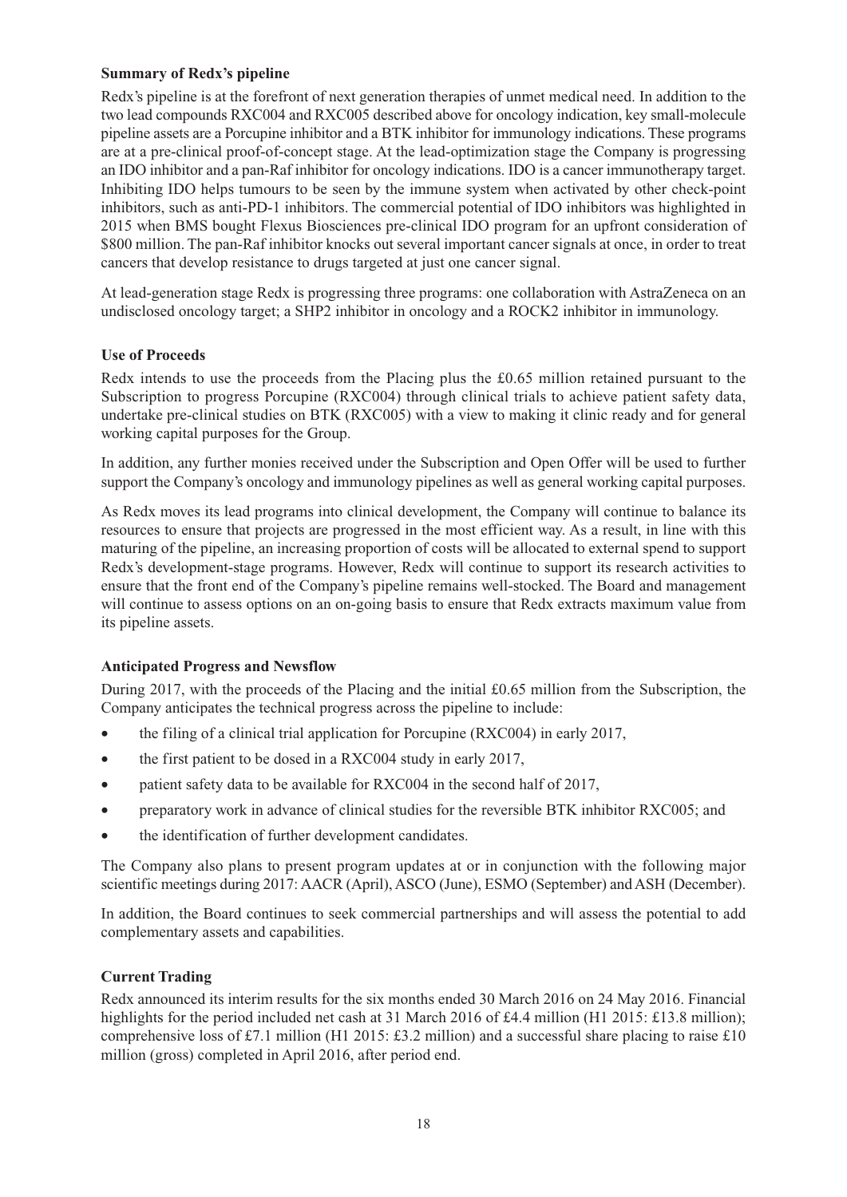## **Summary of Redx's pipeline**

Redx's pipeline is at the forefront of next generation therapies of unmet medical need. In addition to the two lead compounds RXC004 and RXC005 described above for oncology indication, key small-molecule pipeline assets are a Porcupine inhibitor and a BTK inhibitor for immunology indications. These programs are at a pre-clinical proof-of-concept stage. At the lead-optimization stage the Company is progressing an IDO inhibitor and a pan-Raf inhibitor for oncology indications. IDO is a cancer immunotherapy target. Inhibiting IDO helps tumours to be seen by the immune system when activated by other check-point inhibitors, such as anti-PD-1 inhibitors. The commercial potential of IDO inhibitors was highlighted in 2015 when BMS bought Flexus Biosciences pre-clinical IDO program for an upfront consideration of \$800 million. The pan-Raf inhibitor knocks out several important cancer signals at once, in order to treat cancers that develop resistance to drugs targeted at just one cancer signal.

At lead-generation stage Redx is progressing three programs: one collaboration with AstraZeneca on an undisclosed oncology target; a SHP2 inhibitor in oncology and a ROCK2 inhibitor in immunology.

## **Use of Proceeds**

Redx intends to use the proceeds from the Placing plus the £0.65 million retained pursuant to the Subscription to progress Porcupine (RXC004) through clinical trials to achieve patient safety data, undertake pre-clinical studies on BTK (RXC005) with a view to making it clinic ready and for general working capital purposes for the Group.

In addition, any further monies received under the Subscription and Open Offer will be used to further support the Company's oncology and immunology pipelines as well as general working capital purposes.

As Redx moves its lead programs into clinical development, the Company will continue to balance its resources to ensure that projects are progressed in the most efficient way. As a result, in line with this maturing of the pipeline, an increasing proportion of costs will be allocated to external spend to support Redx's development-stage programs. However, Redx will continue to support its research activities to ensure that the front end of the Company's pipeline remains well-stocked. The Board and management will continue to assess options on an on-going basis to ensure that Redx extracts maximum value from its pipeline assets.

## **Anticipated Progress and Newsflow**

During 2017, with the proceeds of the Placing and the initial £0.65 million from the Subscription, the Company anticipates the technical progress across the pipeline to include:

- the filing of a clinical trial application for Porcupine (RXC004) in early 2017,
- the first patient to be dosed in a RXC004 study in early 2017,
- patient safety data to be available for RXC004 in the second half of 2017,
- preparatory work in advance of clinical studies for the reversible BTK inhibitor RXC005; and
- the identification of further development candidates.

The Company also plans to present program updates at or in conjunction with the following major scientific meetings during 2017: AACR (April), ASCO (June), ESMO (September) and ASH (December).

In addition, the Board continues to seek commercial partnerships and will assess the potential to add complementary assets and capabilities.

## **Current Trading**

Redx announced its interim results for the six months ended 30 March 2016 on 24 May 2016. Financial highlights for the period included net cash at 31 March 2016 of £4.4 million (H1 2015: £13.8 million); comprehensive loss of £7.1 million (H1 2015: £3.2 million) and a successful share placing to raise £10 million (gross) completed in April 2016, after period end.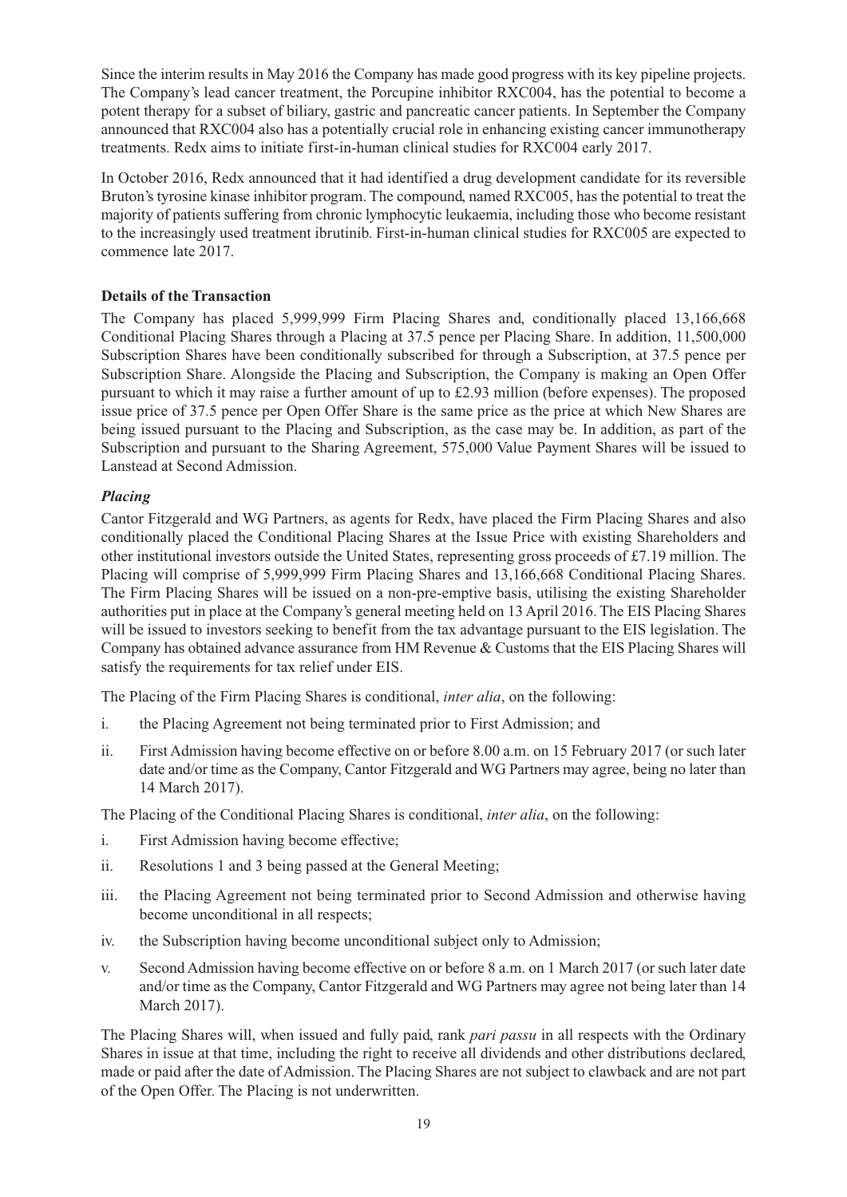Since the interim results in May 2016 the Company has made good progress with its key pipeline projects. The Company's lead cancer treatment, the Porcupine inhibitor RXC004, has the potential to become a potent therapy for a subset of biliary, gastric and pancreatic cancer patients. In September the Company announced that RXC004 also has a potentially crucial role in enhancing existing cancer immunotherapy treatments. Redx aims to initiate first-in-human clinical studies for RXC004 early 2017.

In October 2016, Redx announced that it had identified a drug development candidate for its reversible Bruton's tyrosine kinase inhibitor program. The compound, named RXC005, has the potential to treat the majority of patients suffering from chronic lymphocytic leukaemia, including those who become resistant to the increasingly used treatment ibrutinib. First-in-human clinical studies for RXC005 are expected to commence late 2017.

## **Details of the Transaction**

The Company has placed 5,999,999 Firm Placing Shares and, conditionally placed 13,166,668 Conditional Placing Shares through a Placing at 37.5 pence per Placing Share. In addition, 11,500,000 Subscription Shares have been conditionally subscribed for through a Subscription, at 37.5 pence per Subscription Share. Alongside the Placing and Subscription, the Company is making an Open Offer pursuant to which it may raise a further amount of up to £2.93 million (before expenses). The proposed issue price of 37.5 pence per Open Offer Share is the same price as the price at which New Shares are being issued pursuant to the Placing and Subscription, as the case may be. In addition, as part of the Subscription and pursuant to the Sharing Agreement, 575,000 Value Payment Shares will be issued to Lanstead at Second Admission.

## *Placing*

Cantor Fitzgerald and WG Partners, as agents for Redx, have placed the Firm Placing Shares and also conditionally placed the Conditional Placing Shares at the Issue Price with existing Shareholders and other institutional investors outside the United States, representing gross proceeds of £7.19 million. The Placing will comprise of 5,999,999 Firm Placing Shares and 13,166,668 Conditional Placing Shares. The Firm Placing Shares will be issued on a non-pre-emptive basis, utilising the existing Shareholder authorities put in place at the Company's general meeting held on 13 April 2016. The EIS Placing Shares will be issued to investors seeking to benefit from the tax advantage pursuant to the EIS legislation. The Company has obtained advance assurance from HM Revenue & Customs that the EIS Placing Shares will satisfy the requirements for tax relief under EIS.

The Placing of the Firm Placing Shares is conditional, *inter alia*, on the following:

- i. the Placing Agreement not being terminated prior to First Admission; and
- ii. First Admission having become effective on or before 8.00 a.m. on 15 February 2017 (or such later date and/or time as the Company, Cantor Fitzgerald and WG Partners may agree, being no later than 14 March 2017).

The Placing of the Conditional Placing Shares is conditional, *inter alia*, on the following:

- i. First Admission having become effective;
- ii. Resolutions 1 and 3 being passed at the General Meeting;
- iii. the Placing Agreement not being terminated prior to Second Admission and otherwise having become unconditional in all respects;
- iv. the Subscription having become unconditional subject only to Admission;
- v. Second Admission having become effective on or before 8 a.m. on 1 March 2017 (or such later date and/or time as the Company, Cantor Fitzgerald and WG Partners may agree not being later than 14 March 2017).

The Placing Shares will, when issued and fully paid, rank *pari passu* in all respects with the Ordinary Shares in issue at that time, including the right to receive all dividends and other distributions declared, made or paid after the date of Admission. The Placing Shares are not subject to clawback and are not part of the Open Offer. The Placing is not underwritten.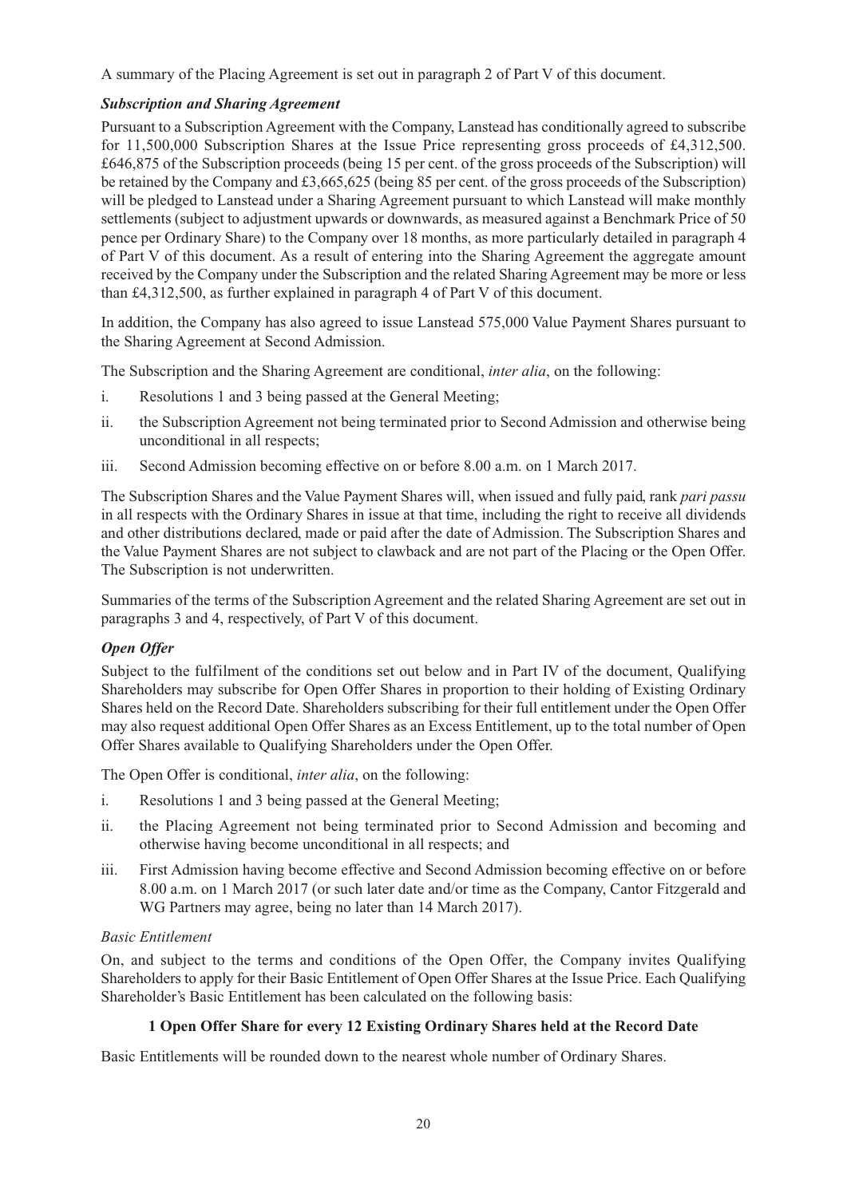A summary of the Placing Agreement is set out in paragraph 2 of Part V of this document.

## *Subscription and Sharing Agreement*

Pursuant to a Subscription Agreement with the Company, Lanstead has conditionally agreed to subscribe for 11,500,000 Subscription Shares at the Issue Price representing gross proceeds of £4,312,500. £646,875 of the Subscription proceeds (being 15 per cent. of the gross proceeds of the Subscription) will be retained by the Company and £3,665,625 (being 85 per cent. of the gross proceeds of the Subscription) will be pledged to Lanstead under a Sharing Agreement pursuant to which Lanstead will make monthly settlements (subject to adjustment upwards or downwards, as measured against a Benchmark Price of 50 pence per Ordinary Share) to the Company over 18 months, as more particularly detailed in paragraph 4 of Part V of this document. As a result of entering into the Sharing Agreement the aggregate amount received by the Company under the Subscription and the related Sharing Agreement may be more or less than £4,312,500, as further explained in paragraph 4 of Part V of this document.

In addition, the Company has also agreed to issue Lanstead 575,000 Value Payment Shares pursuant to the Sharing Agreement at Second Admission.

The Subscription and the Sharing Agreement are conditional, *inter alia*, on the following:

- i. Resolutions 1 and 3 being passed at the General Meeting;
- ii. the Subscription Agreement not being terminated prior to Second Admission and otherwise being unconditional in all respects;
- iii. Second Admission becoming effective on or before 8.00 a.m. on 1 March 2017.

The Subscription Shares and the Value Payment Shares will, when issued and fully paid, rank *pari passu* in all respects with the Ordinary Shares in issue at that time, including the right to receive all dividends and other distributions declared, made or paid after the date of Admission. The Subscription Shares and the Value Payment Shares are not subject to clawback and are not part of the Placing or the Open Offer. The Subscription is not underwritten.

Summaries of the terms of the Subscription Agreement and the related Sharing Agreement are set out in paragraphs 3 and 4, respectively, of Part V of this document.

## *Open Offer*

Subject to the fulfilment of the conditions set out below and in Part IV of the document, Qualifying Shareholders may subscribe for Open Offer Shares in proportion to their holding of Existing Ordinary Shares held on the Record Date. Shareholders subscribing for their full entitlement under the Open Offer may also request additional Open Offer Shares as an Excess Entitlement, up to the total number of Open Offer Shares available to Qualifying Shareholders under the Open Offer.

The Open Offer is conditional, *inter alia*, on the following:

- i. Resolutions 1 and 3 being passed at the General Meeting;
- ii. the Placing Agreement not being terminated prior to Second Admission and becoming and otherwise having become unconditional in all respects; and
- iii. First Admission having become effective and Second Admission becoming effective on or before 8.00 a.m. on 1 March 2017 (or such later date and/or time as the Company, Cantor Fitzgerald and WG Partners may agree, being no later than 14 March 2017).

## *Basic Entitlement*

On, and subject to the terms and conditions of the Open Offer, the Company invites Qualifying Shareholders to apply for their Basic Entitlement of Open Offer Shares at the Issue Price. Each Qualifying Shareholder's Basic Entitlement has been calculated on the following basis:

## **1 Open Offer Share for every 12 Existing Ordinary Shares held at the Record Date**

Basic Entitlements will be rounded down to the nearest whole number of Ordinary Shares.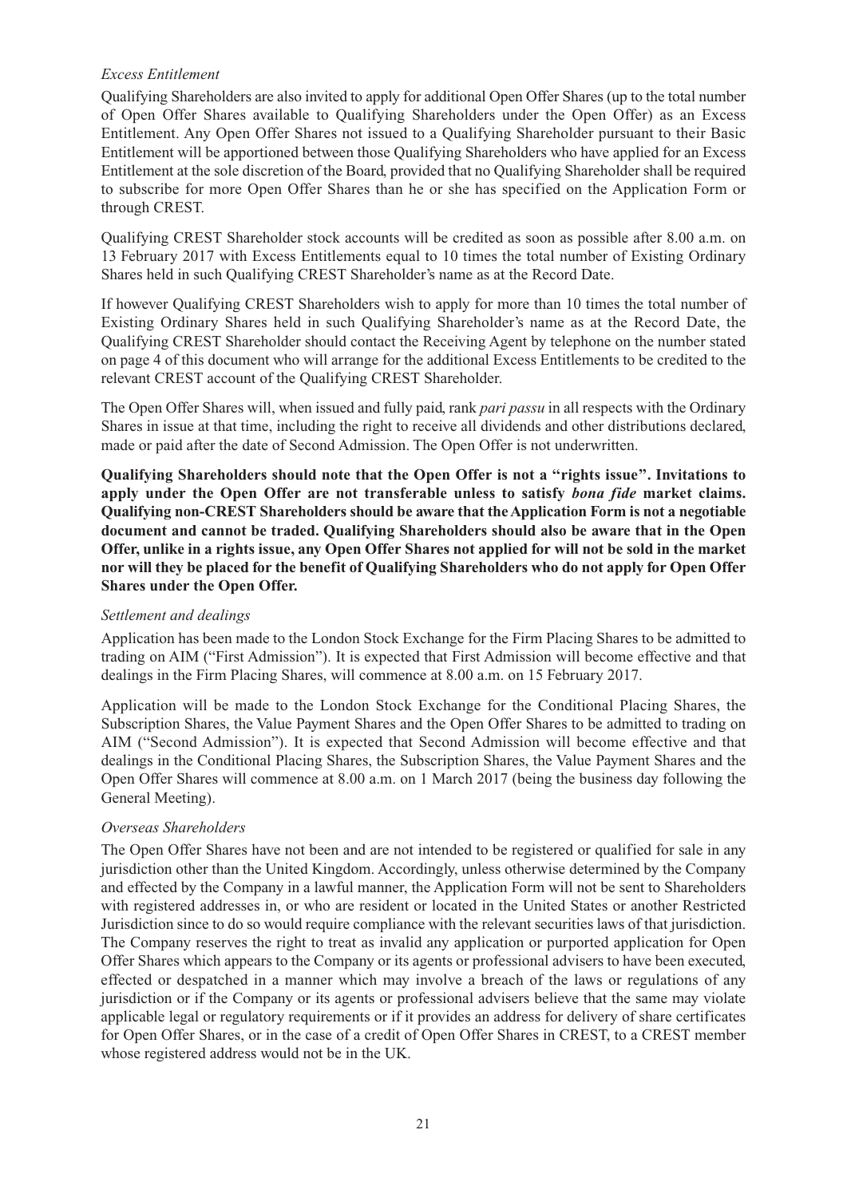## *Excess Entitlement*

Qualifying Shareholders are also invited to apply for additional Open Offer Shares (up to the total number of Open Offer Shares available to Qualifying Shareholders under the Open Offer) as an Excess Entitlement. Any Open Offer Shares not issued to a Qualifying Shareholder pursuant to their Basic Entitlement will be apportioned between those Qualifying Shareholders who have applied for an Excess Entitlement at the sole discretion of the Board, provided that no Qualifying Shareholder shall be required to subscribe for more Open Offer Shares than he or she has specified on the Application Form or through CREST.

Qualifying CREST Shareholder stock accounts will be credited as soon as possible after 8.00 a.m. on 13 February 2017 with Excess Entitlements equal to 10 times the total number of Existing Ordinary Shares held in such Qualifying CREST Shareholder's name as at the Record Date.

If however Qualifying CREST Shareholders wish to apply for more than 10 times the total number of Existing Ordinary Shares held in such Qualifying Shareholder's name as at the Record Date, the Qualifying CREST Shareholder should contact the Receiving Agent by telephone on the number stated on page 4 of this document who will arrange for the additional Excess Entitlements to be credited to the relevant CREST account of the Qualifying CREST Shareholder.

The Open Offer Shares will, when issued and fully paid, rank *pari passu* in all respects with the Ordinary Shares in issue at that time, including the right to receive all dividends and other distributions declared, made or paid after the date of Second Admission. The Open Offer is not underwritten.

**Qualifying Shareholders should note that the Open Offer is not a ''rights issue''. Invitations to apply under the Open Offer are not transferable unless to satisfy** *bona fide* **market claims. Qualifying non-CREST Shareholders should be aware that theApplication Form is not a negotiable document and cannot be traded. Qualifying Shareholders should also be aware that in the Open** Offer, unlike in a rights issue, any Open Offer Shares not applied for will not be sold in the market **nor will they be placed for the benefit of Qualifying Shareholders who do not apply for Open Offer Shares under the Open Offer.**

#### *Settlement and dealings*

Application has been made to the London Stock Exchange for the Firm Placing Shares to be admitted to trading on AIM ("First Admission"). It is expected that First Admission will become effective and that dealings in the Firm Placing Shares, will commence at 8.00 a.m. on 15 February 2017.

Application will be made to the London Stock Exchange for the Conditional Placing Shares, the Subscription Shares, the Value Payment Shares and the Open Offer Shares to be admitted to trading on AIM ("Second Admission"). It is expected that Second Admission will become effective and that dealings in the Conditional Placing Shares, the Subscription Shares, the Value Payment Shares and the Open Offer Shares will commence at 8.00 a.m. on 1 March 2017 (being the business day following the General Meeting).

## *Overseas Shareholders*

The Open Offer Shares have not been and are not intended to be registered or qualified for sale in any jurisdiction other than the United Kingdom. Accordingly, unless otherwise determined by the Company and effected by the Company in a lawful manner, the Application Form will not be sent to Shareholders with registered addresses in, or who are resident or located in the United States or another Restricted Jurisdiction since to do so would require compliance with the relevant securities laws of that jurisdiction. The Company reserves the right to treat as invalid any application or purported application for Open Offer Shares which appears to the Company or its agents or professional advisers to have been executed, effected or despatched in a manner which may involve a breach of the laws or regulations of any jurisdiction or if the Company or its agents or professional advisers believe that the same may violate applicable legal or regulatory requirements or if it provides an address for delivery of share certificates for Open Offer Shares, or in the case of a credit of Open Offer Shares in CREST, to a CREST member whose registered address would not be in the UK.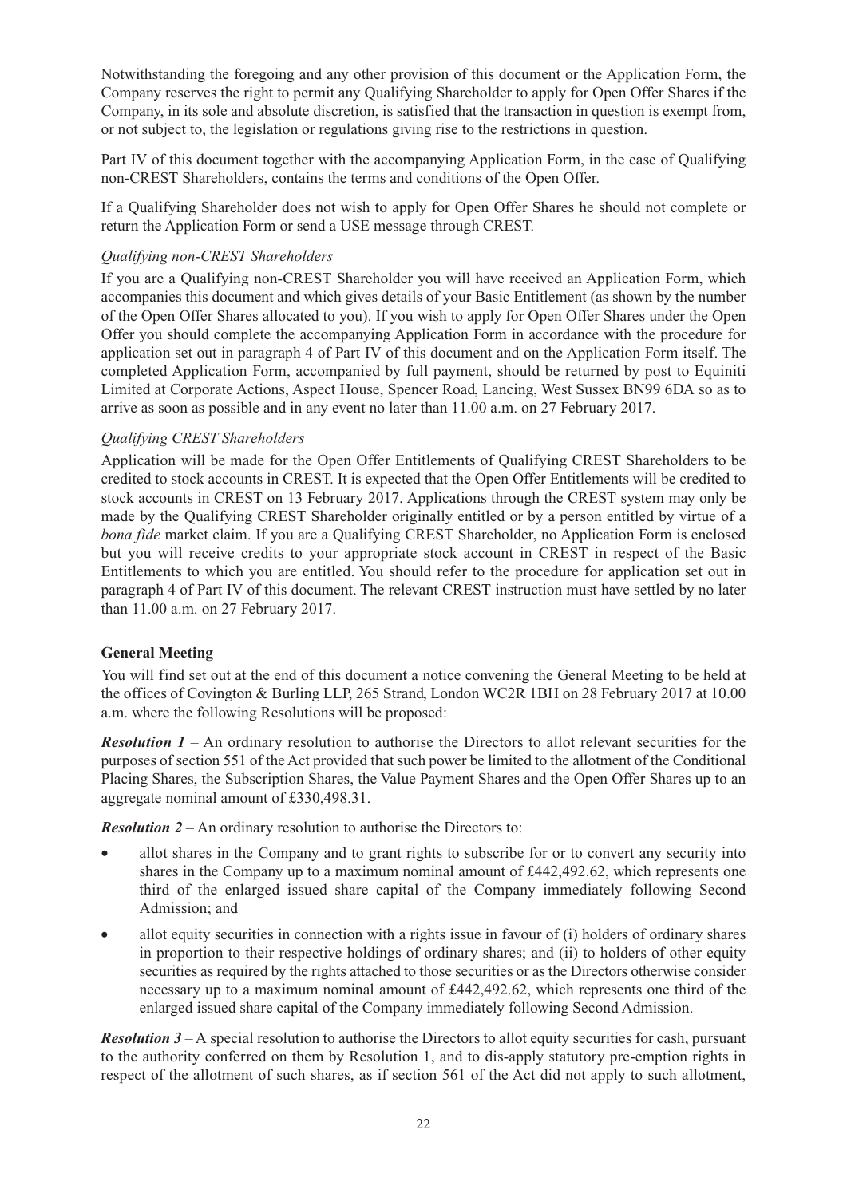Notwithstanding the foregoing and any other provision of this document or the Application Form, the Company reserves the right to permit any Qualifying Shareholder to apply for Open Offer Shares if the Company, in its sole and absolute discretion, is satisfied that the transaction in question is exempt from, or not subject to, the legislation or regulations giving rise to the restrictions in question.

Part IV of this document together with the accompanying Application Form, in the case of Qualifying non-CREST Shareholders, contains the terms and conditions of the Open Offer.

If a Qualifying Shareholder does not wish to apply for Open Offer Shares he should not complete or return the Application Form or send a USE message through CREST.

## *Qualifying non-CREST Shareholders*

If you are a Qualifying non-CREST Shareholder you will have received an Application Form, which accompanies this document and which gives details of your Basic Entitlement (as shown by the number of the Open Offer Shares allocated to you). If you wish to apply for Open Offer Shares under the Open Offer you should complete the accompanying Application Form in accordance with the procedure for application set out in paragraph 4 of Part IV of this document and on the Application Form itself. The completed Application Form, accompanied by full payment, should be returned by post to Equiniti Limited at Corporate Actions, Aspect House, Spencer Road, Lancing, West Sussex BN99 6DA so as to arrive as soon as possible and in any event no later than 11.00 a.m. on 27 February 2017.

#### *Qualifying CREST Shareholders*

Application will be made for the Open Offer Entitlements of Qualifying CREST Shareholders to be credited to stock accounts in CREST. It is expected that the Open Offer Entitlements will be credited to stock accounts in CREST on 13 February 2017. Applications through the CREST system may only be made by the Qualifying CREST Shareholder originally entitled or by a person entitled by virtue of a *bona fide* market claim. If you are a Qualifying CREST Shareholder, no Application Form is enclosed but you will receive credits to your appropriate stock account in CREST in respect of the Basic Entitlements to which you are entitled. You should refer to the procedure for application set out in paragraph 4 of Part IV of this document. The relevant CREST instruction must have settled by no later than 11.00 a.m. on 27 February 2017.

## **General Meeting**

You will find set out at the end of this document a notice convening the General Meeting to be held at the offices of Covington & Burling LLP, 265 Strand, London WC2R 1BH on 28 February 2017 at 10.00 a.m. where the following Resolutions will be proposed:

*Resolution 1* – An ordinary resolution to authorise the Directors to allot relevant securities for the purposes of section 551 of the Act provided that such power be limited to the allotment of the Conditional Placing Shares, the Subscription Shares, the Value Payment Shares and the Open Offer Shares up to an aggregate nominal amount of £330,498.31.

*Resolution 2* – An ordinary resolution to authorise the Directors to:

- allot shares in the Company and to grant rights to subscribe for or to convert any security into shares in the Company up to a maximum nominal amount of £442,492.62, which represents one third of the enlarged issued share capital of the Company immediately following Second Admission; and
- allot equity securities in connection with a rights issue in favour of (i) holders of ordinary shares in proportion to their respective holdings of ordinary shares; and (ii) to holders of other equity securities as required by the rights attached to those securities or as the Directors otherwise consider necessary up to a maximum nominal amount of £442,492.62, which represents one third of the enlarged issued share capital of the Company immediately following Second Admission.

*Resolution 3* – A special resolution to authorise the Directors to allot equity securities for cash, pursuant to the authority conferred on them by Resolution 1, and to dis-apply statutory pre-emption rights in respect of the allotment of such shares, as if section 561 of the Act did not apply to such allotment,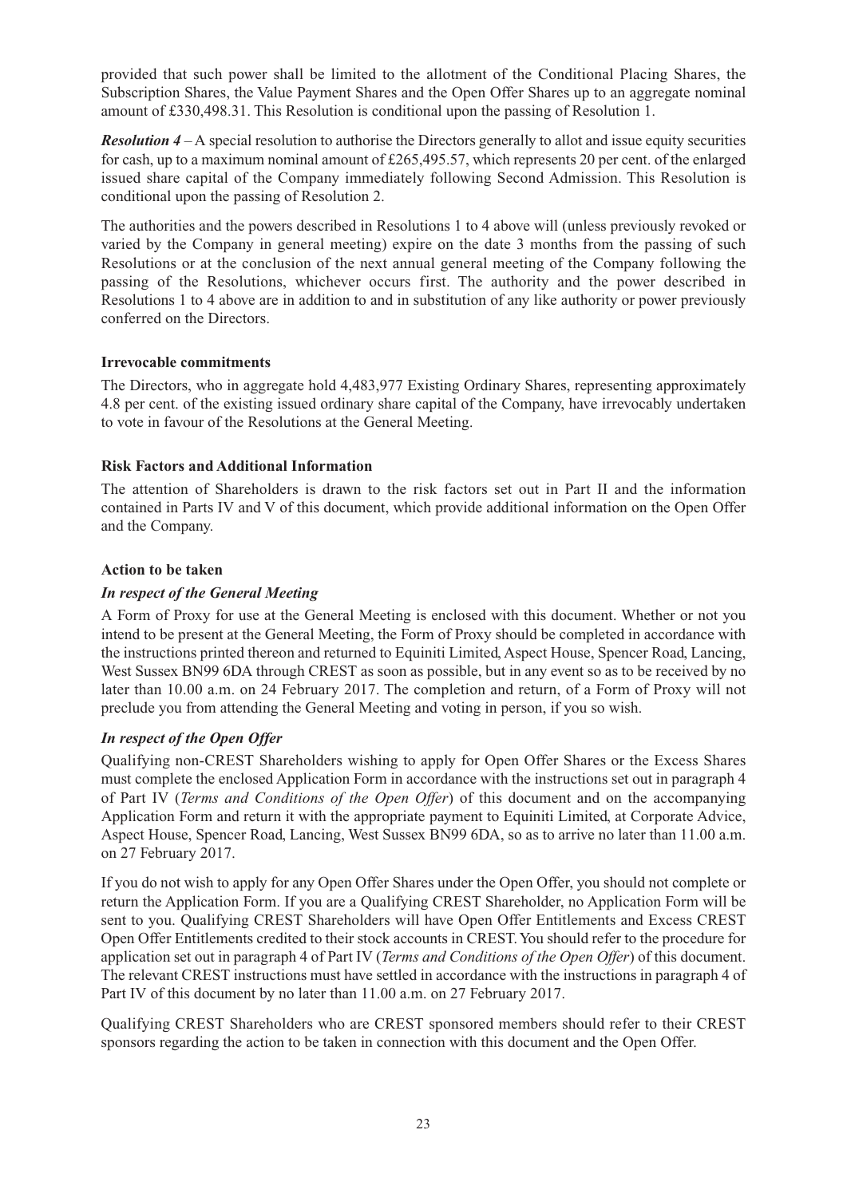provided that such power shall be limited to the allotment of the Conditional Placing Shares, the Subscription Shares, the Value Payment Shares and the Open Offer Shares up to an aggregate nominal amount of £330,498.31. This Resolution is conditional upon the passing of Resolution 1.

*Resolution 4* – A special resolution to authorise the Directors generally to allot and issue equity securities for cash, up to a maximum nominal amount of £265,495.57, which represents 20 per cent. of the enlarged issued share capital of the Company immediately following Second Admission. This Resolution is conditional upon the passing of Resolution 2.

The authorities and the powers described in Resolutions 1 to 4 above will (unless previously revoked or varied by the Company in general meeting) expire on the date 3 months from the passing of such Resolutions or at the conclusion of the next annual general meeting of the Company following the passing of the Resolutions, whichever occurs first. The authority and the power described in Resolutions 1 to 4 above are in addition to and in substitution of any like authority or power previously conferred on the Directors.

#### **Irrevocable commitments**

The Directors, who in aggregate hold 4,483,977 Existing Ordinary Shares, representing approximately 4.8 per cent. of the existing issued ordinary share capital of the Company, have irrevocably undertaken to vote in favour of the Resolutions at the General Meeting.

#### **Risk Factors and Additional Information**

The attention of Shareholders is drawn to the risk factors set out in Part II and the information contained in Parts IV and V of this document, which provide additional information on the Open Offer and the Company.

#### **Action to be taken**

## *In respect of the General Meeting*

A Form of Proxy for use at the General Meeting is enclosed with this document. Whether or not you intend to be present at the General Meeting, the Form of Proxy should be completed in accordance with the instructions printed thereon and returned to Equiniti Limited, Aspect House, Spencer Road, Lancing, West Sussex BN99 6DA through CREST as soon as possible, but in any event so as to be received by no later than 10.00 a.m. on 24 February 2017. The completion and return, of a Form of Proxy will not preclude you from attending the General Meeting and voting in person, if you so wish.

## *In respect of the Open Offer*

Qualifying non-CREST Shareholders wishing to apply for Open Offer Shares or the Excess Shares must complete the enclosed Application Form in accordance with the instructions set out in paragraph 4 of Part IV (*Terms and Conditions of the Open Offer*) of this document and on the accompanying Application Form and return it with the appropriate payment to Equiniti Limited, at Corporate Advice, Aspect House, Spencer Road, Lancing, West Sussex BN99 6DA, so as to arrive no later than 11.00 a.m. on 27 February 2017.

If you do not wish to apply for any Open Offer Shares under the Open Offer, you should not complete or return the Application Form. If you are a Qualifying CREST Shareholder, no Application Form will be sent to you. Qualifying CREST Shareholders will have Open Offer Entitlements and Excess CREST Open Offer Entitlements credited to their stock accounts in CREST.You should refer to the procedure for application set out in paragraph 4 of Part IV (*Terms and Conditions of the Open Offer*) of this document. The relevant CREST instructions must have settled in accordance with the instructions in paragraph 4 of Part IV of this document by no later than 11.00 a.m. on 27 February 2017.

Qualifying CREST Shareholders who are CREST sponsored members should refer to their CREST sponsors regarding the action to be taken in connection with this document and the Open Offer.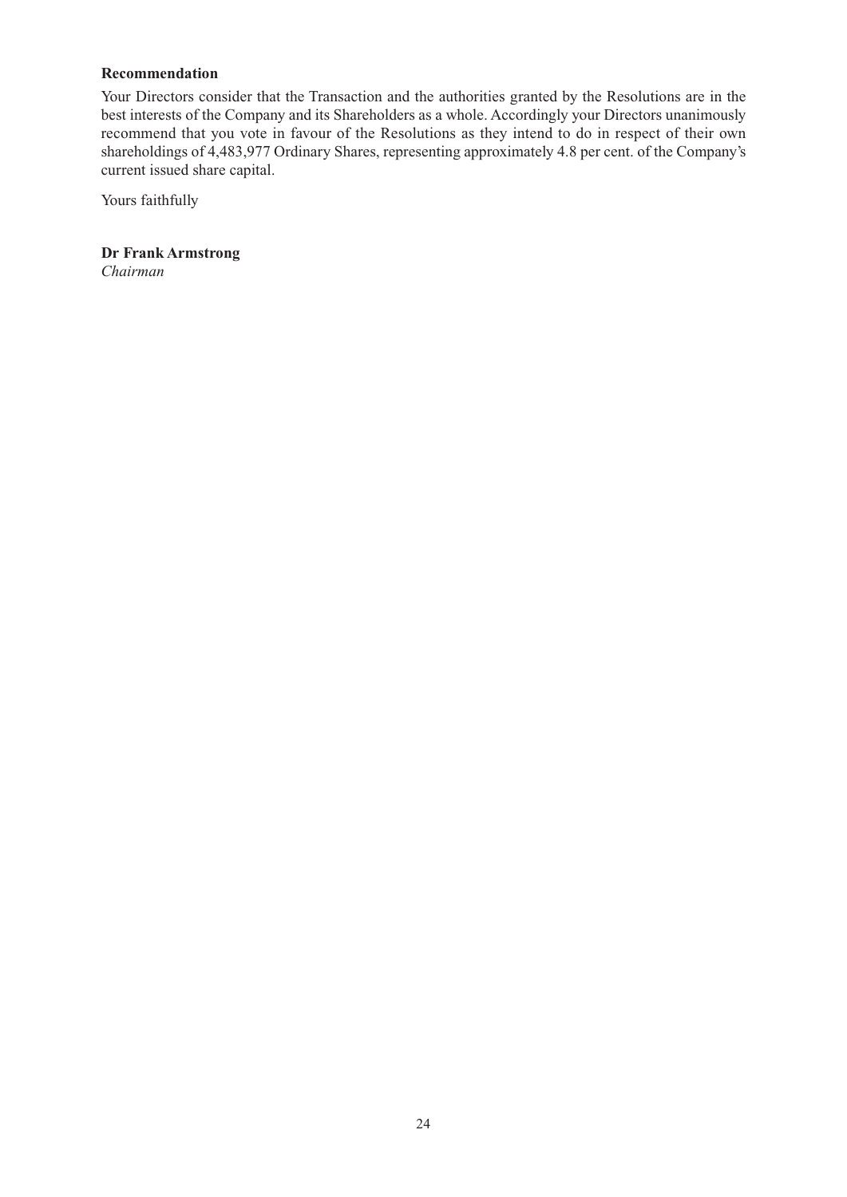## **Recommendation**

Your Directors consider that the Transaction and the authorities granted by the Resolutions are in the best interests of the Company and its Shareholders as a whole. Accordingly your Directors unanimously recommend that you vote in favour of the Resolutions as they intend to do in respect of their own shareholdings of 4,483,977 Ordinary Shares, representing approximately 4.8 per cent. of the Company's current issued share capital.

Yours faithfully

**Dr Frank Armstrong** *Chairman*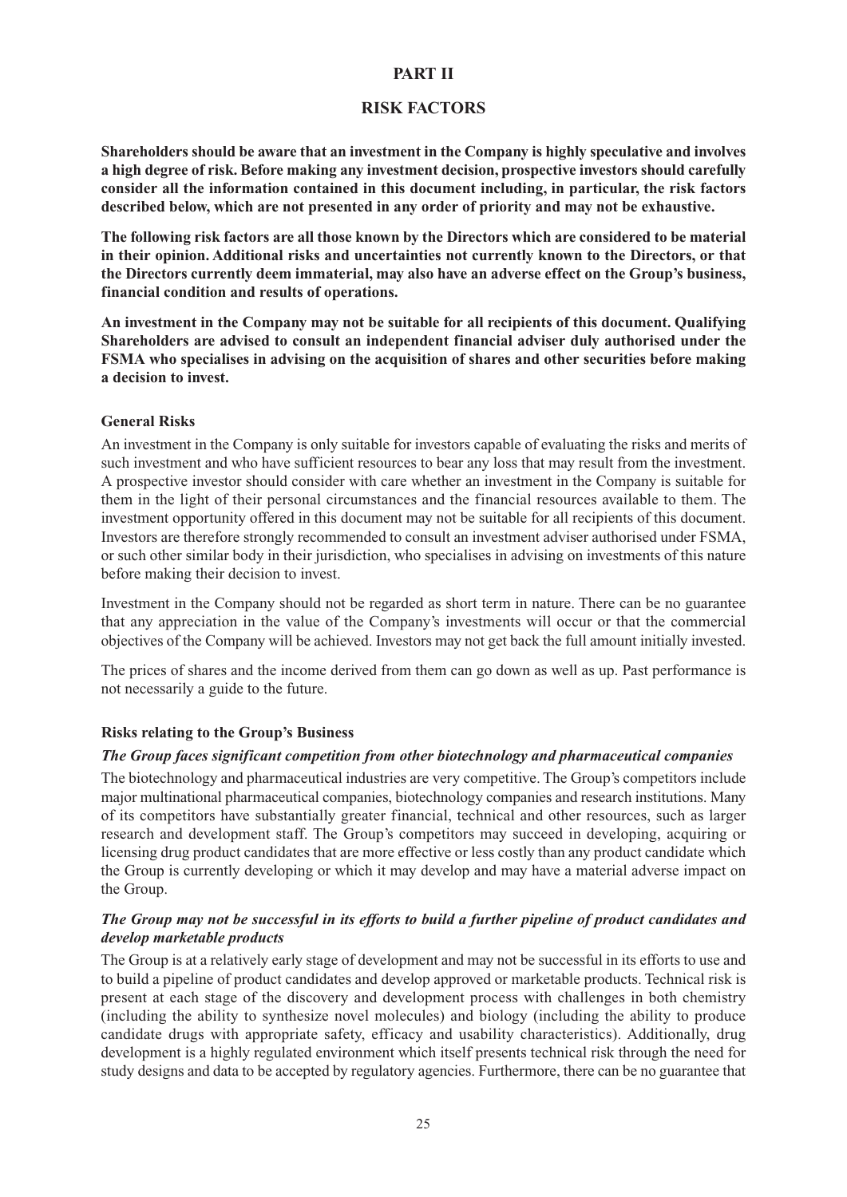#### **PART II**

#### **RISK FACTORS**

**Shareholders should be aware that an investment in the Company is highly speculative and involves a high degree of risk. Before making any investment decision, prospective investors should carefully consider all the information contained in this document including, in particular, the risk factors described below, which are not presented in any order of priority and may not be exhaustive.**

**The following risk factors are all those known by the Directors which are considered to be material in their opinion. Additional risks and uncertainties not currently known to the Directors, or that the Directors currently deem immaterial, may also have an adverse effect on the Group's business, financial condition and results of operations.**

**An investment in the Company may not be suitable for all recipients of this document. Qualifying Shareholders are advised to consult an independent financial adviser duly authorised under the FSMA who specialises in advising on the acquisition of shares and other securities before making a decision to invest.**

#### **General Risks**

An investment in the Company is only suitable for investors capable of evaluating the risks and merits of such investment and who have sufficient resources to bear any loss that may result from the investment. A prospective investor should consider with care whether an investment in the Company is suitable for them in the light of their personal circumstances and the financial resources available to them. The investment opportunity offered in this document may not be suitable for all recipients of this document. Investors are therefore strongly recommended to consult an investment adviser authorised under FSMA, or such other similar body in their jurisdiction, who specialises in advising on investments of this nature before making their decision to invest.

Investment in the Company should not be regarded as short term in nature. There can be no guarantee that any appreciation in the value of the Company's investments will occur or that the commercial objectives of the Company will be achieved. Investors may not get back the full amount initially invested.

The prices of shares and the income derived from them can go down as well as up. Past performance is not necessarily a guide to the future.

#### **Risks relating to the Group's Business**

#### *The Group faces significant competition from other biotechnology and pharmaceutical companies*

The biotechnology and pharmaceutical industries are very competitive. The Group's competitors include major multinational pharmaceutical companies, biotechnology companies and research institutions. Many of its competitors have substantially greater financial, technical and other resources, such as larger research and development staff. The Group's competitors may succeed in developing, acquiring or licensing drug product candidates that are more effective or less costly than any product candidate which the Group is currently developing or which it may develop and may have a material adverse impact on the Group.

## The Group may not be successful in its efforts to build a further pipeline of product candidates and *develop marketable products*

The Group is at a relatively early stage of development and may not be successful in its efforts to use and to build a pipeline of product candidates and develop approved or marketable products. Technical risk is present at each stage of the discovery and development process with challenges in both chemistry (including the ability to synthesize novel molecules) and biology (including the ability to produce candidate drugs with appropriate safety, efficacy and usability characteristics). Additionally, drug development is a highly regulated environment which itself presents technical risk through the need for study designs and data to be accepted by regulatory agencies. Furthermore, there can be no guarantee that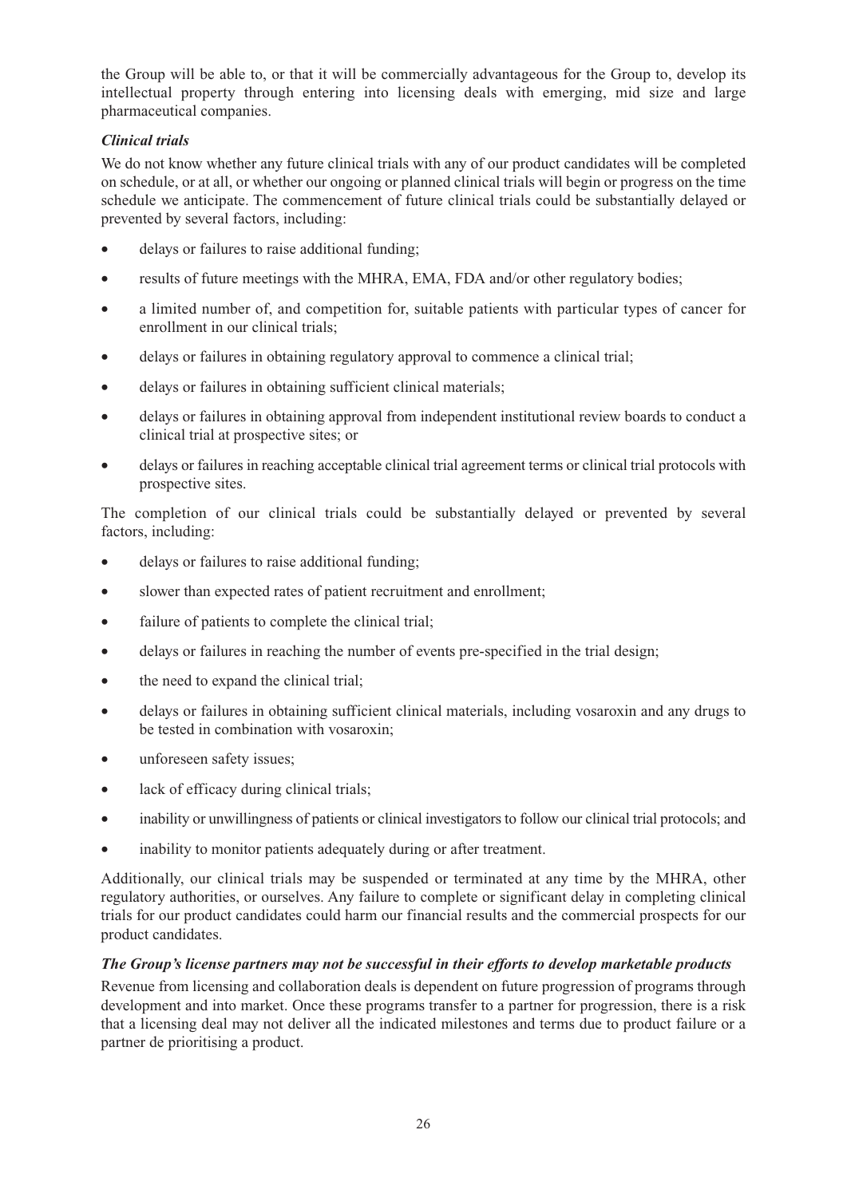the Group will be able to, or that it will be commercially advantageous for the Group to, develop its intellectual property through entering into licensing deals with emerging, mid size and large pharmaceutical companies.

## *Clinical trials*

We do not know whether any future clinical trials with any of our product candidates will be completed on schedule, or at all, or whether our ongoing or planned clinical trials will begin or progress on the time schedule we anticipate. The commencement of future clinical trials could be substantially delayed or prevented by several factors, including:

- delays or failures to raise additional funding:
- results of future meetings with the MHRA, EMA, FDA and/or other regulatory bodies;
- a limited number of, and competition for, suitable patients with particular types of cancer for enrollment in our clinical trials;
- delays or failures in obtaining regulatory approval to commence a clinical trial;
- delays or failures in obtaining sufficient clinical materials;
- delays or failures in obtaining approval from independent institutional review boards to conduct a clinical trial at prospective sites; or
- delays or failures in reaching acceptable clinical trial agreement terms or clinical trial protocols with prospective sites.

The completion of our clinical trials could be substantially delayed or prevented by several factors, including:

- delays or failures to raise additional funding;
- slower than expected rates of patient recruitment and enrollment;
- failure of patients to complete the clinical trial;
- delays or failures in reaching the number of events pre-specified in the trial design;
- the need to expand the clinical trial;
- delays or failures in obtaining sufficient clinical materials, including vosaroxin and any drugs to be tested in combination with vosaroxin;
- unforeseen safety issues;
- lack of efficacy during clinical trials;
- inability or unwillingness of patients or clinical investigators to follow our clinical trial protocols; and
- inability to monitor patients adequately during or after treatment.

Additionally, our clinical trials may be suspended or terminated at any time by the MHRA, other regulatory authorities, or ourselves. Any failure to complete or significant delay in completing clinical trials for our product candidates could harm our financial results and the commercial prospects for our product candidates.

#### *The Group's license partners may not be successful in their efforts to develop marketable products*

Revenue from licensing and collaboration deals is dependent on future progression of programs through development and into market. Once these programs transfer to a partner for progression, there is a risk that a licensing deal may not deliver all the indicated milestones and terms due to product failure or a partner de prioritising a product.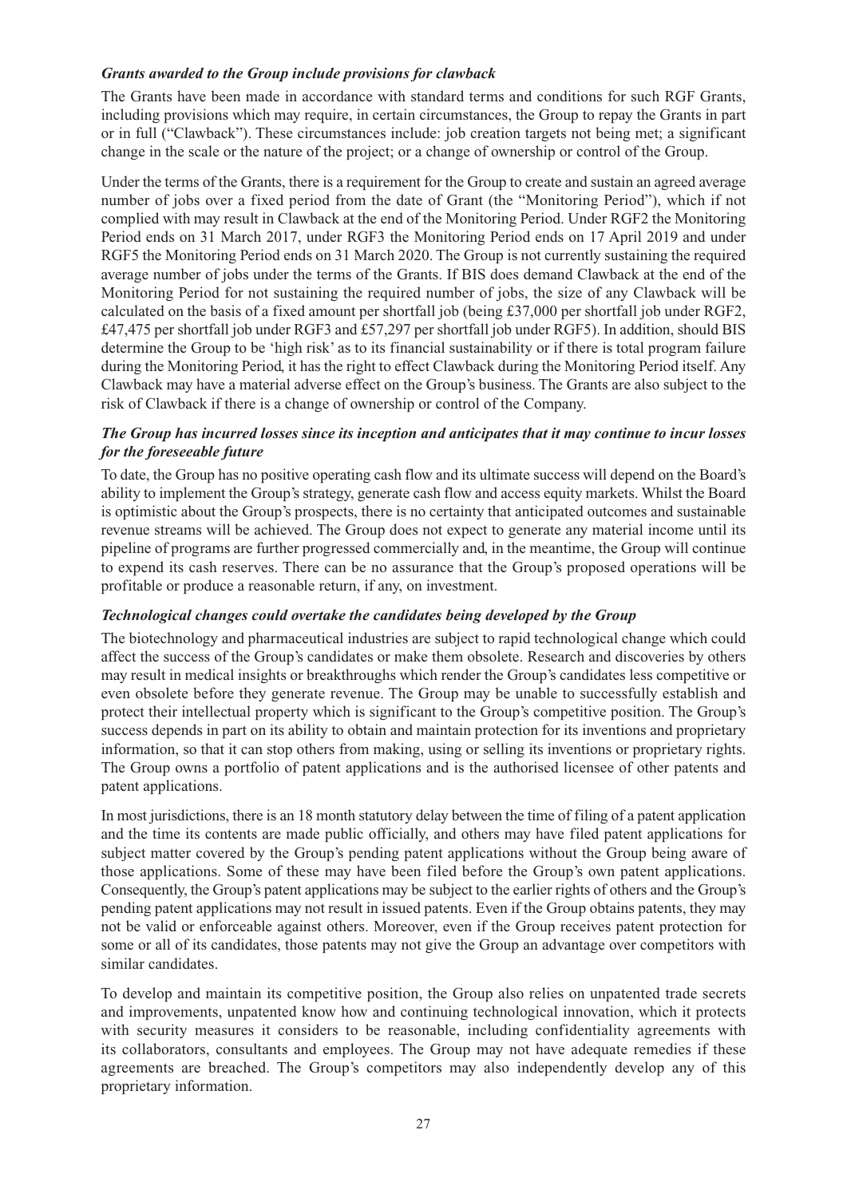## *Grants awarded to the Group include provisions for clawback*

The Grants have been made in accordance with standard terms and conditions for such RGF Grants, including provisions which may require, in certain circumstances, the Group to repay the Grants in part or in full ("Clawback"). These circumstances include: job creation targets not being met; a significant change in the scale or the nature of the project; or a change of ownership or control of the Group.

Under the terms of the Grants, there is a requirement for the Group to create and sustain an agreed average number of jobs over a fixed period from the date of Grant (the "Monitoring Period"), which if not complied with may result in Clawback at the end of the Monitoring Period. Under RGF2 the Monitoring Period ends on 31 March 2017, under RGF3 the Monitoring Period ends on 17 April 2019 and under RGF5 the Monitoring Period ends on 31 March 2020. The Group is not currently sustaining the required average number of jobs under the terms of the Grants. If BIS does demand Clawback at the end of the Monitoring Period for not sustaining the required number of jobs, the size of any Clawback will be calculated on the basis of a fixed amount per shortfall job (being £37,000 per shortfall job under RGF2, £47,475 per shortfall job under RGF3 and £57,297 per shortfall job under RGF5). In addition, should BIS determine the Group to be 'high risk' as to its financial sustainability or if there is total program failure during the Monitoring Period, it has the right to effect Clawback during the Monitoring Period itself. Any Clawback may have a material adverse effect on the Group's business. The Grants are also subject to the risk of Clawback if there is a change of ownership or control of the Company.

## *The Group has incurred losses since its inception and anticipates that it may continue to incur losses for the foreseeable future*

To date, the Group has no positive operating cash flow and its ultimate success will depend on the Board's ability to implement the Group's strategy, generate cash flow and access equity markets. Whilst the Board is optimistic about the Group's prospects, there is no certainty that anticipated outcomes and sustainable revenue streams will be achieved. The Group does not expect to generate any material income until its pipeline of programs are further progressed commercially and, in the meantime, the Group will continue to expend its cash reserves. There can be no assurance that the Group's proposed operations will be profitable or produce a reasonable return, if any, on investment.

## *Technological changes could overtake the candidates being developed by the Group*

The biotechnology and pharmaceutical industries are subject to rapid technological change which could affect the success of the Group's candidates or make them obsolete. Research and discoveries by others may result in medical insights or breakthroughs which render the Group's candidates less competitive or even obsolete before they generate revenue. The Group may be unable to successfully establish and protect their intellectual property which is significant to the Group's competitive position. The Group's success depends in part on its ability to obtain and maintain protection for its inventions and proprietary information, so that it can stop others from making, using or selling its inventions or proprietary rights. The Group owns a portfolio of patent applications and is the authorised licensee of other patents and patent applications.

In most jurisdictions, there is an 18 month statutory delay between the time of filing of a patent application and the time its contents are made public officially, and others may have filed patent applications for subject matter covered by the Group's pending patent applications without the Group being aware of those applications. Some of these may have been filed before the Group's own patent applications. Consequently, the Group's patent applications may be subject to the earlier rights of others and the Group's pending patent applications may not result in issued patents. Even if the Group obtains patents, they may not be valid or enforceable against others. Moreover, even if the Group receives patent protection for some or all of its candidates, those patents may not give the Group an advantage over competitors with similar candidates.

To develop and maintain its competitive position, the Group also relies on unpatented trade secrets and improvements, unpatented know how and continuing technological innovation, which it protects with security measures it considers to be reasonable, including confidentiality agreements with its collaborators, consultants and employees. The Group may not have adequate remedies if these agreements are breached. The Group's competitors may also independently develop any of this proprietary information.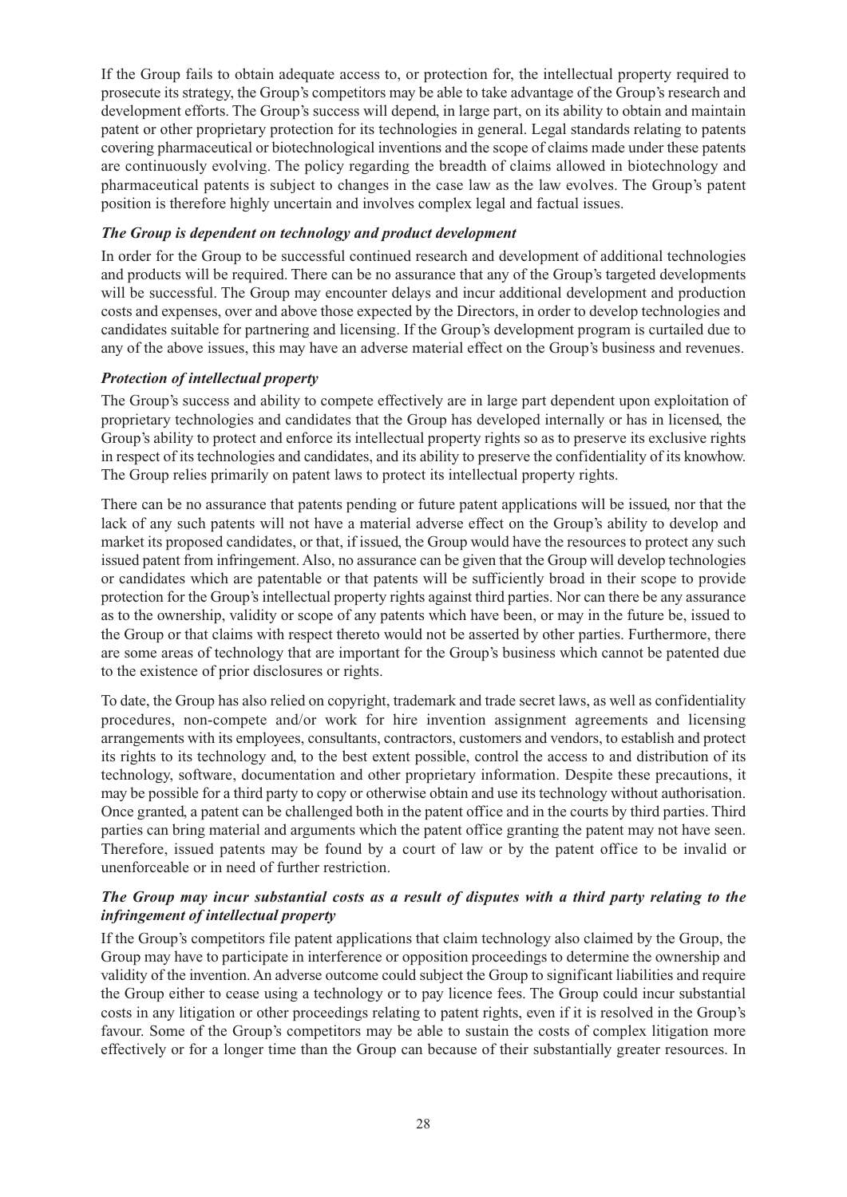If the Group fails to obtain adequate access to, or protection for, the intellectual property required to prosecute its strategy, the Group's competitors may be able to take advantage of the Group's research and development efforts. The Group's success will depend, in large part, on its ability to obtain and maintain patent or other proprietary protection for its technologies in general. Legal standards relating to patents covering pharmaceutical or biotechnological inventions and the scope of claims made under these patents are continuously evolving. The policy regarding the breadth of claims allowed in biotechnology and pharmaceutical patents is subject to changes in the case law as the law evolves. The Group's patent position is therefore highly uncertain and involves complex legal and factual issues.

## *The Group is dependent on technology and product development*

In order for the Group to be successful continued research and development of additional technologies and products will be required. There can be no assurance that any of the Group's targeted developments will be successful. The Group may encounter delays and incur additional development and production costs and expenses, over and above those expected by the Directors, in order to develop technologies and candidates suitable for partnering and licensing. If the Group's development program is curtailed due to any of the above issues, this may have an adverse material effect on the Group's business and revenues.

#### *Protection of intellectual property*

The Group's success and ability to compete effectively are in large part dependent upon exploitation of proprietary technologies and candidates that the Group has developed internally or has in licensed, the Group's ability to protect and enforce its intellectual property rights so as to preserve its exclusive rights in respect of its technologies and candidates, and its ability to preserve the confidentiality of its knowhow. The Group relies primarily on patent laws to protect its intellectual property rights.

There can be no assurance that patents pending or future patent applications will be issued, nor that the lack of any such patents will not have a material adverse effect on the Group's ability to develop and market its proposed candidates, or that, if issued, the Group would have the resources to protect any such issued patent from infringement. Also, no assurance can be given that the Group will develop technologies or candidates which are patentable or that patents will be sufficiently broad in their scope to provide protection for the Group's intellectual property rights against third parties. Nor can there be any assurance as to the ownership, validity or scope of any patents which have been, or may in the future be, issued to the Group or that claims with respect thereto would not be asserted by other parties. Furthermore, there are some areas of technology that are important for the Group's business which cannot be patented due to the existence of prior disclosures or rights.

To date, the Group has also relied on copyright, trademark and trade secret laws, as well as confidentiality procedures, non-compete and/or work for hire invention assignment agreements and licensing arrangements with its employees, consultants, contractors, customers and vendors, to establish and protect its rights to its technology and, to the best extent possible, control the access to and distribution of its technology, software, documentation and other proprietary information. Despite these precautions, it may be possible for a third party to copy or otherwise obtain and use its technology without authorisation. Once granted, a patent can be challenged both in the patent office and in the courts by third parties. Third parties can bring material and arguments which the patent office granting the patent may not have seen. Therefore, issued patents may be found by a court of law or by the patent office to be invalid or unenforceable or in need of further restriction.

#### *The Group may incur substantial costs as a result of disputes with a third party relating to the infringement of intellectual property*

If the Group's competitors file patent applications that claim technology also claimed by the Group, the Group may have to participate in interference or opposition proceedings to determine the ownership and validity of the invention. An adverse outcome could subject the Group to significant liabilities and require the Group either to cease using a technology or to pay licence fees. The Group could incur substantial costs in any litigation or other proceedings relating to patent rights, even if it is resolved in the Group's favour. Some of the Group's competitors may be able to sustain the costs of complex litigation more effectively or for a longer time than the Group can because of their substantially greater resources. In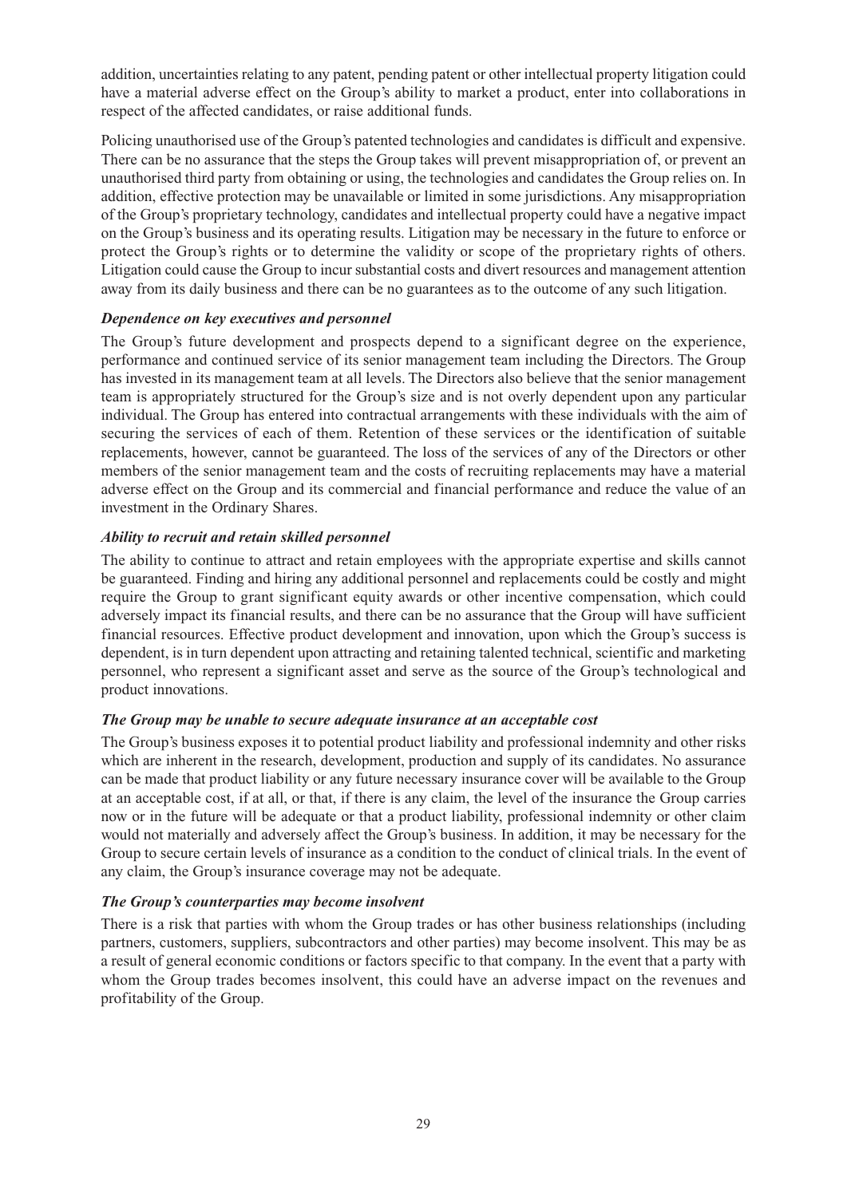addition, uncertainties relating to any patent, pending patent or other intellectual property litigation could have a material adverse effect on the Group's ability to market a product, enter into collaborations in respect of the affected candidates, or raise additional funds.

Policing unauthorised use of the Group's patented technologies and candidates is difficult and expensive. There can be no assurance that the steps the Group takes will prevent misappropriation of, or prevent an unauthorised third party from obtaining or using, the technologies and candidates the Group relies on. In addition, effective protection may be unavailable or limited in some jurisdictions. Any misappropriation of the Group's proprietary technology, candidates and intellectual property could have a negative impact on the Group's business and its operating results. Litigation may be necessary in the future to enforce or protect the Group's rights or to determine the validity or scope of the proprietary rights of others. Litigation could cause the Group to incur substantial costs and divert resources and management attention away from its daily business and there can be no guarantees as to the outcome of any such litigation.

## *Dependence on key executives and personnel*

The Group's future development and prospects depend to a significant degree on the experience, performance and continued service of its senior management team including the Directors. The Group has invested in its management team at all levels. The Directors also believe that the senior management team is appropriately structured for the Group's size and is not overly dependent upon any particular individual. The Group has entered into contractual arrangements with these individuals with the aim of securing the services of each of them. Retention of these services or the identification of suitable replacements, however, cannot be guaranteed. The loss of the services of any of the Directors or other members of the senior management team and the costs of recruiting replacements may have a material adverse effect on the Group and its commercial and financial performance and reduce the value of an investment in the Ordinary Shares.

## *Ability to recruit and retain skilled personnel*

The ability to continue to attract and retain employees with the appropriate expertise and skills cannot be guaranteed. Finding and hiring any additional personnel and replacements could be costly and might require the Group to grant significant equity awards or other incentive compensation, which could adversely impact its financial results, and there can be no assurance that the Group will have sufficient financial resources. Effective product development and innovation, upon which the Group's success is dependent, is in turn dependent upon attracting and retaining talented technical, scientific and marketing personnel, who represent a significant asset and serve as the source of the Group's technological and product innovations.

## *The Group may be unable to secure adequate insurance at an acceptable cost*

The Group's business exposes it to potential product liability and professional indemnity and other risks which are inherent in the research, development, production and supply of its candidates. No assurance can be made that product liability or any future necessary insurance cover will be available to the Group at an acceptable cost, if at all, or that, if there is any claim, the level of the insurance the Group carries now or in the future will be adequate or that a product liability, professional indemnity or other claim would not materially and adversely affect the Group's business. In addition, it may be necessary for the Group to secure certain levels of insurance as a condition to the conduct of clinical trials. In the event of any claim, the Group's insurance coverage may not be adequate.

## *The Group's counterparties may become insolvent*

There is a risk that parties with whom the Group trades or has other business relationships (including partners, customers, suppliers, subcontractors and other parties) may become insolvent. This may be as a result of general economic conditions or factors specific to that company. In the event that a party with whom the Group trades becomes insolvent, this could have an adverse impact on the revenues and profitability of the Group.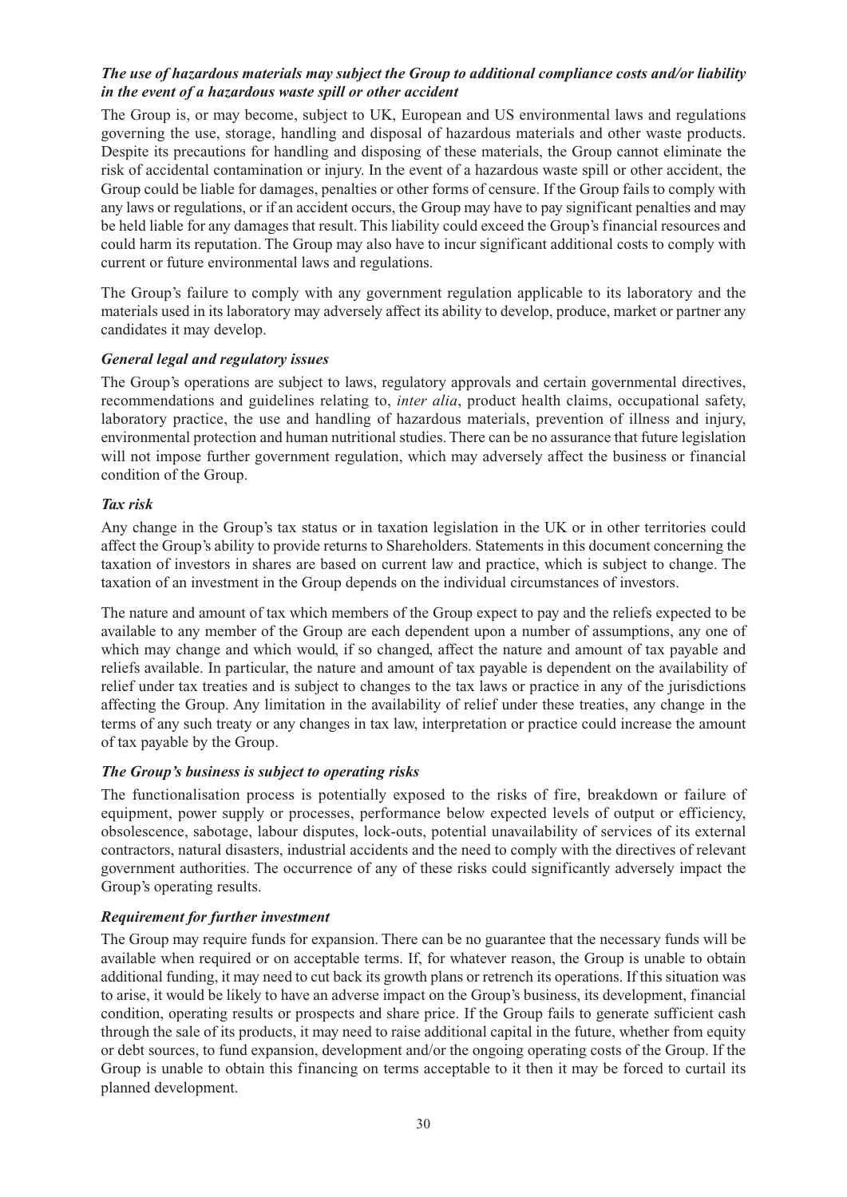#### *The use of hazardous materials may subject the Group to additional compliance costs and/or liability in the event of a hazardous waste spill or other accident*

The Group is, or may become, subject to UK, European and US environmental laws and regulations governing the use, storage, handling and disposal of hazardous materials and other waste products. Despite its precautions for handling and disposing of these materials, the Group cannot eliminate the risk of accidental contamination or injury. In the event of a hazardous waste spill or other accident, the Group could be liable for damages, penalties or other forms of censure. If the Group fails to comply with any laws or regulations, or if an accident occurs, the Group may have to pay significant penalties and may be held liable for any damages that result. This liability could exceed the Group's financial resources and could harm its reputation. The Group may also have to incur significant additional costs to comply with current or future environmental laws and regulations.

The Group's failure to comply with any government regulation applicable to its laboratory and the materials used in its laboratory may adversely affect its ability to develop, produce, market or partner any candidates it may develop.

#### *General legal and regulatory issues*

The Group's operations are subject to laws, regulatory approvals and certain governmental directives, recommendations and guidelines relating to, *inter alia*, product health claims, occupational safety, laboratory practice, the use and handling of hazardous materials, prevention of illness and injury, environmental protection and human nutritional studies. There can be no assurance that future legislation will not impose further government regulation, which may adversely affect the business or financial condition of the Group.

#### *Tax risk*

Any change in the Group's tax status or in taxation legislation in the UK or in other territories could affect the Group's ability to provide returns to Shareholders. Statements in this document concerning the taxation of investors in shares are based on current law and practice, which is subject to change. The taxation of an investment in the Group depends on the individual circumstances of investors.

The nature and amount of tax which members of the Group expect to pay and the reliefs expected to be available to any member of the Group are each dependent upon a number of assumptions, any one of which may change and which would, if so changed, affect the nature and amount of tax payable and reliefs available. In particular, the nature and amount of tax payable is dependent on the availability of relief under tax treaties and is subject to changes to the tax laws or practice in any of the jurisdictions affecting the Group. Any limitation in the availability of relief under these treaties, any change in the terms of any such treaty or any changes in tax law, interpretation or practice could increase the amount of tax payable by the Group.

## *The Group's business is subject to operating risks*

The functionalisation process is potentially exposed to the risks of fire, breakdown or failure of equipment, power supply or processes, performance below expected levels of output or efficiency, obsolescence, sabotage, labour disputes, lock-outs, potential unavailability of services of its external contractors, natural disasters, industrial accidents and the need to comply with the directives of relevant government authorities. The occurrence of any of these risks could significantly adversely impact the Group's operating results.

#### *Requirement for further investment*

The Group may require funds for expansion. There can be no guarantee that the necessary funds will be available when required or on acceptable terms. If, for whatever reason, the Group is unable to obtain additional funding, it may need to cut back its growth plans or retrench its operations. If this situation was to arise, it would be likely to have an adverse impact on the Group's business, its development, financial condition, operating results or prospects and share price. If the Group fails to generate sufficient cash through the sale of its products, it may need to raise additional capital in the future, whether from equity or debt sources, to fund expansion, development and/or the ongoing operating costs of the Group. If the Group is unable to obtain this financing on terms acceptable to it then it may be forced to curtail its planned development.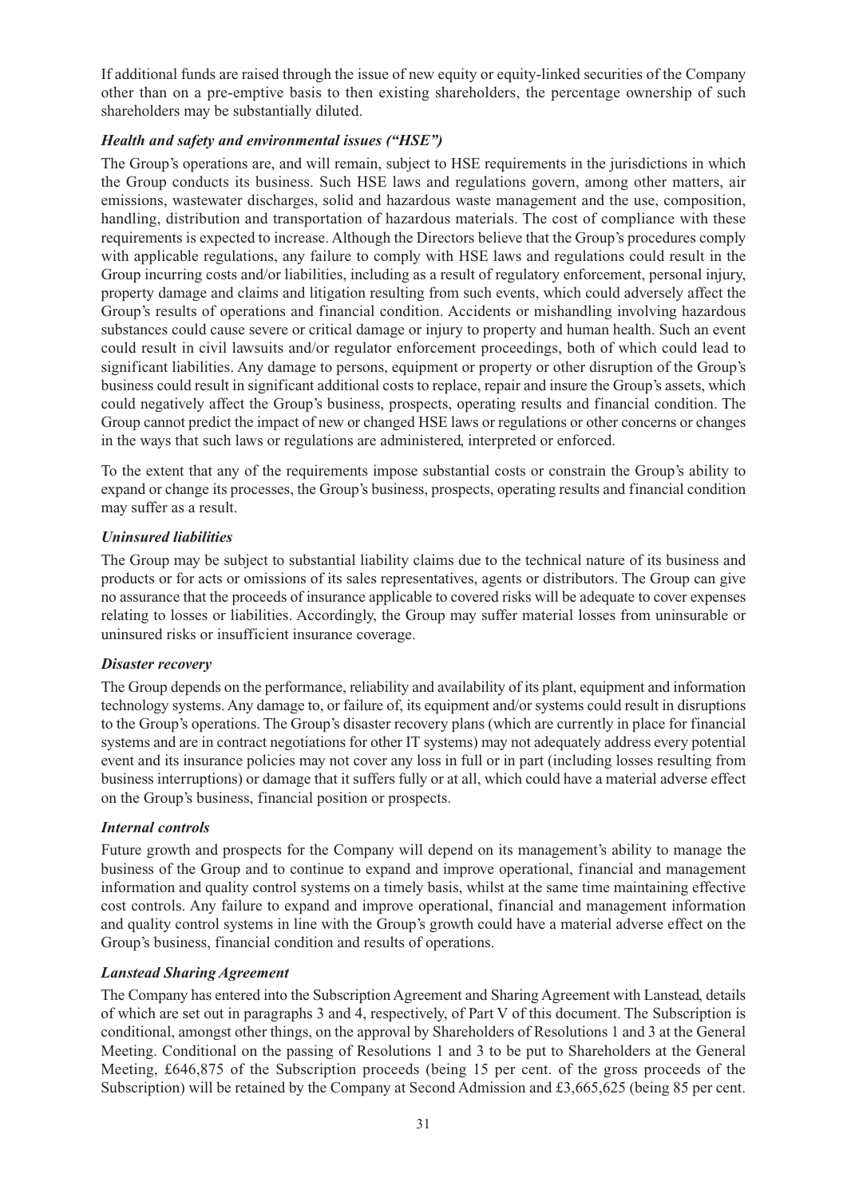If additional funds are raised through the issue of new equity or equity-linked securities of the Company other than on a pre-emptive basis to then existing shareholders, the percentage ownership of such shareholders may be substantially diluted.

## *Health and safety and environmental issues ("HSE")*

The Group's operations are, and will remain, subject to HSE requirements in the jurisdictions in which the Group conducts its business. Such HSE laws and regulations govern, among other matters, air emissions, wastewater discharges, solid and hazardous waste management and the use, composition, handling, distribution and transportation of hazardous materials. The cost of compliance with these requirements is expected to increase. Although the Directors believe that the Group's procedures comply with applicable regulations, any failure to comply with HSE laws and regulations could result in the Group incurring costs and/or liabilities, including as a result of regulatory enforcement, personal injury, property damage and claims and litigation resulting from such events, which could adversely affect the Group's results of operations and financial condition. Accidents or mishandling involving hazardous substances could cause severe or critical damage or injury to property and human health. Such an event could result in civil lawsuits and/or regulator enforcement proceedings, both of which could lead to significant liabilities. Any damage to persons, equipment or property or other disruption of the Group's business could result in significant additional costs to replace, repair and insure the Group's assets, which could negatively affect the Group's business, prospects, operating results and financial condition. The Group cannot predict the impact of new or changed HSE laws or regulations or other concerns or changes in the ways that such laws or regulations are administered, interpreted or enforced.

To the extent that any of the requirements impose substantial costs or constrain the Group's ability to expand or change its processes, the Group's business, prospects, operating results and financial condition may suffer as a result.

#### *Uninsured liabilities*

The Group may be subject to substantial liability claims due to the technical nature of its business and products or for acts or omissions of its sales representatives, agents or distributors. The Group can give no assurance that the proceeds of insurance applicable to covered risks will be adequate to cover expenses relating to losses or liabilities. Accordingly, the Group may suffer material losses from uninsurable or uninsured risks or insufficient insurance coverage.

#### *Disaster recovery*

The Group depends on the performance, reliability and availability of its plant, equipment and information technology systems. Any damage to, or failure of, its equipment and/or systems could result in disruptions to the Group's operations. The Group's disaster recovery plans (which are currently in place for financial systems and are in contract negotiations for other IT systems) may not adequately address every potential event and its insurance policies may not cover any loss in full or in part (including losses resulting from business interruptions) or damage that it suffers fully or at all, which could have a material adverse effect on the Group's business, financial position or prospects.

#### *Internal controls*

Future growth and prospects for the Company will depend on its management's ability to manage the business of the Group and to continue to expand and improve operational, financial and management information and quality control systems on a timely basis, whilst at the same time maintaining effective cost controls. Any failure to expand and improve operational, financial and management information and quality control systems in line with the Group's growth could have a material adverse effect on the Group's business, financial condition and results of operations.

#### *Lanstead Sharing Agreement*

The Company has entered into the Subscription Agreement and Sharing Agreement with Lanstead, details of which are set out in paragraphs 3 and 4, respectively, of Part V of this document. The Subscription is conditional, amongst other things, on the approval by Shareholders of Resolutions 1 and 3 at the General Meeting. Conditional on the passing of Resolutions 1 and 3 to be put to Shareholders at the General Meeting, £646,875 of the Subscription proceeds (being 15 per cent. of the gross proceeds of the Subscription) will be retained by the Company at Second Admission and £3,665,625 (being 85 per cent.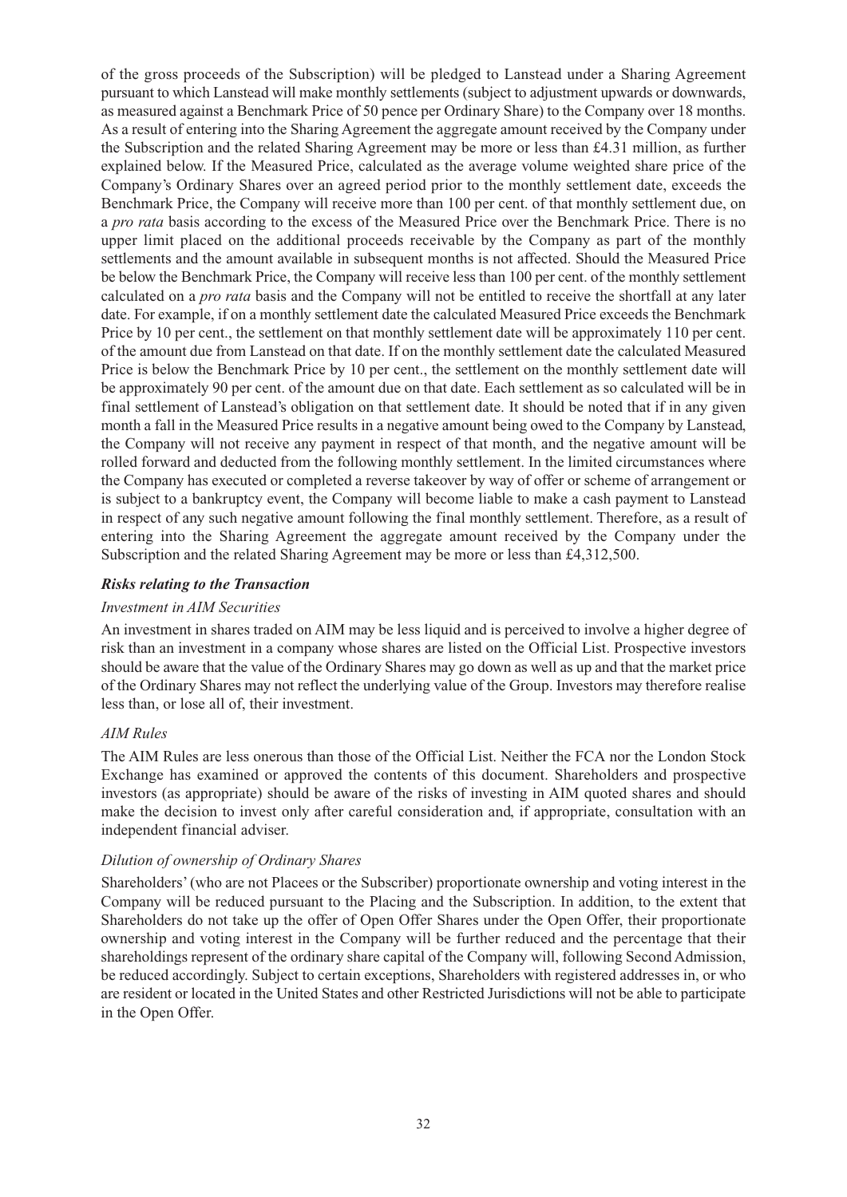of the gross proceeds of the Subscription) will be pledged to Lanstead under a Sharing Agreement pursuant to which Lanstead will make monthly settlements (subject to adjustment upwards or downwards, as measured against a Benchmark Price of 50 pence per Ordinary Share) to the Company over 18 months. As a result of entering into the Sharing Agreement the aggregate amount received by the Company under the Subscription and the related Sharing Agreement may be more or less than £4.31 million, as further explained below. If the Measured Price, calculated as the average volume weighted share price of the Company's Ordinary Shares over an agreed period prior to the monthly settlement date, exceeds the Benchmark Price, the Company will receive more than 100 per cent. of that monthly settlement due, on a *pro rata* basis according to the excess of the Measured Price over the Benchmark Price. There is no upper limit placed on the additional proceeds receivable by the Company as part of the monthly settlements and the amount available in subsequent months is not affected. Should the Measured Price be below the Benchmark Price, the Company will receive less than 100 per cent. of the monthly settlement calculated on a *pro rata* basis and the Company will not be entitled to receive the shortfall at any later date. For example, if on a monthly settlement date the calculated Measured Price exceeds the Benchmark Price by 10 per cent., the settlement on that monthly settlement date will be approximately 110 per cent. of the amount due from Lanstead on that date. If on the monthly settlement date the calculated Measured Price is below the Benchmark Price by 10 per cent., the settlement on the monthly settlement date will be approximately 90 per cent. of the amount due on that date. Each settlement as so calculated will be in final settlement of Lanstead's obligation on that settlement date. It should be noted that if in any given month a fall in the Measured Price results in a negative amount being owed to the Company by Lanstead, the Company will not receive any payment in respect of that month, and the negative amount will be rolled forward and deducted from the following monthly settlement. In the limited circumstances where the Company has executed or completed a reverse takeover by way of offer or scheme of arrangement or is subject to a bankruptcy event, the Company will become liable to make a cash payment to Lanstead in respect of any such negative amount following the final monthly settlement. Therefore, as a result of entering into the Sharing Agreement the aggregate amount received by the Company under the Subscription and the related Sharing Agreement may be more or less than £4,312,500.

#### *Risks relating to the Transaction*

#### *Investment in AIM Securities*

An investment in shares traded on AIM may be less liquid and is perceived to involve a higher degree of risk than an investment in a company whose shares are listed on the Official List. Prospective investors should be aware that the value of the Ordinary Shares may go down as well as up and that the market price of the Ordinary Shares may not reflect the underlying value of the Group. Investors may therefore realise less than, or lose all of, their investment.

#### *AIM Rules*

The AIM Rules are less onerous than those of the Official List. Neither the FCA nor the London Stock Exchange has examined or approved the contents of this document. Shareholders and prospective investors (as appropriate) should be aware of the risks of investing in AIM quoted shares and should make the decision to invest only after careful consideration and, if appropriate, consultation with an independent financial adviser.

#### *Dilution of ownership of Ordinary Shares*

Shareholders'(who are not Placees or the Subscriber) proportionate ownership and voting interest in the Company will be reduced pursuant to the Placing and the Subscription. In addition, to the extent that Shareholders do not take up the offer of Open Offer Shares under the Open Offer, their proportionate ownership and voting interest in the Company will be further reduced and the percentage that their shareholdings represent of the ordinary share capital of the Company will, following Second Admission, be reduced accordingly. Subject to certain exceptions, Shareholders with registered addresses in, or who are resident or located in the United States and other Restricted Jurisdictions will not be able to participate in the Open Offer.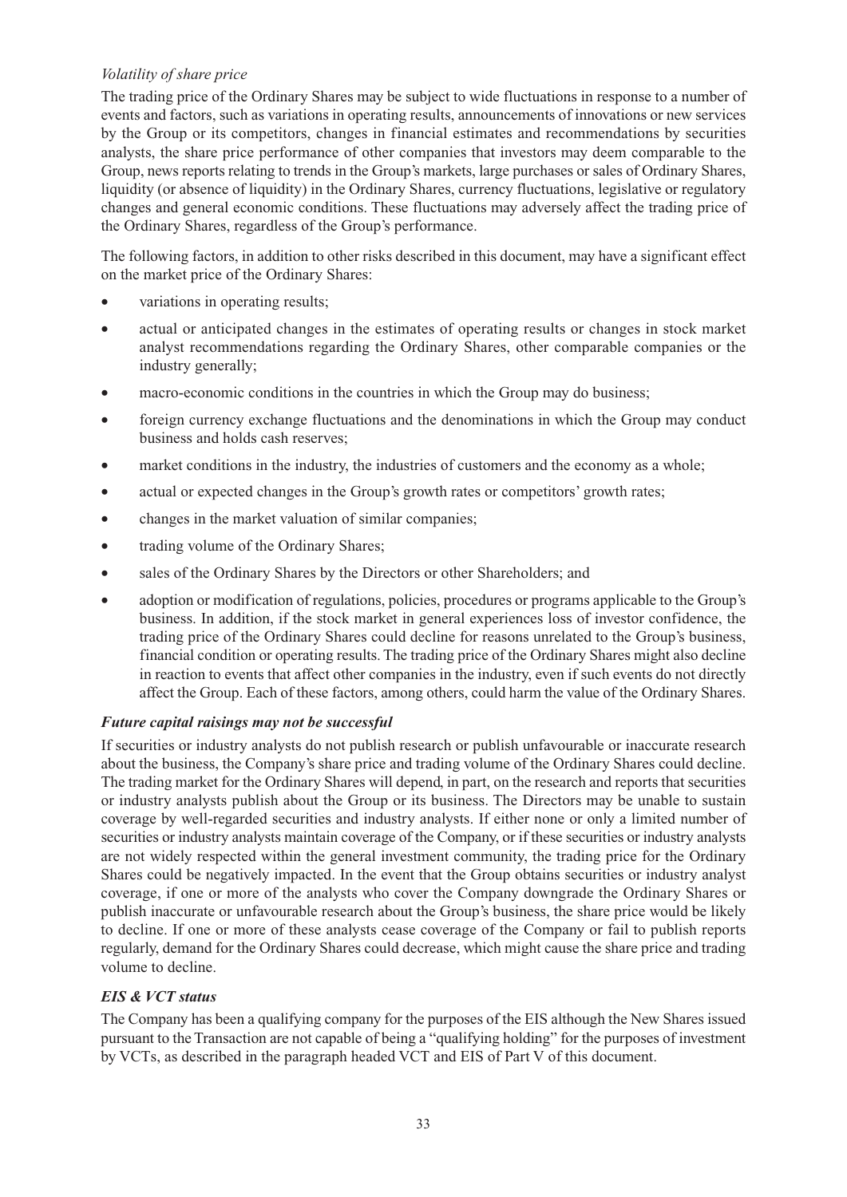## *Volatility of share price*

The trading price of the Ordinary Shares may be subject to wide fluctuations in response to a number of events and factors, such as variations in operating results, announcements of innovations or new services by the Group or its competitors, changes in financial estimates and recommendations by securities analysts, the share price performance of other companies that investors may deem comparable to the Group, news reports relating to trends in the Group's markets, large purchases or sales of Ordinary Shares, liquidity (or absence of liquidity) in the Ordinary Shares, currency fluctuations, legislative or regulatory changes and general economic conditions. These fluctuations may adversely affect the trading price of the Ordinary Shares, regardless of the Group's performance.

The following factors, in addition to other risks described in this document, may have a significant effect on the market price of the Ordinary Shares:

- variations in operating results;
- actual or anticipated changes in the estimates of operating results or changes in stock market analyst recommendations regarding the Ordinary Shares, other comparable companies or the industry generally;
- macro-economic conditions in the countries in which the Group may do business;
- foreign currency exchange fluctuations and the denominations in which the Group may conduct business and holds cash reserves;
- market conditions in the industry, the industries of customers and the economy as a whole;
- actual or expected changes in the Group's growth rates or competitors' growth rates;
- changes in the market valuation of similar companies;
- trading volume of the Ordinary Shares;
- sales of the Ordinary Shares by the Directors or other Shareholders; and
- adoption or modification of regulations, policies, procedures or programs applicable to the Group's business. In addition, if the stock market in general experiences loss of investor confidence, the trading price of the Ordinary Shares could decline for reasons unrelated to the Group's business, financial condition or operating results. The trading price of the Ordinary Shares might also decline in reaction to events that affect other companies in the industry, even if such events do not directly affect the Group. Each of these factors, among others, could harm the value of the Ordinary Shares.

## *Future capital raisings may not be successful*

If securities or industry analysts do not publish research or publish unfavourable or inaccurate research about the business, the Company's share price and trading volume of the Ordinary Shares could decline. The trading market for the Ordinary Shares will depend, in part, on the research and reports that securities or industry analysts publish about the Group or its business. The Directors may be unable to sustain coverage by well-regarded securities and industry analysts. If either none or only a limited number of securities or industry analysts maintain coverage of the Company, or if these securities or industry analysts are not widely respected within the general investment community, the trading price for the Ordinary Shares could be negatively impacted. In the event that the Group obtains securities or industry analyst coverage, if one or more of the analysts who cover the Company downgrade the Ordinary Shares or publish inaccurate or unfavourable research about the Group's business, the share price would be likely to decline. If one or more of these analysts cease coverage of the Company or fail to publish reports regularly, demand for the Ordinary Shares could decrease, which might cause the share price and trading volume to decline.

#### *EIS & VCT status*

The Company has been a qualifying company for the purposes of the EIS although the New Shares issued pursuant to the Transaction are not capable of being a "qualifying holding" for the purposes of investment by VCTs, as described in the paragraph headed VCT and EIS of Part V of this document.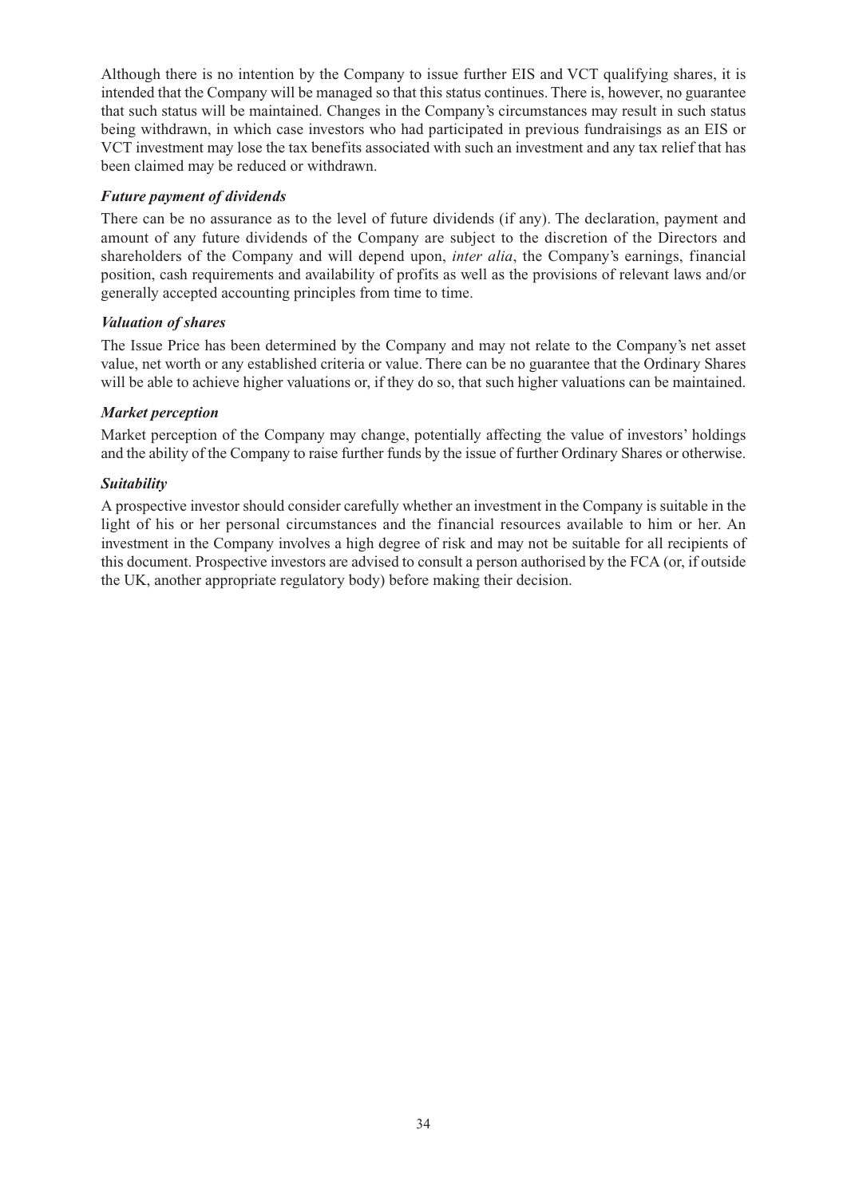Although there is no intention by the Company to issue further EIS and VCT qualifying shares, it is intended that the Company will be managed so that this status continues. There is, however, no guarantee that such status will be maintained. Changes in the Company's circumstances may result in such status being withdrawn, in which case investors who had participated in previous fundraisings as an EIS or VCT investment may lose the tax benefits associated with such an investment and any tax relief that has been claimed may be reduced or withdrawn.

#### *Future payment of dividends*

There can be no assurance as to the level of future dividends (if any). The declaration, payment and amount of any future dividends of the Company are subject to the discretion of the Directors and shareholders of the Company and will depend upon, *inter alia*, the Company's earnings, financial position, cash requirements and availability of profits as well as the provisions of relevant laws and/or generally accepted accounting principles from time to time.

#### *Valuation of shares*

The Issue Price has been determined by the Company and may not relate to the Company's net asset value, net worth or any established criteria or value. There can be no guarantee that the Ordinary Shares will be able to achieve higher valuations or, if they do so, that such higher valuations can be maintained.

#### *Market perception*

Market perception of the Company may change, potentially affecting the value of investors' holdings and the ability of the Company to raise further funds by the issue of further Ordinary Shares or otherwise.

#### *Suitability*

A prospective investor should consider carefully whether an investment in the Company is suitable in the light of his or her personal circumstances and the financial resources available to him or her. An investment in the Company involves a high degree of risk and may not be suitable for all recipients of this document. Prospective investors are advised to consult a person authorised by the FCA (or, if outside the UK, another appropriate regulatory body) before making their decision.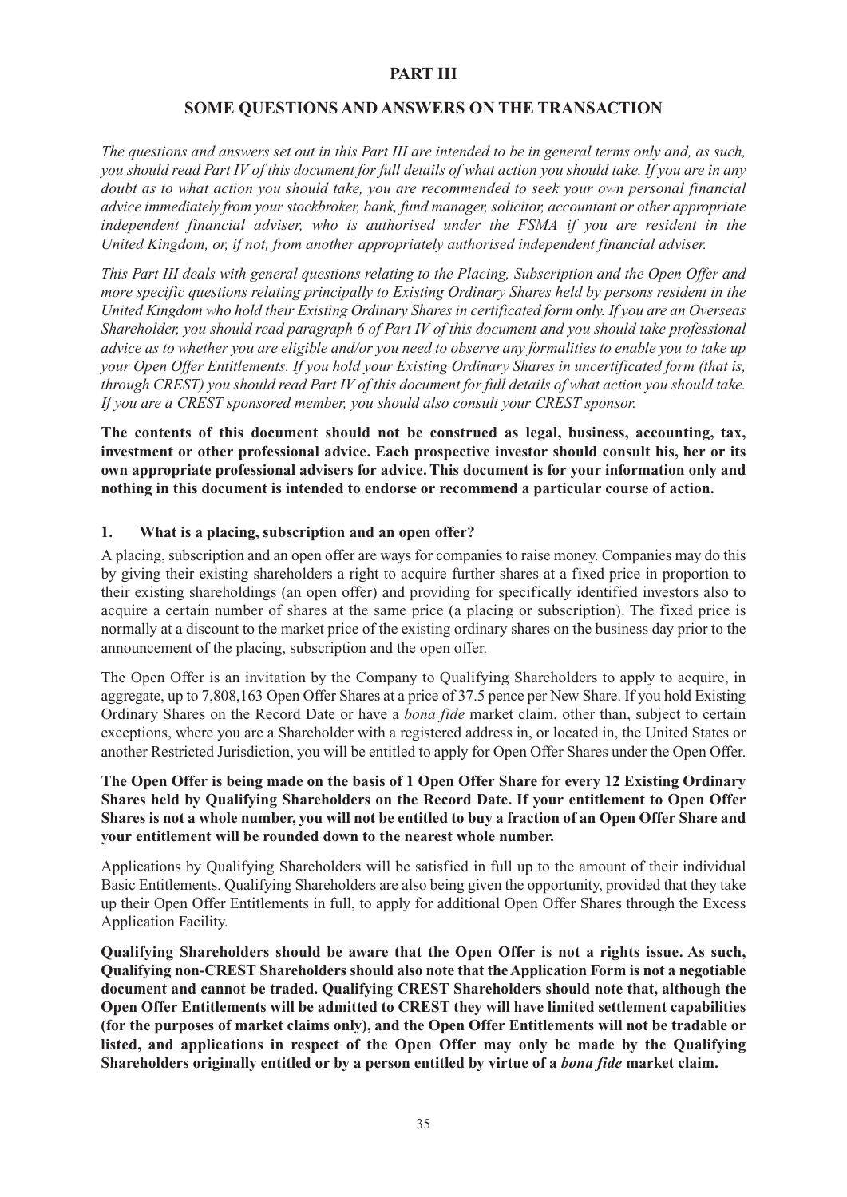#### **PART III**

## **SOME QUESTIONS AND ANSWERS ON THE TRANSACTION**

The questions and answers set out in this Part III are intended to be in general terms only and, as such, you should read Part IV of this document for full details of what action you should take. If you are in any *doubt as to what action you should take, you are recommended to seek your own personal financial advice immediately from your stockbroker, bank, fund manager, solicitor, accountant or other appropriate independent financial adviser, who is authorised under the FSMA if you are resident in the United Kingdom, or, if not, from another appropriately authorised independent financial adviser.*

*This Part III deals with general questions relating to the Placing, Subscription and the Open Offer and more specific questions relating principally to Existing Ordinary Shares held by persons resident in the United Kingdom who hold their Existing Ordinary Shares in certificated form only. If you are an Overseas Shareholder, you should read paragraph 6 of Part IV of this document and you should take professional* advice as to whether you are eligible and/or you need to observe any formalities to enable you to take up *your Open Offer Entitlements. If you hold your Existing Ordinary Shares in uncertificated form (that is,* through CREST) you should read Part IV of this document for full details of what action you should take. *If you are a CREST sponsored member, you should also consult your CREST sponsor.*

**The contents of this document should not be construed as legal, business, accounting, tax, investment or other professional advice. Each prospective investor should consult his, her or its own appropriate professional advisers for advice.This document is for your information only and nothing in this document is intended to endorse or recommend a particular course of action.**

#### **1. What is a placing, subscription and an open offer?**

A placing, subscription and an open offer are ways for companies to raise money. Companies may do this by giving their existing shareholders a right to acquire further shares at a fixed price in proportion to their existing shareholdings (an open offer) and providing for specifically identified investors also to acquire a certain number of shares at the same price (a placing or subscription). The fixed price is normally at a discount to the market price of the existing ordinary shares on the business day prior to the announcement of the placing, subscription and the open offer.

The Open Offer is an invitation by the Company to Qualifying Shareholders to apply to acquire, in aggregate, up to 7,808,163 Open Offer Shares at a price of 37.5 pence per New Share. If you hold Existing Ordinary Shares on the Record Date or have a *bona fide* market claim, other than, subject to certain exceptions, where you are a Shareholder with a registered address in, or located in, the United States or another Restricted Jurisdiction, you will be entitled to apply for Open Offer Shares under the Open Offer.

#### The Open Offer is being made on the basis of 1 Open Offer Share for every 12 Existing Ordinary **Shares held by Qualifying Shareholders on the Record Date. If your entitlement to Open Offer** Shares is not a whole number, you will not be entitled to buy a fraction of an Open Offer Share and **your entitlement will be rounded down to the nearest whole number.**

Applications by Qualifying Shareholders will be satisfied in full up to the amount of their individual Basic Entitlements. Qualifying Shareholders are also being given the opportunity, provided that they take up their Open Offer Entitlements in full, to apply for additional Open Offer Shares through the Excess Application Facility.

**Qualifying Shareholders should be aware that the Open Offer is not a rights issue. As such, Qualifying non-CREST Shareholders should also note that theApplication Form is not a negotiable document and cannot be traded. Qualifying CREST Shareholders should note that, although the Open Offer Entitlements will be admitted to CREST they will have limited settlement capabilities (for the purposes of market claims only), and the Open Offer Entitlements will not be tradable or listed, and applications in respect of the Open Offer may only be made by the Qualifying Shareholders originally entitled or by a person entitled by virtue of a** *bona fide* **market claim.**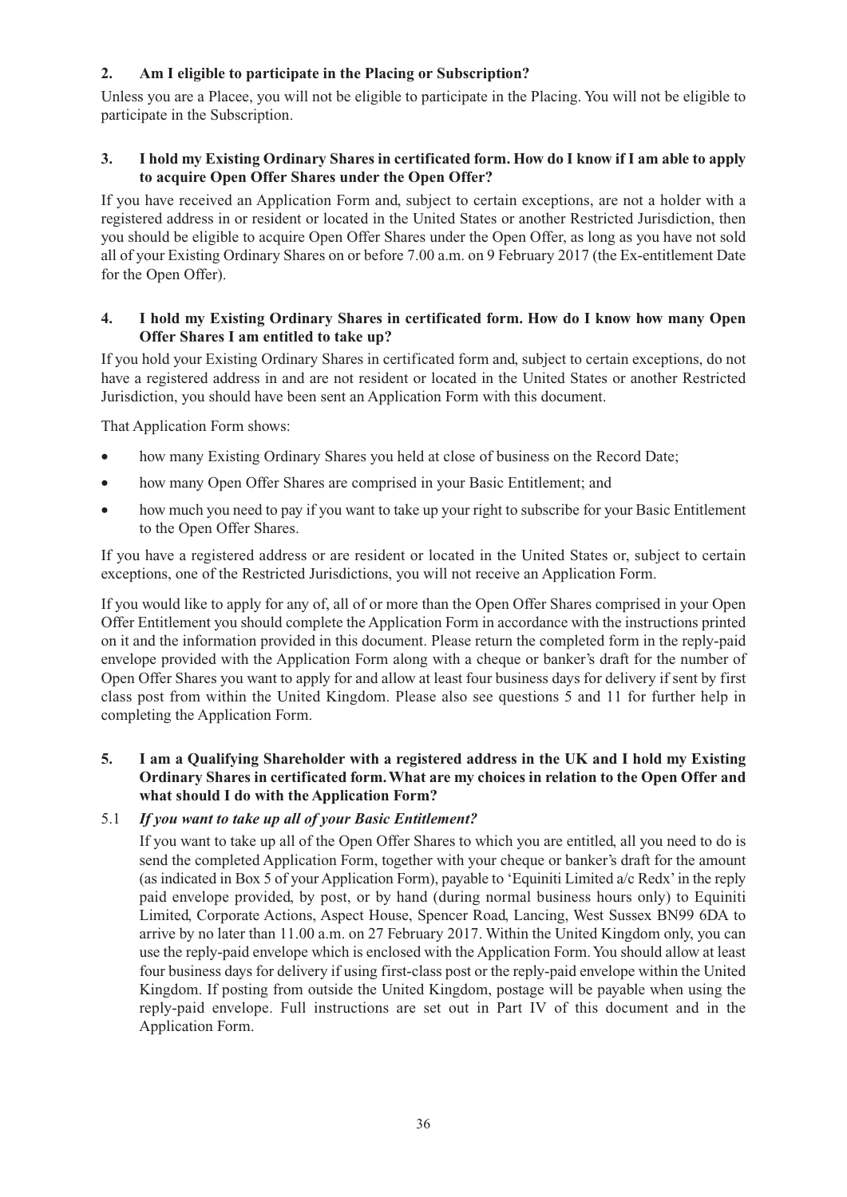## **2. Am I eligible to participate in the Placing or Subscription?**

Unless you are a Placee, you will not be eligible to participate in the Placing. You will not be eligible to participate in the Subscription.

## 3. I hold my Existing Ordinary Shares in certificated form. How do I know if I am able to apply **to acquire Open Offer Shares under the Open Offer?**

If you have received an Application Form and, subject to certain exceptions, are not a holder with a registered address in or resident or located in the United States or another Restricted Jurisdiction, then you should be eligible to acquire Open Offer Shares under the Open Offer, as long as you have not sold all of your Existing Ordinary Shares on or before 7.00 a.m. on 9 February 2017 (the Ex-entitlement Date for the Open Offer).

## **4. I hold my Existing Ordinary Shares in certificated form. How do I know how many Open Offer Shares I am entitled to take up?**

If you hold your Existing Ordinary Shares in certificated form and, subject to certain exceptions, do not have a registered address in and are not resident or located in the United States or another Restricted Jurisdiction, you should have been sent an Application Form with this document.

That Application Form shows:

- how many Existing Ordinary Shares you held at close of business on the Record Date;
- how many Open Offer Shares are comprised in your Basic Entitlement; and
- how much you need to pay if you want to take up your right to subscribe for your Basic Entitlement to the Open Offer Shares.

If you have a registered address or are resident or located in the United States or, subject to certain exceptions, one of the Restricted Jurisdictions, you will not receive an Application Form.

If you would like to apply for any of, all of or more than the Open Offer Shares comprised in your Open Offer Entitlement you should complete the Application Form in accordance with the instructions printed on it and the information provided in this document. Please return the completed form in the reply-paid envelope provided with the Application Form along with a cheque or banker's draft for the number of Open Offer Shares you want to apply for and allow at least four business days for delivery if sent by first class post from within the United Kingdom. Please also see questions 5 and 11 for further help in completing the Application Form.

## **5. I am a Qualifying Shareholder with a registered address in the UK and I hold my Existing Ordinary Shares in certificated form.What are my choices in relation to the Open Offer and what should I do with the Application Form?**

## 5.1 *If you want to take up all of your Basic Entitlement?*

If you want to take up all of the Open Offer Shares to which you are entitled, all you need to do is send the completed Application Form, together with your cheque or banker's draft for the amount (as indicated in Box 5 of your Application Form), payable to 'Equiniti Limited a/c Redx'in the reply paid envelope provided, by post, or by hand (during normal business hours only) to Equiniti Limited, Corporate Actions, Aspect House, Spencer Road, Lancing, West Sussex BN99 6DA to arrive by no later than 11.00 a.m. on 27 February 2017. Within the United Kingdom only, you can use the reply-paid envelope which is enclosed with the Application Form.You should allow at least four business days for delivery if using first-class post or the reply-paid envelope within the United Kingdom. If posting from outside the United Kingdom, postage will be payable when using the reply-paid envelope. Full instructions are set out in Part IV of this document and in the Application Form.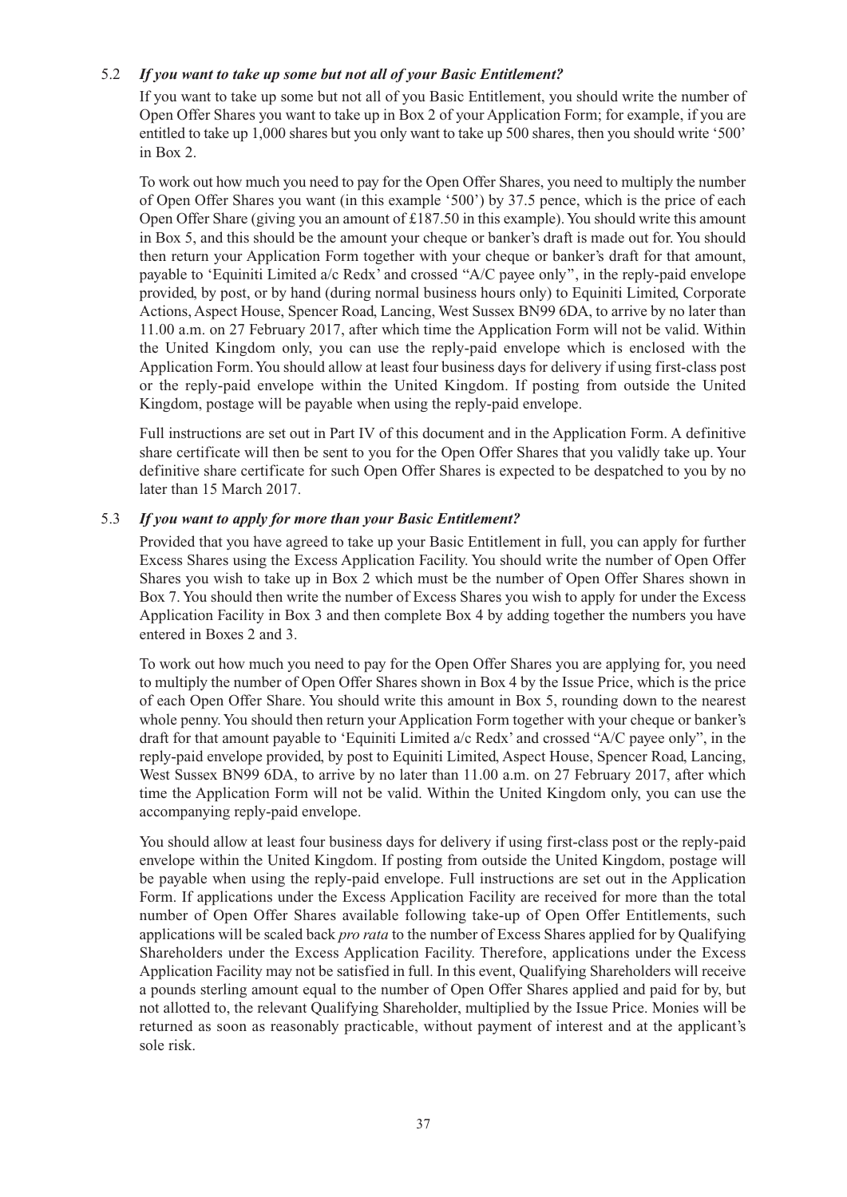## 5.2 *If you want to take up some but not all of your Basic Entitlement?*

If you want to take up some but not all of you Basic Entitlement, you should write the number of Open Offer Shares you want to take up in Box 2 of your Application Form; for example, if you are entitled to take up 1,000 shares but you only want to take up 500 shares, then you should write '500' in Box 2.

To work out how much you need to pay for the Open Offer Shares, you need to multiply the number of Open Offer Shares you want (in this example '500') by 37.5 pence, which is the price of each Open Offer Share (giving you an amount of  $£187.50$  in this example). You should write this amount in Box 5, and this should be the amount your cheque or banker's draft is made out for. You should then return your Application Form together with your cheque or banker's draft for that amount, payable to 'Equiniti Limited a/c Redx' and crossed ''A/C payee only'', in the reply-paid envelope provided, by post, or by hand (during normal business hours only) to Equiniti Limited, Corporate Actions, Aspect House, Spencer Road, Lancing, West Sussex BN99 6DA, to arrive by no later than 11.00 a.m. on 27 February 2017, after which time the Application Form will not be valid. Within the United Kingdom only, you can use the reply-paid envelope which is enclosed with the Application Form.You should allow at least four business days for delivery if using first-class post or the reply-paid envelope within the United Kingdom. If posting from outside the United Kingdom, postage will be payable when using the reply-paid envelope.

Full instructions are set out in Part IV of this document and in the Application Form. A definitive share certificate will then be sent to you for the Open Offer Shares that you validly take up. Your definitive share certificate for such Open Offer Shares is expected to be despatched to you by no later than 15 March 2017.

## 5.3 *If you want to apply for more than your Basic Entitlement?*

Provided that you have agreed to take up your Basic Entitlement in full, you can apply for further Excess Shares using the Excess Application Facility. You should write the number of Open Offer Shares you wish to take up in Box 2 which must be the number of Open Offer Shares shown in Box 7.You should then write the number of Excess Shares you wish to apply for under the Excess Application Facility in Box 3 and then complete Box 4 by adding together the numbers you have entered in Boxes 2 and 3.

To work out how much you need to pay for the Open Offer Shares you are applying for, you need to multiply the number of Open Offer Shares shown in Box 4 by the Issue Price, which is the price of each Open Offer Share. You should write this amount in Box 5, rounding down to the nearest whole penny.You should then return your Application Form together with your cheque or banker's draft for that amount payable to 'Equiniti Limited a/c Redx' and crossed "A/C payee only", in the reply-paid envelope provided, by post to Equiniti Limited, Aspect House, Spencer Road, Lancing, West Sussex BN99 6DA, to arrive by no later than 11.00 a.m. on 27 February 2017, after which time the Application Form will not be valid. Within the United Kingdom only, you can use the accompanying reply-paid envelope.

You should allow at least four business days for delivery if using first-class post or the reply-paid envelope within the United Kingdom. If posting from outside the United Kingdom, postage will be payable when using the reply-paid envelope. Full instructions are set out in the Application Form. If applications under the Excess Application Facility are received for more than the total number of Open Offer Shares available following take-up of Open Offer Entitlements, such applications will be scaled back *pro rata* to the number of Excess Shares applied for by Qualifying Shareholders under the Excess Application Facility. Therefore, applications under the Excess Application Facility may not be satisfied in full. In this event, Qualifying Shareholders will receive a pounds sterling amount equal to the number of Open Offer Shares applied and paid for by, but not allotted to, the relevant Qualifying Shareholder, multiplied by the Issue Price. Monies will be returned as soon as reasonably practicable, without payment of interest and at the applicant's sole risk.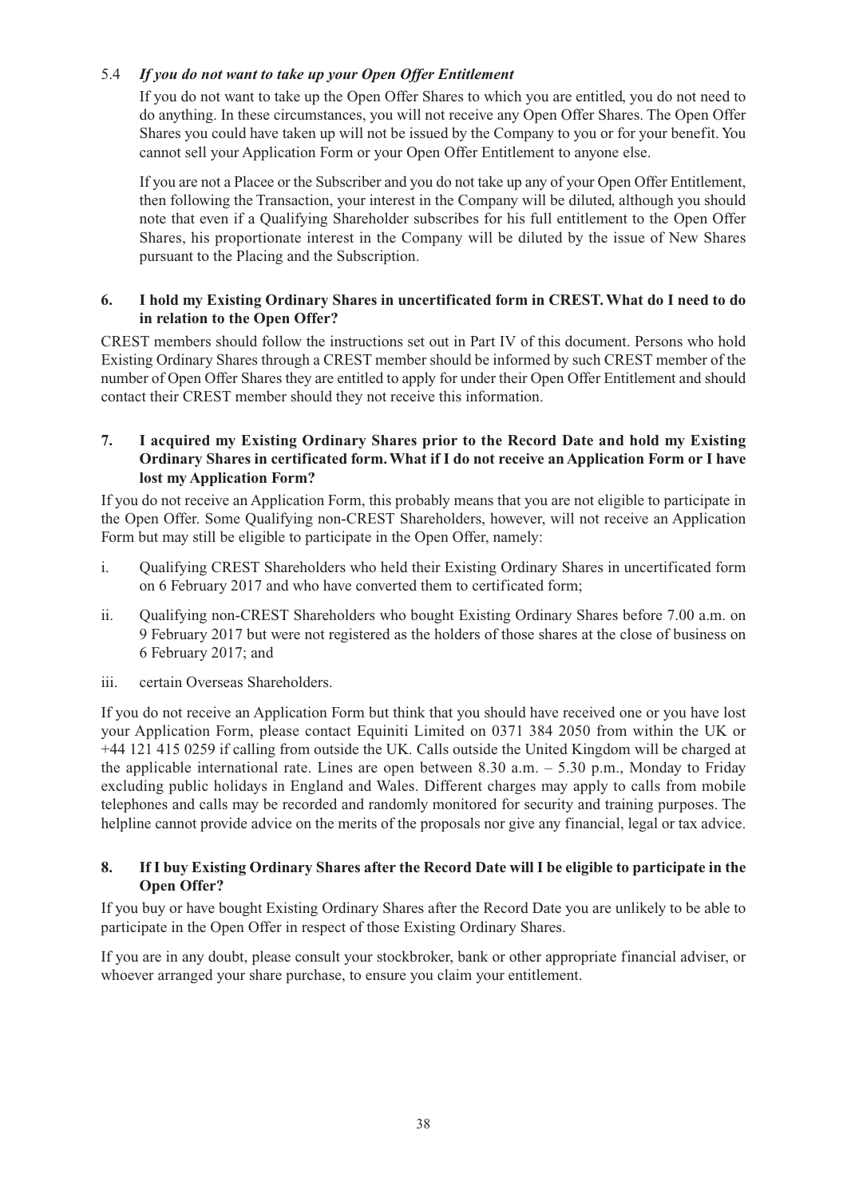## 5.4 *If you do not want to take up your Open Offer Entitlement*

If you do not want to take up the Open Offer Shares to which you are entitled, you do not need to do anything. In these circumstances, you will not receive any Open Offer Shares. The Open Offer Shares you could have taken up will not be issued by the Company to you or for your benefit.You cannot sell your Application Form or your Open Offer Entitlement to anyone else.

If you are not a Placee or the Subscriber and you do not take up any of your Open Offer Entitlement, then following the Transaction, your interest in the Company will be diluted, although you should note that even if a Qualifying Shareholder subscribes for his full entitlement to the Open Offer Shares, his proportionate interest in the Company will be diluted by the issue of New Shares pursuant to the Placing and the Subscription.

## **6. I hold my Existing Ordinary Shares in uncertificated form in CREST.What do I need to do in relation to the Open Offer?**

CREST members should follow the instructions set out in Part IV of this document. Persons who hold Existing Ordinary Shares through a CREST member should be informed by such CREST member of the number of Open Offer Shares they are entitled to apply for under their Open Offer Entitlement and should contact their CREST member should they not receive this information.

## **7. I acquired my Existing Ordinary Shares prior to the Record Date and hold my Existing Ordinary Shares in certificated form.What if I do not receive anApplication Form or I have lost my Application Form?**

If you do not receive an Application Form, this probably means that you are not eligible to participate in the Open Offer. Some Qualifying non-CREST Shareholders, however, will not receive an Application Form but may still be eligible to participate in the Open Offer, namely:

- i. Qualifying CREST Shareholders who held their Existing Ordinary Shares in uncertificated form on 6 February 2017 and who have converted them to certificated form;
- ii. Qualifying non-CREST Shareholders who bought Existing Ordinary Shares before 7.00 a.m. on 9 February 2017 but were not registered as the holders of those shares at the close of business on 6 February 2017; and
- iii. certain Overseas Shareholders.

If you do not receive an Application Form but think that you should have received one or you have lost your Application Form, please contact Equiniti Limited on 0371 384 2050 from within the UK or +44 121 415 0259 if calling from outside the UK. Calls outside the United Kingdom will be charged at the applicable international rate. Lines are open between 8.30 a.m.  $-$  5.30 p.m., Monday to Friday excluding public holidays in England and Wales. Different charges may apply to calls from mobile telephones and calls may be recorded and randomly monitored for security and training purposes. The helpline cannot provide advice on the merits of the proposals nor give any financial, legal or tax advice.

## 8. If I buy Existing Ordinary Shares after the Record Date will I be eligible to participate in the **Open Offer?**

If you buy or have bought Existing Ordinary Shares after the Record Date you are unlikely to be able to participate in the Open Offer in respect of those Existing Ordinary Shares.

If you are in any doubt, please consult your stockbroker, bank or other appropriate financial adviser, or whoever arranged your share purchase, to ensure you claim your entitlement.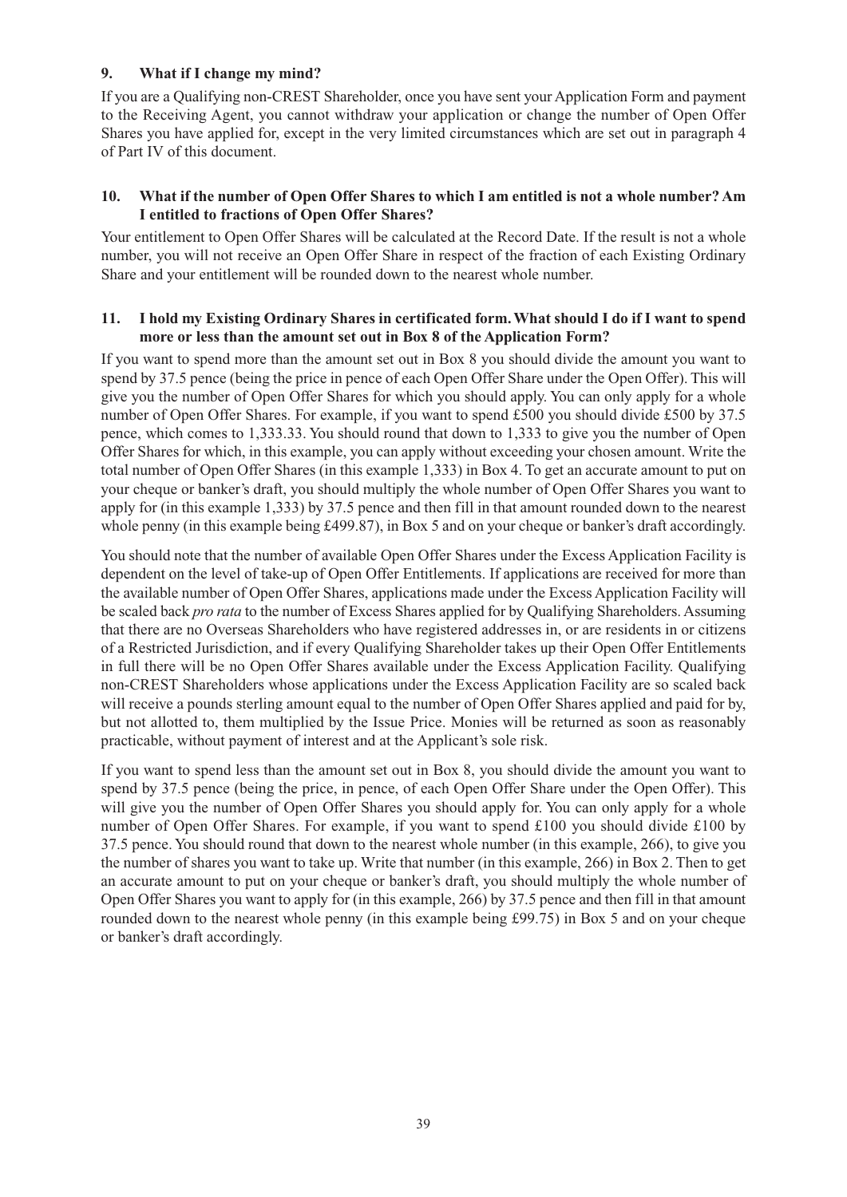## **9. What if I change my mind?**

If you are a Qualifying non-CREST Shareholder, once you have sent your Application Form and payment to the Receiving Agent, you cannot withdraw your application or change the number of Open Offer Shares you have applied for, except in the very limited circumstances which are set out in paragraph 4 of Part IV of this document.

## **10. What if the number of Open Offer Shares to which I am entitled is not a whole number?Am I entitled to fractions of Open Offer Shares?**

Your entitlement to Open Offer Shares will be calculated at the Record Date. If the result is not a whole number, you will not receive an Open Offer Share in respect of the fraction of each Existing Ordinary Share and your entitlement will be rounded down to the nearest whole number.

## **11. I hold my Existing Ordinary Shares in certificated form.What should I do if I want to spend more or less than the amount set out in Box 8 of the Application Form?**

If you want to spend more than the amount set out in Box 8 you should divide the amount you want to spend by 37.5 pence (being the price in pence of each Open Offer Share under the Open Offer). This will give you the number of Open Offer Shares for which you should apply. You can only apply for a whole number of Open Offer Shares. For example, if you want to spend £500 you should divide £500 by 37.5 pence, which comes to 1,333.33. You should round that down to 1,333 to give you the number of Open Offer Shares for which, in this example, you can apply without exceeding your chosen amount. Write the total number of Open Offer Shares (in this example 1,333) in Box 4. To get an accurate amount to put on your cheque or banker's draft, you should multiply the whole number of Open Offer Shares you want to apply for (in this example 1,333) by 37.5 pence and then fill in that amount rounded down to the nearest whole penny (in this example being £499.87), in Box 5 and on your cheque or banker's draft accordingly.

You should note that the number of available Open Offer Shares under the Excess Application Facility is dependent on the level of take-up of Open Offer Entitlements. If applications are received for more than the available number of Open Offer Shares, applications made under the Excess Application Facility will be scaled back *pro rata* to the number of Excess Shares applied for by Qualifying Shareholders. Assuming that there are no Overseas Shareholders who have registered addresses in, or are residents in or citizens of a Restricted Jurisdiction, and if every Qualifying Shareholder takes up their Open Offer Entitlements in full there will be no Open Offer Shares available under the Excess Application Facility. Qualifying non-CREST Shareholders whose applications under the Excess Application Facility are so scaled back will receive a pounds sterling amount equal to the number of Open Offer Shares applied and paid for by, but not allotted to, them multiplied by the Issue Price. Monies will be returned as soon as reasonably practicable, without payment of interest and at the Applicant's sole risk.

If you want to spend less than the amount set out in Box 8, you should divide the amount you want to spend by 37.5 pence (being the price, in pence, of each Open Offer Share under the Open Offer). This will give you the number of Open Offer Shares you should apply for. You can only apply for a whole number of Open Offer Shares. For example, if you want to spend £100 you should divide £100 by 37.5 pence. You should round that down to the nearest whole number (in this example, 266), to give you the number of shares you want to take up. Write that number (in this example, 266) in Box 2. Then to get an accurate amount to put on your cheque or banker's draft, you should multiply the whole number of Open Offer Shares you want to apply for (in this example, 266) by 37.5 pence and then fill in that amount rounded down to the nearest whole penny (in this example being £99.75) in Box 5 and on your cheque or banker's draft accordingly.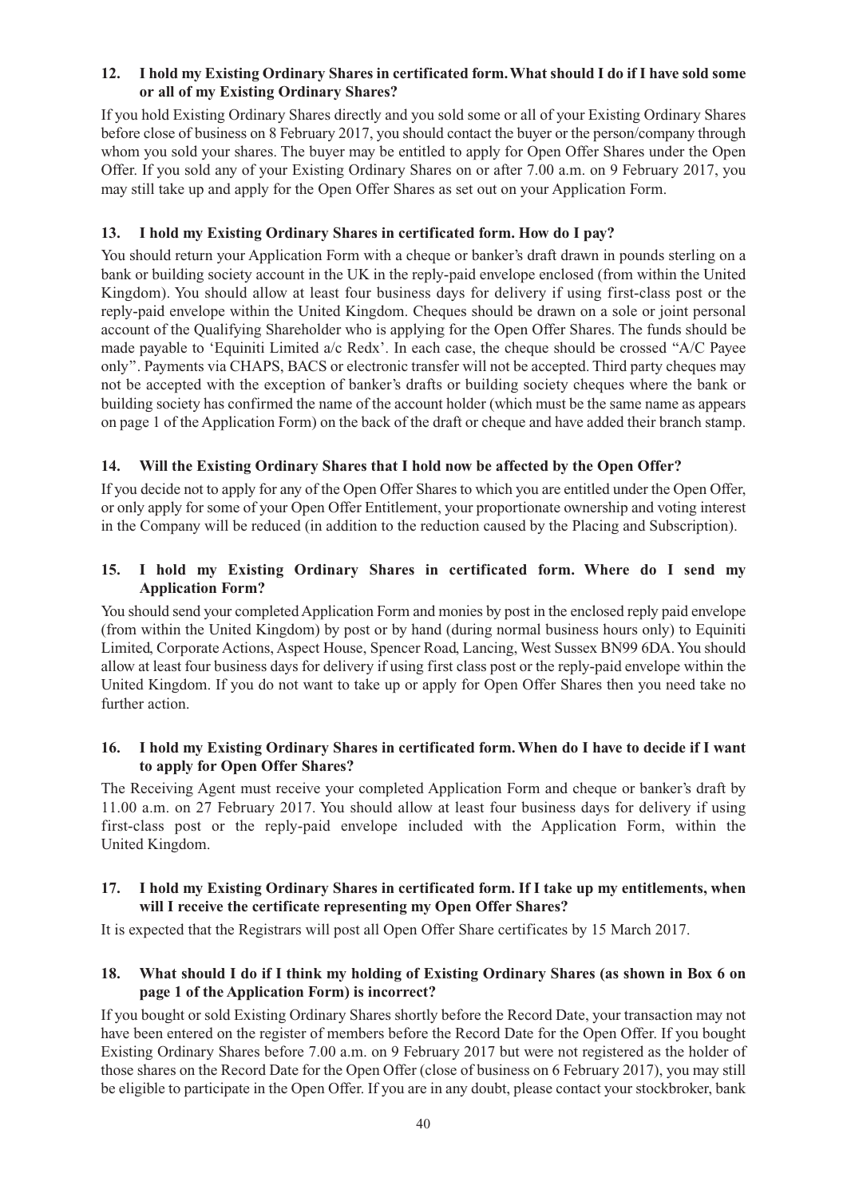#### **12. I hold my Existing Ordinary Shares in certificated form.What should I do if I have sold some or all of my Existing Ordinary Shares?**

If you hold Existing Ordinary Shares directly and you sold some or all of your Existing Ordinary Shares before close of business on 8 February 2017, you should contact the buyer or the person/company through whom you sold your shares. The buyer may be entitled to apply for Open Offer Shares under the Open Offer. If you sold any of your Existing Ordinary Shares on or after 7.00 a.m. on 9 February 2017, you may still take up and apply for the Open Offer Shares as set out on your Application Form.

## **13. I hold my Existing Ordinary Shares in certificated form. How do I pay?**

You should return your Application Form with a cheque or banker's draft drawn in pounds sterling on a bank or building society account in the UK in the reply-paid envelope enclosed (from within the United Kingdom). You should allow at least four business days for delivery if using first-class post or the reply-paid envelope within the United Kingdom. Cheques should be drawn on a sole or joint personal account of the Qualifying Shareholder who is applying for the Open Offer Shares. The funds should be made payable to 'Equiniti Limited a/c Redx'. In each case, the cheque should be crossed ''A/C Payee only''. Payments via CHAPS, BACS or electronic transfer will not be accepted. Third party cheques may not be accepted with the exception of banker's drafts or building society cheques where the bank or building society has confirmed the name of the account holder (which must be the same name as appears on page 1 of the Application Form) on the back of the draft or cheque and have added their branch stamp.

## **14. Will the Existing Ordinary Shares that I hold now be affected by the Open Offer?**

If you decide not to apply for any of the Open Offer Shares to which you are entitled under the Open Offer, or only apply for some of your Open Offer Entitlement, your proportionate ownership and voting interest in the Company will be reduced (in addition to the reduction caused by the Placing and Subscription).

## **15. I hold my Existing Ordinary Shares in certificated form. Where do I send my Application Form?**

You should send your completed Application Form and monies by post in the enclosed reply paid envelope (from within the United Kingdom) by post or by hand (during normal business hours only) to Equiniti Limited, Corporate Actions, Aspect House, Spencer Road, Lancing, West Sussex BN99 6DA.You should allow at least four business days for delivery if using first class post or the reply-paid envelope within the United Kingdom. If you do not want to take up or apply for Open Offer Shares then you need take no further action.

#### **16. I hold my Existing Ordinary Shares in certificated form.When do I have to decide if I want to apply for Open Offer Shares?**

The Receiving Agent must receive your completed Application Form and cheque or banker's draft by 11.00 a.m. on 27 February 2017. You should allow at least four business days for delivery if using first-class post or the reply-paid envelope included with the Application Form, within the United Kingdom.

## **17. I hold my Existing Ordinary Shares in certificated form. If I take up my entitlements, when will I receive the certificate representing my Open Offer Shares?**

It is expected that the Registrars will post all Open Offer Share certificates by 15 March 2017.

## 18. What should I do if I think my holding of Existing Ordinary Shares (as shown in Box 6 on **page 1 of the Application Form) is incorrect?**

If you bought or sold Existing Ordinary Shares shortly before the Record Date, your transaction may not have been entered on the register of members before the Record Date for the Open Offer. If you bought Existing Ordinary Shares before 7.00 a.m. on 9 February 2017 but were not registered as the holder of those shares on the Record Date for the Open Offer (close of business on 6 February 2017), you may still be eligible to participate in the Open Offer. If you are in any doubt, please contact your stockbroker, bank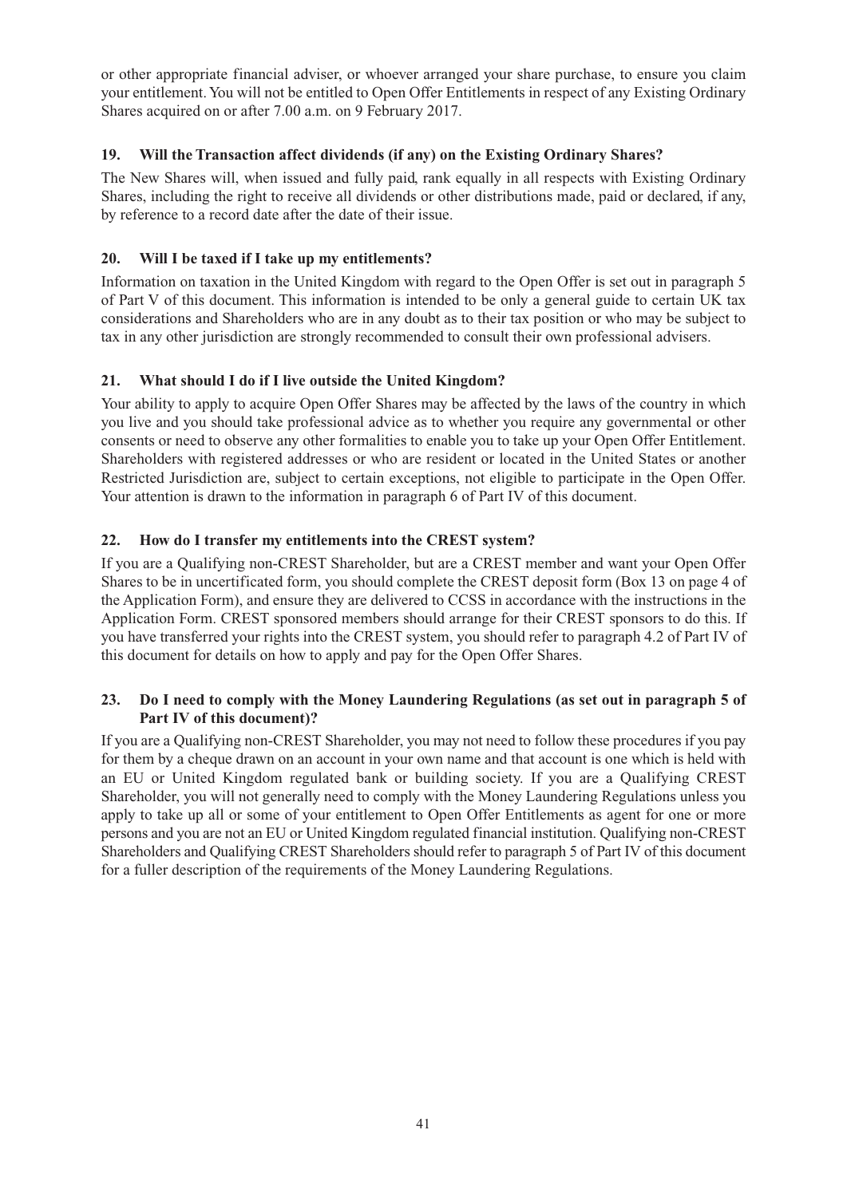or other appropriate financial adviser, or whoever arranged your share purchase, to ensure you claim your entitlement.You will not be entitled to Open Offer Entitlements in respect of any Existing Ordinary Shares acquired on or after 7.00 a.m. on 9 February 2017.

## **19. Will the Transaction affect dividends (if any) on the Existing Ordinary Shares?**

The New Shares will, when issued and fully paid, rank equally in all respects with Existing Ordinary Shares, including the right to receive all dividends or other distributions made, paid or declared, if any, by reference to a record date after the date of their issue.

## **20. Will I be taxed if I take up my entitlements?**

Information on taxation in the United Kingdom with regard to the Open Offer is set out in paragraph 5 of Part V of this document. This information is intended to be only a general guide to certain UK tax considerations and Shareholders who are in any doubt as to their tax position or who may be subject to tax in any other jurisdiction are strongly recommended to consult their own professional advisers.

## **21. What should I do if I live outside the United Kingdom?**

Your ability to apply to acquire Open Offer Shares may be affected by the laws of the country in which you live and you should take professional advice as to whether you require any governmental or other consents or need to observe any other formalities to enable you to take up your Open Offer Entitlement. Shareholders with registered addresses or who are resident or located in the United States or another Restricted Jurisdiction are, subject to certain exceptions, not eligible to participate in the Open Offer. Your attention is drawn to the information in paragraph 6 of Part IV of this document.

## **22. How do I transfer my entitlements into the CREST system?**

If you are a Qualifying non-CREST Shareholder, but are a CREST member and want your Open Offer Shares to be in uncertificated form, you should complete the CREST deposit form (Box 13 on page 4 of the Application Form), and ensure they are delivered to CCSS in accordance with the instructions in the Application Form. CREST sponsored members should arrange for their CREST sponsors to do this. If you have transferred your rights into the CREST system, you should refer to paragraph 4.2 of Part IV of this document for details on how to apply and pay for the Open Offer Shares.

#### **23. Do I need to comply with the Money Laundering Regulations (as set out in paragraph 5 of Part IV of this document)?**

If you are a Qualifying non-CREST Shareholder, you may not need to follow these procedures if you pay for them by a cheque drawn on an account in your own name and that account is one which is held with an EU or United Kingdom regulated bank or building society. If you are a Qualifying CREST Shareholder, you will not generally need to comply with the Money Laundering Regulations unless you apply to take up all or some of your entitlement to Open Offer Entitlements as agent for one or more persons and you are not an EU or United Kingdom regulated financial institution. Qualifying non-CREST Shareholders and Qualifying CREST Shareholders should refer to paragraph 5 of Part IV of this document for a fuller description of the requirements of the Money Laundering Regulations.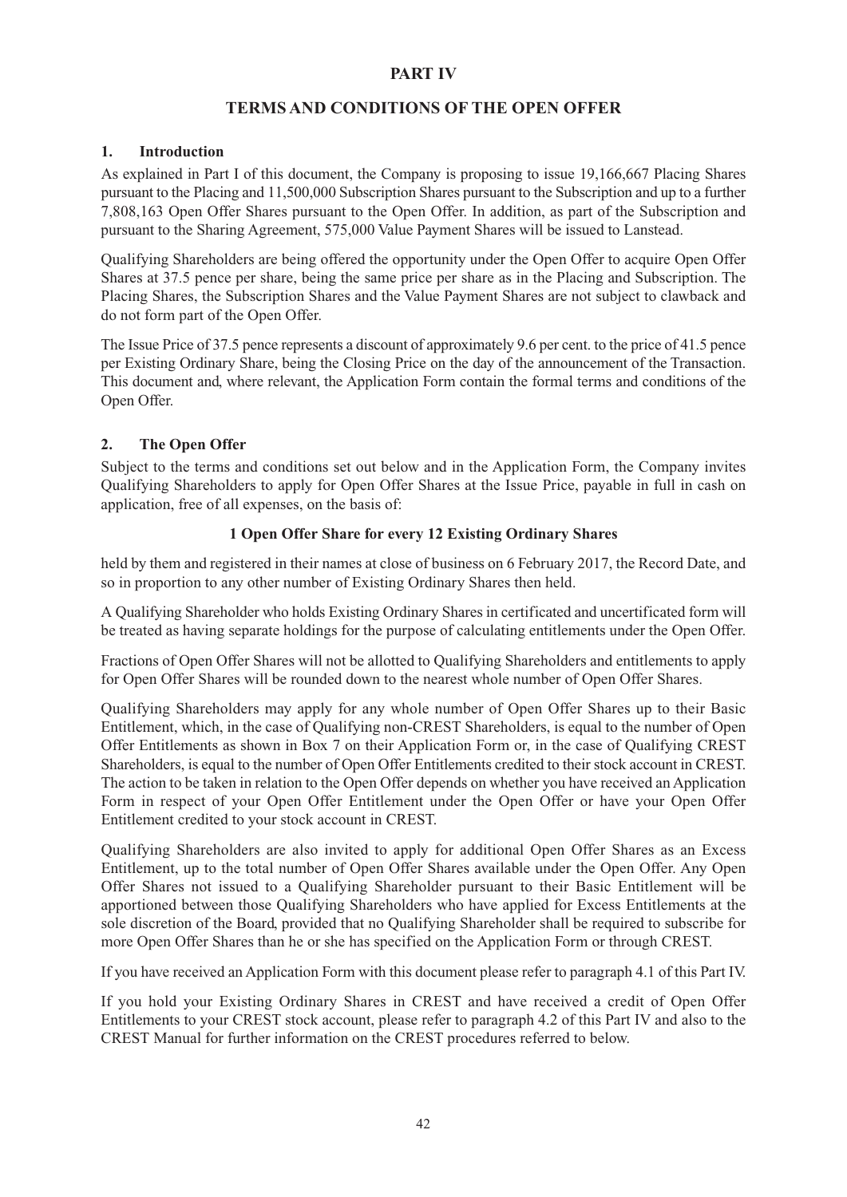#### **PART IV**

## **TERMS AND CONDITIONS OF THE OPEN OFFER**

#### **1. Introduction**

As explained in Part I of this document, the Company is proposing to issue 19,166,667 Placing Shares pursuant to the Placing and 11,500,000 Subscription Shares pursuant to the Subscription and up to a further 7,808,163 Open Offer Shares pursuant to the Open Offer. In addition, as part of the Subscription and pursuant to the Sharing Agreement, 575,000 Value Payment Shares will be issued to Lanstead.

Qualifying Shareholders are being offered the opportunity under the Open Offer to acquire Open Offer Shares at 37.5 pence per share, being the same price per share as in the Placing and Subscription. The Placing Shares, the Subscription Shares and the Value Payment Shares are not subject to clawback and do not form part of the Open Offer.

The Issue Price of 37.5 pence represents a discount of approximately 9.6 per cent. to the price of 41.5 pence per Existing Ordinary Share, being the Closing Price on the day of the announcement of the Transaction. This document and, where relevant, the Application Form contain the formal terms and conditions of the Open Offer.

## **2. The Open Offer**

Subject to the terms and conditions set out below and in the Application Form, the Company invites Qualifying Shareholders to apply for Open Offer Shares at the Issue Price, payable in full in cash on application, free of all expenses, on the basis of:

#### **1 Open Offer Share for every 12 Existing Ordinary Shares**

held by them and registered in their names at close of business on 6 February 2017, the Record Date, and so in proportion to any other number of Existing Ordinary Shares then held.

A Qualifying Shareholder who holds Existing Ordinary Shares in certificated and uncertificated form will be treated as having separate holdings for the purpose of calculating entitlements under the Open Offer.

Fractions of Open Offer Shares will not be allotted to Qualifying Shareholders and entitlements to apply for Open Offer Shares will be rounded down to the nearest whole number of Open Offer Shares.

Qualifying Shareholders may apply for any whole number of Open Offer Shares up to their Basic Entitlement, which, in the case of Qualifying non-CREST Shareholders, is equal to the number of Open Offer Entitlements as shown in Box 7 on their Application Form or, in the case of Qualifying CREST Shareholders, is equal to the number of Open Offer Entitlements credited to their stock account in CREST. The action to be taken in relation to the Open Offer depends on whether you have received an Application Form in respect of your Open Offer Entitlement under the Open Offer or have your Open Offer Entitlement credited to your stock account in CREST.

Qualifying Shareholders are also invited to apply for additional Open Offer Shares as an Excess Entitlement, up to the total number of Open Offer Shares available under the Open Offer. Any Open Offer Shares not issued to a Qualifying Shareholder pursuant to their Basic Entitlement will be apportioned between those Qualifying Shareholders who have applied for Excess Entitlements at the sole discretion of the Board, provided that no Qualifying Shareholder shall be required to subscribe for more Open Offer Shares than he or she has specified on the Application Form or through CREST.

If you have received an Application Form with this document please refer to paragraph 4.1 of this Part IV.

If you hold your Existing Ordinary Shares in CREST and have received a credit of Open Offer Entitlements to your CREST stock account, please refer to paragraph 4.2 of this Part IV and also to the CREST Manual for further information on the CREST procedures referred to below.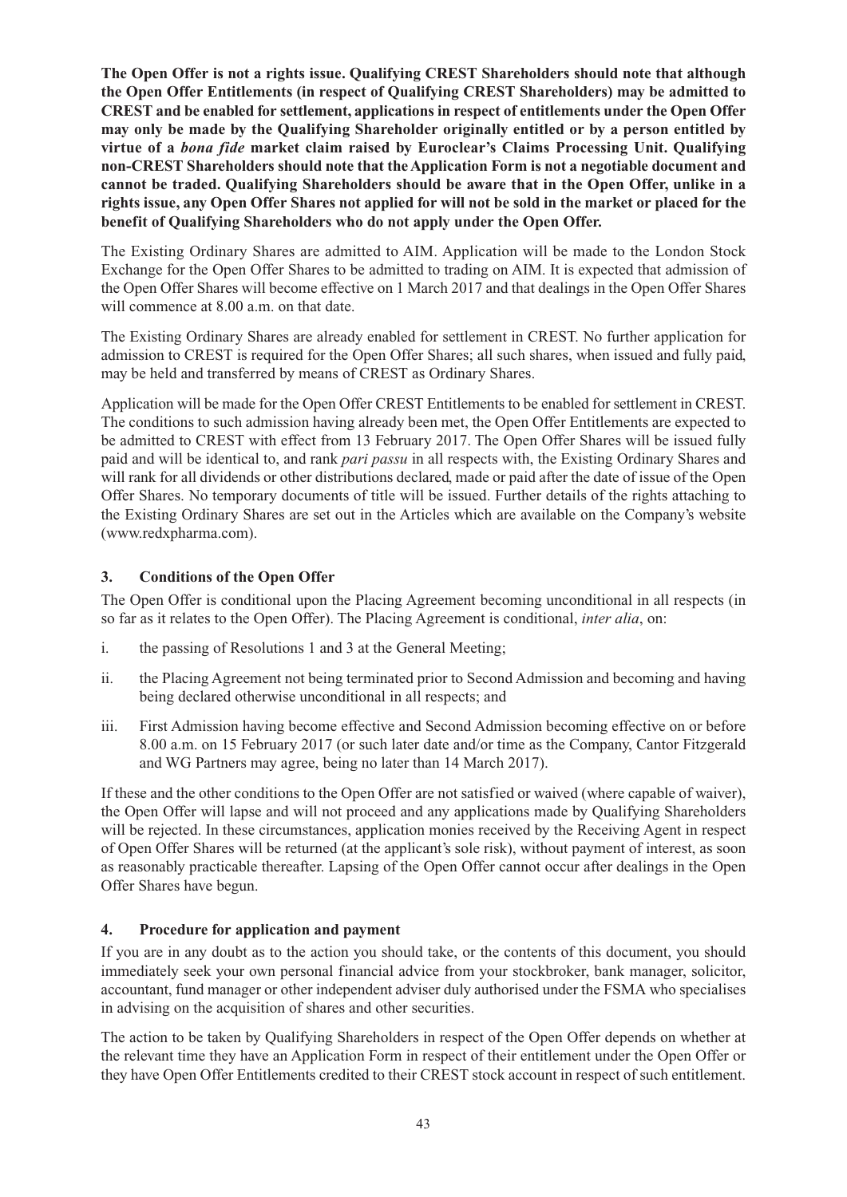**The Open Offer is not a rights issue. Qualifying CREST Shareholders should note that although the Open Offer Entitlements (in respect of Qualifying CREST Shareholders) may be admitted to CREST and be enabled for settlement, applications in respect of entitlements under the Open Offer may only be made by the Qualifying Shareholder originally entitled or by a person entitled by virtue of a** *bona fide* **market claim raised by Euroclear's Claims Processing Unit. Qualifying non-CREST Shareholders should note that theApplication Form is not a negotiable document and cannot be traded. Qualifying Shareholders should be aware that in the Open Offer, unlike in a** rights issue, any Open Offer Shares not applied for will not be sold in the market or placed for the **benefit of Qualifying Shareholders who do not apply under the Open Offer.**

The Existing Ordinary Shares are admitted to AIM. Application will be made to the London Stock Exchange for the Open Offer Shares to be admitted to trading on AIM. It is expected that admission of the Open Offer Shares will become effective on 1 March 2017 and that dealings in the Open Offer Shares will commence at 8.00 a.m. on that date.

The Existing Ordinary Shares are already enabled for settlement in CREST. No further application for admission to CREST is required for the Open Offer Shares; all such shares, when issued and fully paid, may be held and transferred by means of CREST as Ordinary Shares.

Application will be made for the Open Offer CREST Entitlements to be enabled for settlement in CREST. The conditions to such admission having already been met, the Open Offer Entitlements are expected to be admitted to CREST with effect from 13 February 2017. The Open Offer Shares will be issued fully paid and will be identical to, and rank *pari passu* in all respects with, the Existing Ordinary Shares and will rank for all dividends or other distributions declared, made or paid after the date of issue of the Open Offer Shares. No temporary documents of title will be issued. Further details of the rights attaching to the Existing Ordinary Shares are set out in the Articles which are available on the Company's website (www.redxpharma.com).

## **3. Conditions of the Open Offer**

The Open Offer is conditional upon the Placing Agreement becoming unconditional in all respects (in so far as it relates to the Open Offer). The Placing Agreement is conditional, *inter alia*, on:

- i. the passing of Resolutions 1 and 3 at the General Meeting;
- ii. the Placing Agreement not being terminated prior to Second Admission and becoming and having being declared otherwise unconditional in all respects; and
- iii. First Admission having become effective and Second Admission becoming effective on or before 8.00 a.m. on 15 February 2017 (or such later date and/or time as the Company, Cantor Fitzgerald and WG Partners may agree, being no later than 14 March 2017).

If these and the other conditions to the Open Offer are not satisfied or waived (where capable of waiver), the Open Offer will lapse and will not proceed and any applications made by Qualifying Shareholders will be rejected. In these circumstances, application monies received by the Receiving Agent in respect of Open Offer Shares will be returned (at the applicant's sole risk), without payment of interest, as soon as reasonably practicable thereafter. Lapsing of the Open Offer cannot occur after dealings in the Open Offer Shares have begun.

## **4. Procedure for application and payment**

If you are in any doubt as to the action you should take, or the contents of this document, you should immediately seek your own personal financial advice from your stockbroker, bank manager, solicitor, accountant, fund manager or other independent adviser duly authorised under the FSMA who specialises in advising on the acquisition of shares and other securities.

The action to be taken by Qualifying Shareholders in respect of the Open Offer depends on whether at the relevant time they have an Application Form in respect of their entitlement under the Open Offer or they have Open Offer Entitlements credited to their CREST stock account in respect of such entitlement.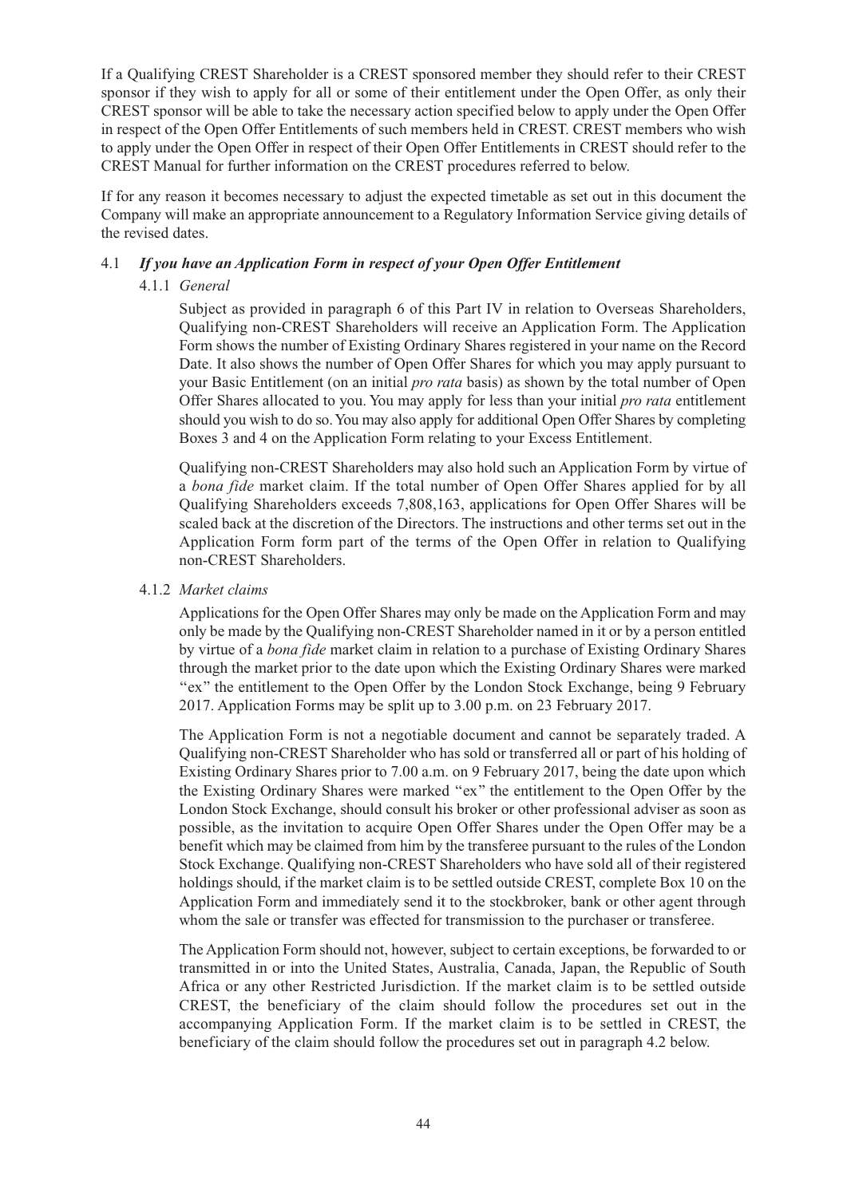If a Qualifying CREST Shareholder is a CREST sponsored member they should refer to their CREST sponsor if they wish to apply for all or some of their entitlement under the Open Offer, as only their CREST sponsor will be able to take the necessary action specified below to apply under the Open Offer in respect of the Open Offer Entitlements of such members held in CREST. CREST members who wish to apply under the Open Offer in respect of their Open Offer Entitlements in CREST should refer to the CREST Manual for further information on the CREST procedures referred to below.

If for any reason it becomes necessary to adjust the expected timetable as set out in this document the Company will make an appropriate announcement to a Regulatory Information Service giving details of the revised dates.

## 4.1 *If you have an Application Form in respect of your Open Offer Entitlement*

#### 4.1.1 *General*

Subject as provided in paragraph 6 of this Part IV in relation to Overseas Shareholders, Qualifying non-CREST Shareholders will receive an Application Form. The Application Form shows the number of Existing Ordinary Shares registered in your name on the Record Date. It also shows the number of Open Offer Shares for which you may apply pursuant to your Basic Entitlement (on an initial *pro rata* basis) as shown by the total number of Open Offer Shares allocated to you. You may apply for less than your initial *pro rata* entitlement should you wish to do so.You may also apply for additional Open Offer Shares by completing Boxes 3 and 4 on the Application Form relating to your Excess Entitlement.

Qualifying non-CREST Shareholders may also hold such an Application Form by virtue of a *bona fide* market claim. If the total number of Open Offer Shares applied for by all Qualifying Shareholders exceeds 7,808,163, applications for Open Offer Shares will be scaled back at the discretion of the Directors. The instructions and other terms set out in the Application Form form part of the terms of the Open Offer in relation to Qualifying non-CREST Shareholders.

#### 4.1.2 *Market claims*

Applications for the Open Offer Shares may only be made on the Application Form and may only be made by the Qualifying non-CREST Shareholder named in it or by a person entitled by virtue of a *bona fide* market claim in relation to a purchase of Existing Ordinary Shares through the market prior to the date upon which the Existing Ordinary Shares were marked ''ex'' the entitlement to the Open Offer by the London Stock Exchange, being 9 February 2017. Application Forms may be split up to 3.00 p.m. on 23 February 2017.

The Application Form is not a negotiable document and cannot be separately traded. A Qualifying non-CREST Shareholder who has sold or transferred all or part of his holding of Existing Ordinary Shares prior to 7.00 a.m. on 9 February 2017, being the date upon which the Existing Ordinary Shares were marked ''ex'' the entitlement to the Open Offer by the London Stock Exchange, should consult his broker or other professional adviser as soon as possible, as the invitation to acquire Open Offer Shares under the Open Offer may be a benefit which may be claimed from him by the transferee pursuant to the rules of the London Stock Exchange. Qualifying non-CREST Shareholders who have sold all of their registered holdings should, if the market claim is to be settled outside CREST, complete Box 10 on the Application Form and immediately send it to the stockbroker, bank or other agent through whom the sale or transfer was effected for transmission to the purchaser or transferee.

The Application Form should not, however, subject to certain exceptions, be forwarded to or transmitted in or into the United States, Australia, Canada, Japan, the Republic of South Africa or any other Restricted Jurisdiction. If the market claim is to be settled outside CREST, the beneficiary of the claim should follow the procedures set out in the accompanying Application Form. If the market claim is to be settled in CREST, the beneficiary of the claim should follow the procedures set out in paragraph 4.2 below.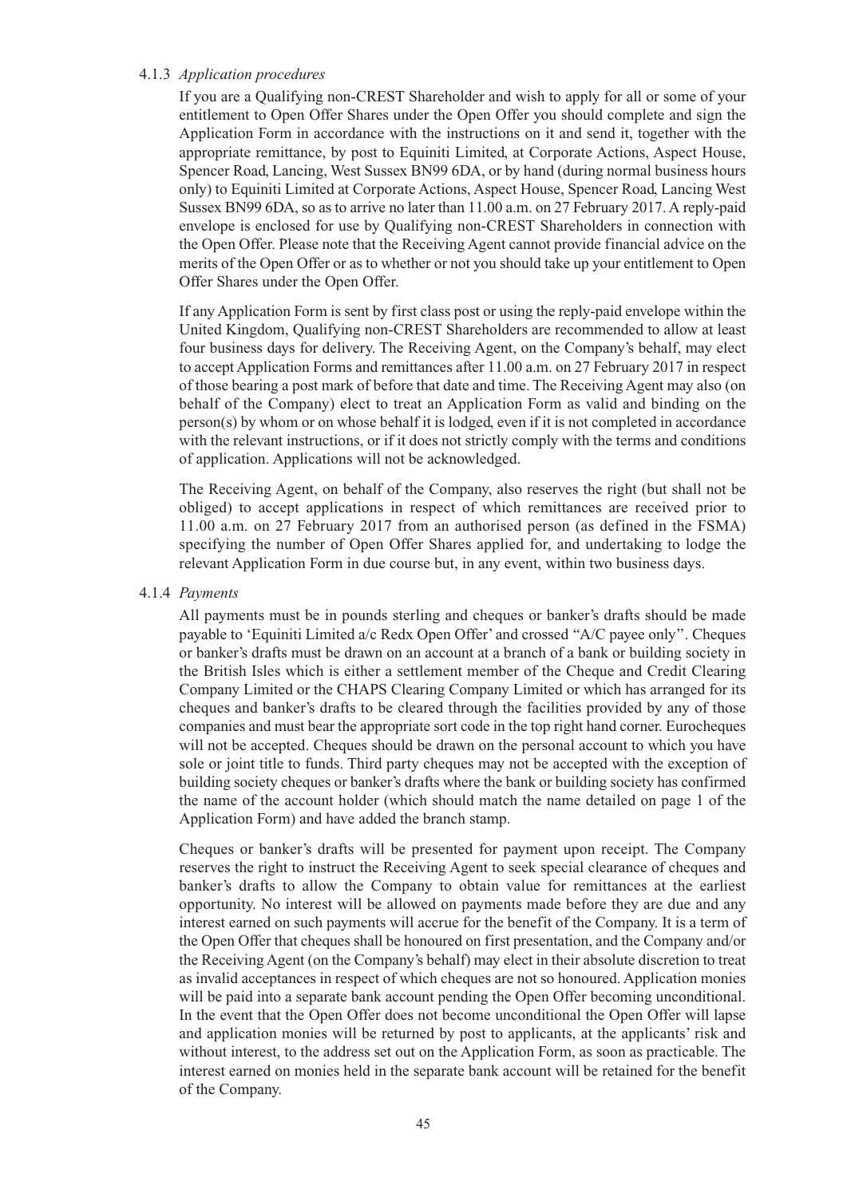#### 4.1.3 *Application procedures*

If you are a Qualifying non-CREST Shareholder and wish to apply for all or some of your entitlement to Open Offer Shares under the Open Offer you should complete and sign the Application Form in accordance with the instructions on it and send it, together with the appropriate remittance, by post to Equiniti Limited, at Corporate Actions, Aspect House, Spencer Road, Lancing, West Sussex BN99 6DA, or by hand (during normal business hours only) to Equiniti Limited at Corporate Actions, Aspect House, Spencer Road, Lancing West Sussex BN99 6DA, so as to arrive no later than 11.00 a.m. on 27 February 2017. A reply-paid envelope is enclosed for use by Qualifying non-CREST Shareholders in connection with the Open Offer. Please note that the Receiving Agent cannot provide financial advice on the merits of the Open Offer or as to whether or not you should take up your entitlement to Open Offer Shares under the Open Offer.

If any Application Form is sent by first class post or using the reply-paid envelope within the United Kingdom, Qualifying non-CREST Shareholders are recommended to allow at least four business days for delivery. The Receiving Agent, on the Company's behalf, may elect to accept Application Forms and remittances after 11.00 a.m. on 27 February 2017 in respect of those bearing a post mark of before that date and time. The Receiving Agent may also (on behalf of the Company) elect to treat an Application Form as valid and binding on the person(s) by whom or on whose behalf it is lodged, even if it is not completed in accordance with the relevant instructions, or if it does not strictly comply with the terms and conditions of application. Applications will not be acknowledged.

The Receiving Agent, on behalf of the Company, also reserves the right (but shall not be obliged) to accept applications in respect of which remittances are received prior to 11.00 a.m. on 27 February 2017 from an authorised person (as defined in the FSMA) specifying the number of Open Offer Shares applied for, and undertaking to lodge the relevant Application Form in due course but, in any event, within two business days.

#### 4.1.4 *Payments*

All payments must be in pounds sterling and cheques or banker's drafts should be made payable to 'Equiniti Limited a/c Redx Open Offer' and crossed ''A/C payee only''. Cheques or banker's drafts must be drawn on an account at a branch of a bank or building society in the British Isles which is either a settlement member of the Cheque and Credit Clearing Company Limited or the CHAPS Clearing Company Limited or which has arranged for its cheques and banker's drafts to be cleared through the facilities provided by any of those companies and must bear the appropriate sort code in the top right hand corner. Eurocheques will not be accepted. Cheques should be drawn on the personal account to which you have sole or joint title to funds. Third party cheques may not be accepted with the exception of building society cheques or banker's drafts where the bank or building society has confirmed the name of the account holder (which should match the name detailed on page 1 of the Application Form) and have added the branch stamp.

Cheques or banker's drafts will be presented for payment upon receipt. The Company reserves the right to instruct the Receiving Agent to seek special clearance of cheques and banker's drafts to allow the Company to obtain value for remittances at the earliest opportunity. No interest will be allowed on payments made before they are due and any interest earned on such payments will accrue for the benefit of the Company. It is a term of the Open Offer that cheques shall be honoured on first presentation, and the Company and/or the Receiving Agent (on the Company's behalf) may elect in their absolute discretion to treat as invalid acceptances in respect of which cheques are not so honoured. Application monies will be paid into a separate bank account pending the Open Offer becoming unconditional. In the event that the Open Offer does not become unconditional the Open Offer will lapse and application monies will be returned by post to applicants, at the applicants' risk and without interest, to the address set out on the Application Form, as soon as practicable. The interest earned on monies held in the separate bank account will be retained for the benefit of the Company.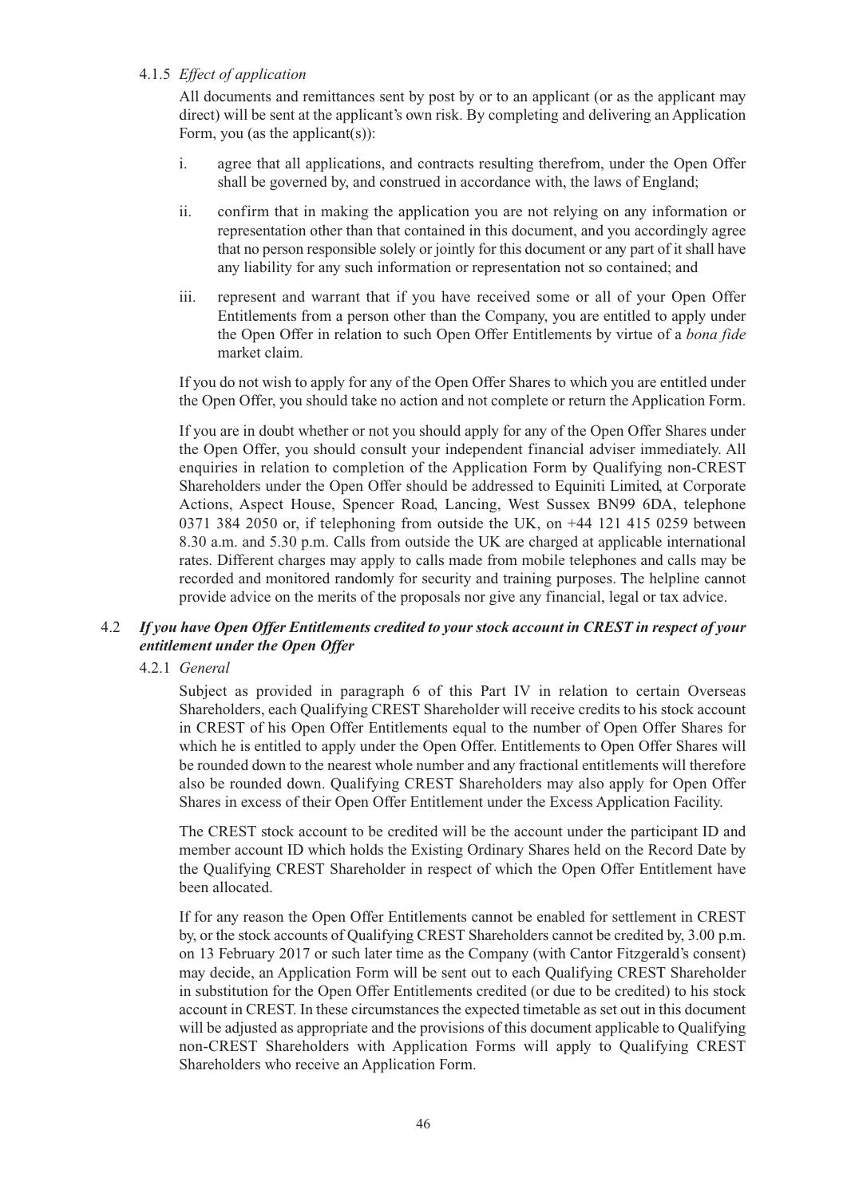#### 4.1.5 *Effect of application*

All documents and remittances sent by post by or to an applicant (or as the applicant may direct) will be sent at the applicant's own risk. By completing and delivering an Application Form, you (as the applicant(s)):

- i. agree that all applications, and contracts resulting therefrom, under the Open Offer shall be governed by, and construed in accordance with, the laws of England;
- ii. confirm that in making the application you are not relying on any information or representation other than that contained in this document, and you accordingly agree that no person responsible solely or jointly for this document or any part of it shall have any liability for any such information or representation not so contained; and
- iii. represent and warrant that if you have received some or all of your Open Offer Entitlements from a person other than the Company, you are entitled to apply under the Open Offer in relation to such Open Offer Entitlements by virtue of a *bona fide* market claim.

If you do not wish to apply for any of the Open Offer Shares to which you are entitled under the Open Offer, you should take no action and not complete or return the Application Form.

If you are in doubt whether or not you should apply for any of the Open Offer Shares under the Open Offer, you should consult your independent financial adviser immediately. All enquiries in relation to completion of the Application Form by Qualifying non-CREST Shareholders under the Open Offer should be addressed to Equiniti Limited, at Corporate Actions, Aspect House, Spencer Road, Lancing, West Sussex BN99 6DA, telephone 0371 384 2050 or, if telephoning from outside the UK, on +44 121 415 0259 between 8.30 a.m. and 5.30 p.m. Calls from outside the UK are charged at applicable international rates. Different charges may apply to calls made from mobile telephones and calls may be recorded and monitored randomly for security and training purposes. The helpline cannot provide advice on the merits of the proposals nor give any financial, legal or tax advice.

#### 4.2 *If you have Open Offer Entitlements credited to your stock account in CREST in respect of your entitlement under the Open Offer*

#### 4.2.1 *General*

Subject as provided in paragraph 6 of this Part IV in relation to certain Overseas Shareholders, each Qualifying CREST Shareholder will receive credits to his stock account in CREST of his Open Offer Entitlements equal to the number of Open Offer Shares for which he is entitled to apply under the Open Offer. Entitlements to Open Offer Shares will be rounded down to the nearest whole number and any fractional entitlements will therefore also be rounded down. Qualifying CREST Shareholders may also apply for Open Offer Shares in excess of their Open Offer Entitlement under the Excess Application Facility.

The CREST stock account to be credited will be the account under the participant ID and member account ID which holds the Existing Ordinary Shares held on the Record Date by the Qualifying CREST Shareholder in respect of which the Open Offer Entitlement have been allocated.

If for any reason the Open Offer Entitlements cannot be enabled for settlement in CREST by, or the stock accounts of Qualifying CREST Shareholders cannot be credited by, 3.00 p.m. on 13 February 2017 or such later time as the Company (with Cantor Fitzgerald's consent) may decide, an Application Form will be sent out to each Qualifying CREST Shareholder in substitution for the Open Offer Entitlements credited (or due to be credited) to his stock account in CREST. In these circumstances the expected timetable as set out in this document will be adjusted as appropriate and the provisions of this document applicable to Qualifying non-CREST Shareholders with Application Forms will apply to Qualifying CREST Shareholders who receive an Application Form.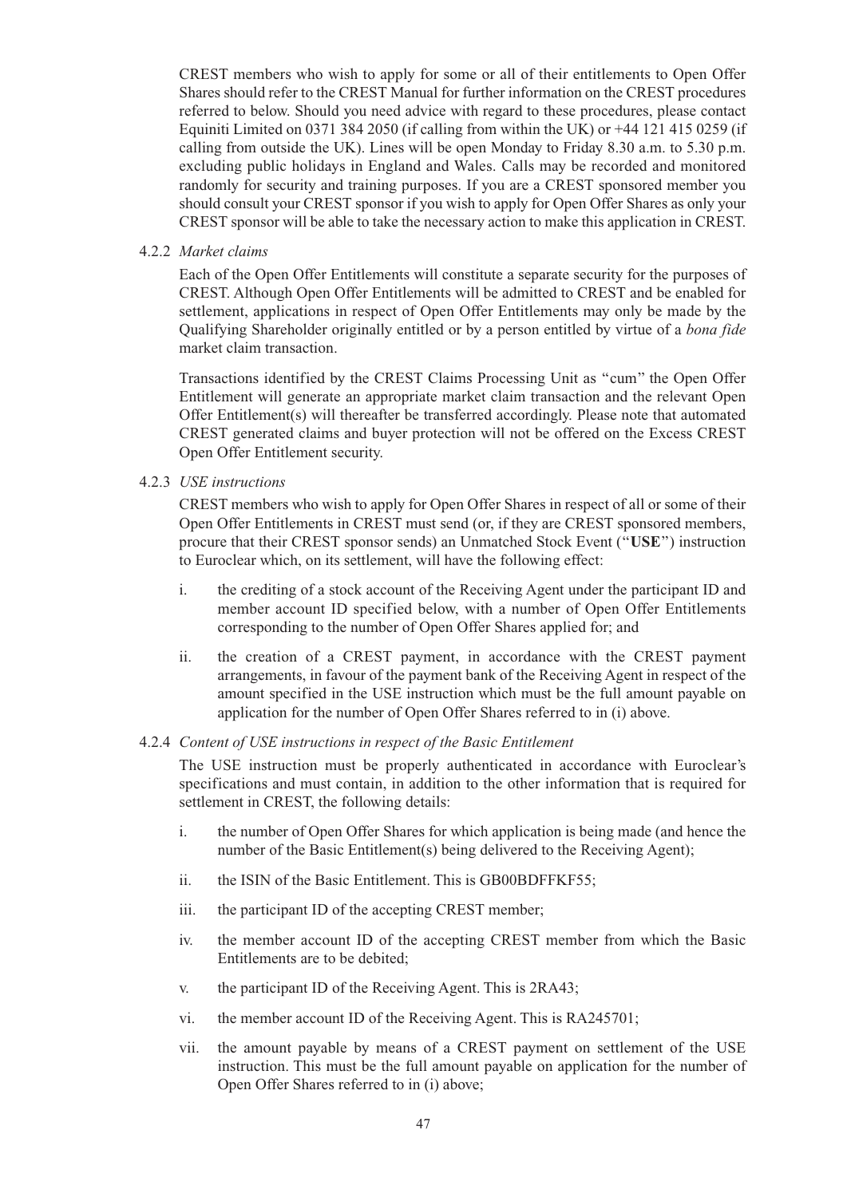CREST members who wish to apply for some or all of their entitlements to Open Offer Shares should refer to the CREST Manual for further information on the CREST procedures referred to below. Should you need advice with regard to these procedures, please contact Equiniti Limited on 0371 384 2050 (if calling from within the UK) or +44 121 415 0259 (if calling from outside the UK). Lines will be open Monday to Friday 8.30 a.m. to 5.30 p.m. excluding public holidays in England and Wales. Calls may be recorded and monitored randomly for security and training purposes. If you are a CREST sponsored member you should consult your CREST sponsor if you wish to apply for Open Offer Shares as only your CREST sponsor will be able to take the necessary action to make this application in CREST.

4.2.2 *Market claims*

Each of the Open Offer Entitlements will constitute a separate security for the purposes of CREST. Although Open Offer Entitlements will be admitted to CREST and be enabled for settlement, applications in respect of Open Offer Entitlements may only be made by the Qualifying Shareholder originally entitled or by a person entitled by virtue of a *bona fide* market claim transaction.

Transactions identified by the CREST Claims Processing Unit as ''cum'' the Open Offer Entitlement will generate an appropriate market claim transaction and the relevant Open Offer Entitlement(s) will thereafter be transferred accordingly. Please note that automated CREST generated claims and buyer protection will not be offered on the Excess CREST Open Offer Entitlement security.

4.2.3 *USE instructions*

CREST members who wish to apply for Open Offer Shares in respect of all or some of their Open Offer Entitlements in CREST must send (or, if they are CREST sponsored members, procure that their CREST sponsor sends) an Unmatched Stock Event (''**USE**'') instruction to Euroclear which, on its settlement, will have the following effect:

- i. the crediting of a stock account of the Receiving Agent under the participant ID and member account ID specified below, with a number of Open Offer Entitlements corresponding to the number of Open Offer Shares applied for; and
- ii. the creation of a CREST payment, in accordance with the CREST payment arrangements, in favour of the payment bank of the Receiving Agent in respect of the amount specified in the USE instruction which must be the full amount payable on application for the number of Open Offer Shares referred to in (i) above.

#### 4.2.4 *Content of USE instructions in respect of the Basic Entitlement*

The USE instruction must be properly authenticated in accordance with Euroclear's specifications and must contain, in addition to the other information that is required for settlement in CREST, the following details:

- i. the number of Open Offer Shares for which application is being made (and hence the number of the Basic Entitlement(s) being delivered to the Receiving Agent);
- ii. the ISIN of the Basic Entitlement. This is GB00BDFFKF55;
- iii. the participant ID of the accepting CREST member;
- iv. the member account ID of the accepting CREST member from which the Basic Entitlements are to be debited;
- v. the participant ID of the Receiving Agent. This is 2RA43;
- vi. the member account ID of the Receiving Agent. This is RA245701;
- vii. the amount payable by means of a CREST payment on settlement of the USE instruction. This must be the full amount payable on application for the number of Open Offer Shares referred to in (i) above;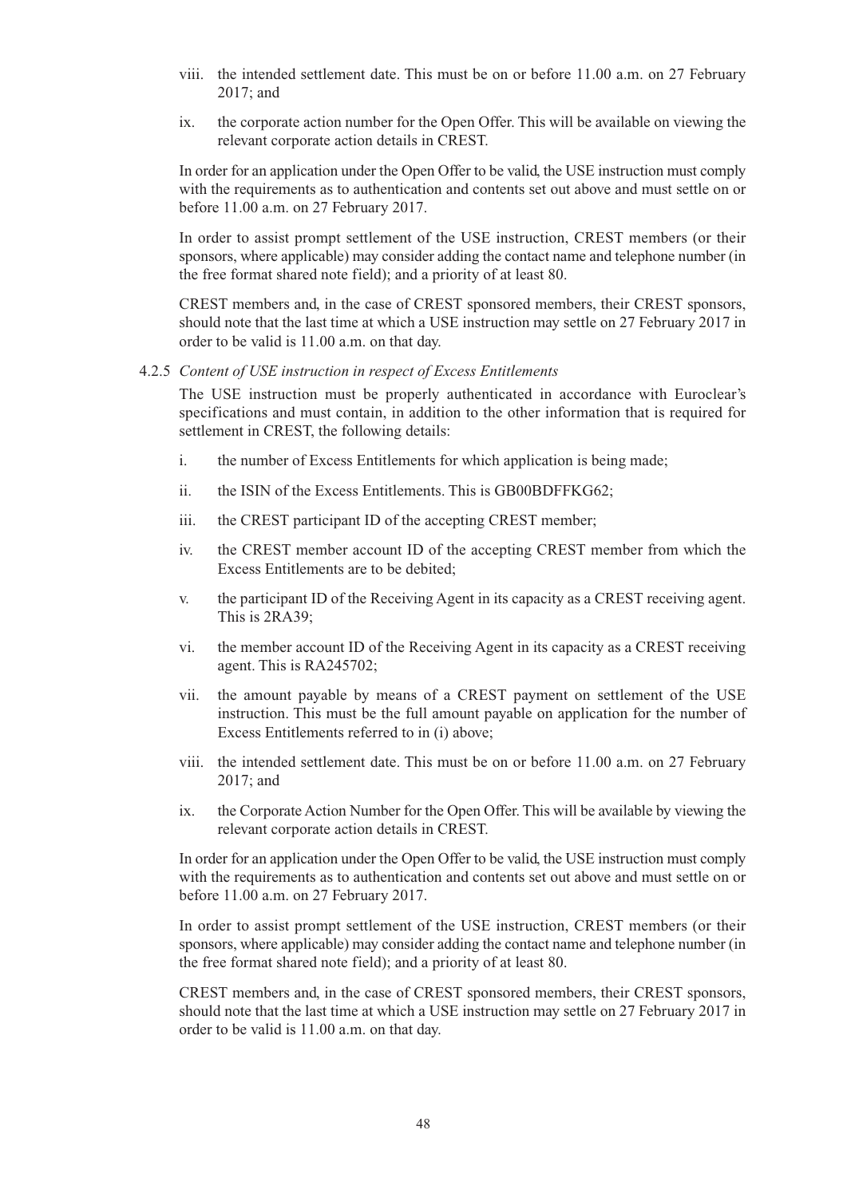- viii. the intended settlement date. This must be on or before 11.00 a.m. on 27 February 2017; and
- ix. the corporate action number for the Open Offer. This will be available on viewing the relevant corporate action details in CREST.

In order for an application under the Open Offer to be valid, the USE instruction must comply with the requirements as to authentication and contents set out above and must settle on or before 11.00 a.m. on 27 February 2017.

In order to assist prompt settlement of the USE instruction, CREST members (or their sponsors, where applicable) may consider adding the contact name and telephone number (in the free format shared note field); and a priority of at least 80.

CREST members and, in the case of CREST sponsored members, their CREST sponsors, should note that the last time at which a USE instruction may settle on 27 February 2017 in order to be valid is 11.00 a.m. on that day.

4.2.5 *Content of USE instruction in respect of Excess Entitlements*

The USE instruction must be properly authenticated in accordance with Euroclear's specifications and must contain, in addition to the other information that is required for settlement in CREST, the following details:

- i. the number of Excess Entitlements for which application is being made;
- ii. the ISIN of the Excess Entitlements. This is GB00BDFFKG62;
- iii. the CREST participant ID of the accepting CREST member;
- iv. the CREST member account ID of the accepting CREST member from which the Excess Entitlements are to be debited;
- v. the participant ID of the Receiving Agent in its capacity as a CREST receiving agent. This is 2RA39;
- vi. the member account ID of the Receiving Agent in its capacity as a CREST receiving agent. This is RA245702;
- vii. the amount payable by means of a CREST payment on settlement of the USE instruction. This must be the full amount payable on application for the number of Excess Entitlements referred to in (i) above;
- viii. the intended settlement date. This must be on or before 11.00 a.m. on 27 February 2017; and
- ix. the Corporate Action Number for the Open Offer. This will be available by viewing the relevant corporate action details in CREST.

In order for an application under the Open Offer to be valid, the USE instruction must comply with the requirements as to authentication and contents set out above and must settle on or before 11.00 a.m. on 27 February 2017.

In order to assist prompt settlement of the USE instruction, CREST members (or their sponsors, where applicable) may consider adding the contact name and telephone number (in the free format shared note field); and a priority of at least 80.

CREST members and, in the case of CREST sponsored members, their CREST sponsors, should note that the last time at which a USE instruction may settle on 27 February 2017 in order to be valid is 11.00 a.m. on that day.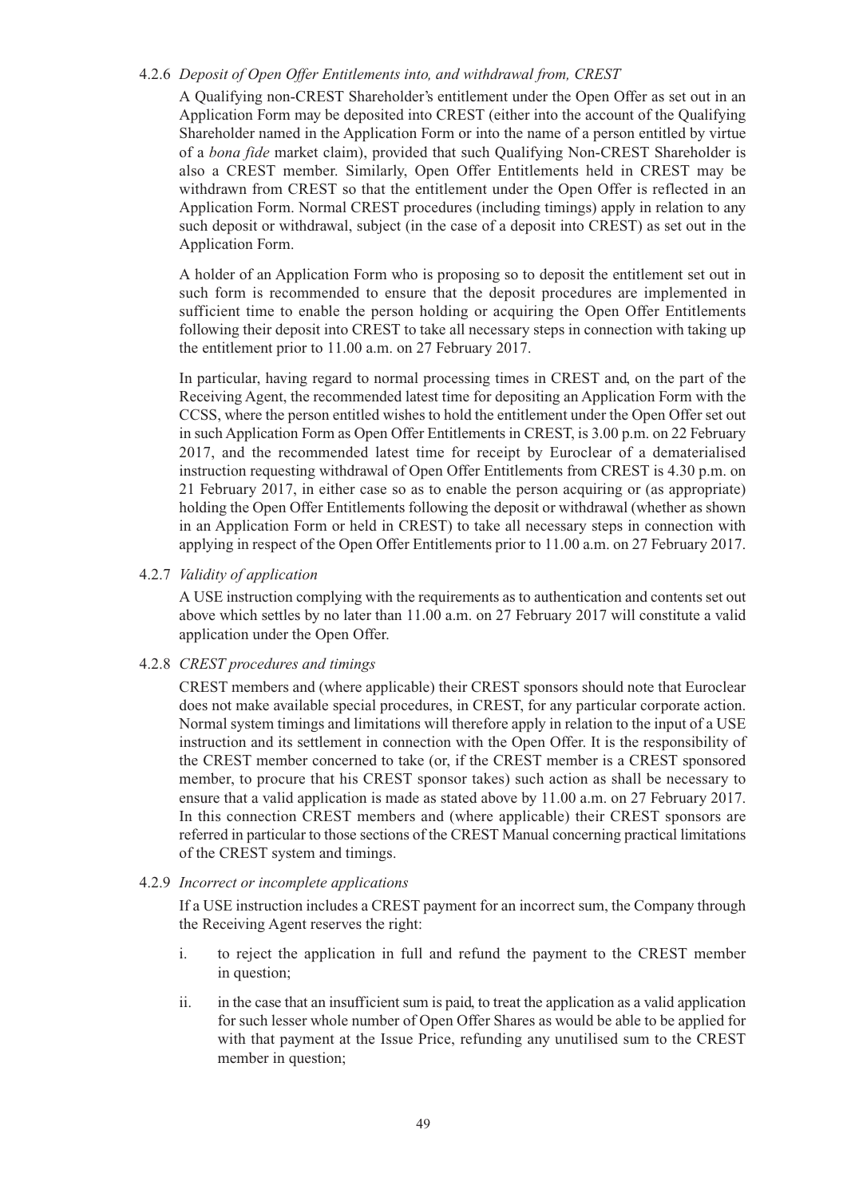#### 4.2.6 *Deposit of Open Offer Entitlements into, and withdrawal from, CREST*

A Qualifying non-CREST Shareholder's entitlement under the Open Offer as set out in an Application Form may be deposited into CREST (either into the account of the Qualifying Shareholder named in the Application Form or into the name of a person entitled by virtue of a *bona fide* market claim), provided that such Qualifying Non-CREST Shareholder is also a CREST member. Similarly, Open Offer Entitlements held in CREST may be withdrawn from CREST so that the entitlement under the Open Offer is reflected in an Application Form. Normal CREST procedures (including timings) apply in relation to any such deposit or withdrawal, subject (in the case of a deposit into CREST) as set out in the Application Form.

A holder of an Application Form who is proposing so to deposit the entitlement set out in such form is recommended to ensure that the deposit procedures are implemented in sufficient time to enable the person holding or acquiring the Open Offer Entitlements following their deposit into CREST to take all necessary steps in connection with taking up the entitlement prior to 11.00 a.m. on 27 February 2017.

In particular, having regard to normal processing times in CREST and, on the part of the Receiving Agent, the recommended latest time for depositing an Application Form with the CCSS, where the person entitled wishes to hold the entitlement under the Open Offer set out in such Application Form as Open Offer Entitlements in CREST, is 3.00 p.m. on 22 February 2017, and the recommended latest time for receipt by Euroclear of a dematerialised instruction requesting withdrawal of Open Offer Entitlements from CREST is 4.30 p.m. on 21 February 2017, in either case so as to enable the person acquiring or (as appropriate) holding the Open Offer Entitlements following the deposit or withdrawal (whether as shown in an Application Form or held in CREST) to take all necessary steps in connection with applying in respect of the Open Offer Entitlements prior to 11.00 a.m. on 27 February 2017.

4.2.7 *Validity of application*

A USE instruction complying with the requirements as to authentication and contents set out above which settles by no later than 11.00 a.m. on 27 February 2017 will constitute a valid application under the Open Offer.

## 4.2.8 *CREST procedures and timings*

CREST members and (where applicable) their CREST sponsors should note that Euroclear does not make available special procedures, in CREST, for any particular corporate action. Normal system timings and limitations will therefore apply in relation to the input of a USE instruction and its settlement in connection with the Open Offer. It is the responsibility of the CREST member concerned to take (or, if the CREST member is a CREST sponsored member, to procure that his CREST sponsor takes) such action as shall be necessary to ensure that a valid application is made as stated above by 11.00 a.m. on 27 February 2017. In this connection CREST members and (where applicable) their CREST sponsors are referred in particular to those sections of the CREST Manual concerning practical limitations of the CREST system and timings.

#### 4.2.9 *Incorrect or incomplete applications*

If a USE instruction includes a CREST payment for an incorrect sum, the Company through the Receiving Agent reserves the right:

- i. to reject the application in full and refund the payment to the CREST member in question;
- ii. in the case that an insufficient sum is paid, to treat the application as a valid application for such lesser whole number of Open Offer Shares as would be able to be applied for with that payment at the Issue Price, refunding any unutilised sum to the CREST member in question;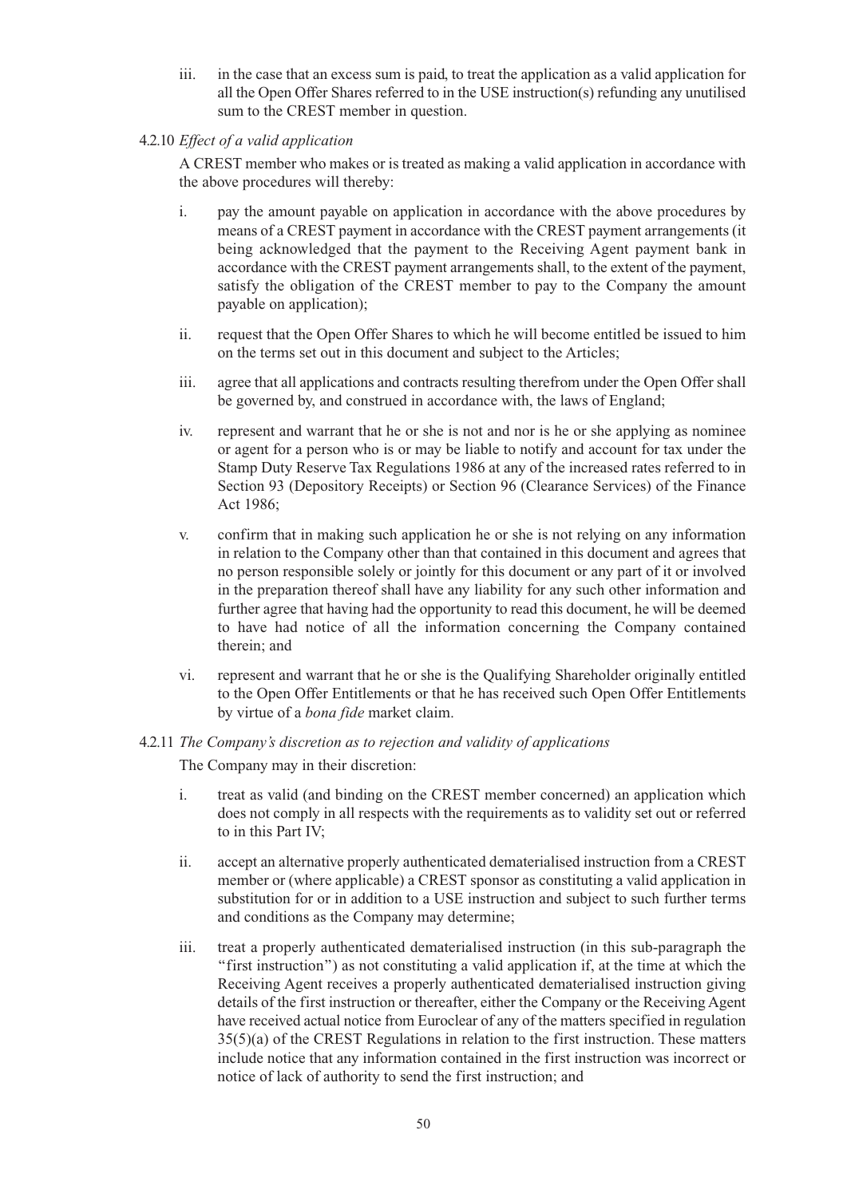- iii. in the case that an excess sum is paid, to treat the application as a valid application for all the Open Offer Shares referred to in the USE instruction(s) refunding any unutilised sum to the CREST member in question.
- 4.2.10 *Effect of a valid application*

A CREST member who makes or is treated as making a valid application in accordance with the above procedures will thereby:

- i. pay the amount payable on application in accordance with the above procedures by means of a CREST payment in accordance with the CREST payment arrangements (it being acknowledged that the payment to the Receiving Agent payment bank in accordance with the CREST payment arrangements shall, to the extent of the payment, satisfy the obligation of the CREST member to pay to the Company the amount payable on application);
- ii. request that the Open Offer Shares to which he will become entitled be issued to him on the terms set out in this document and subject to the Articles;
- iii. agree that all applications and contracts resulting therefrom under the Open Offer shall be governed by, and construed in accordance with, the laws of England;
- iv. represent and warrant that he or she is not and nor is he or she applying as nominee or agent for a person who is or may be liable to notify and account for tax under the Stamp Duty Reserve Tax Regulations 1986 at any of the increased rates referred to in Section 93 (Depository Receipts) or Section 96 (Clearance Services) of the Finance Act 1986;
- v. confirm that in making such application he or she is not relying on any information in relation to the Company other than that contained in this document and agrees that no person responsible solely or jointly for this document or any part of it or involved in the preparation thereof shall have any liability for any such other information and further agree that having had the opportunity to read this document, he will be deemed to have had notice of all the information concerning the Company contained therein; and
- vi. represent and warrant that he or she is the Qualifying Shareholder originally entitled to the Open Offer Entitlements or that he has received such Open Offer Entitlements by virtue of a *bona fide* market claim.

# 4.2.11 *The Company's discretion as to rejection and validity of applications*

The Company may in their discretion:

- i. treat as valid (and binding on the CREST member concerned) an application which does not comply in all respects with the requirements as to validity set out or referred to in this Part IV;
- ii. accept an alternative properly authenticated dematerialised instruction from a CREST member or (where applicable) a CREST sponsor as constituting a valid application in substitution for or in addition to a USE instruction and subject to such further terms and conditions as the Company may determine;
- iii. treat a properly authenticated dematerialised instruction (in this sub-paragraph the ''first instruction'') as not constituting a valid application if, at the time at which the Receiving Agent receives a properly authenticated dematerialised instruction giving details of the first instruction or thereafter, either the Company or the Receiving Agent have received actual notice from Euroclear of any of the matters specified in regulation 35(5)(a) of the CREST Regulations in relation to the first instruction. These matters include notice that any information contained in the first instruction was incorrect or notice of lack of authority to send the first instruction; and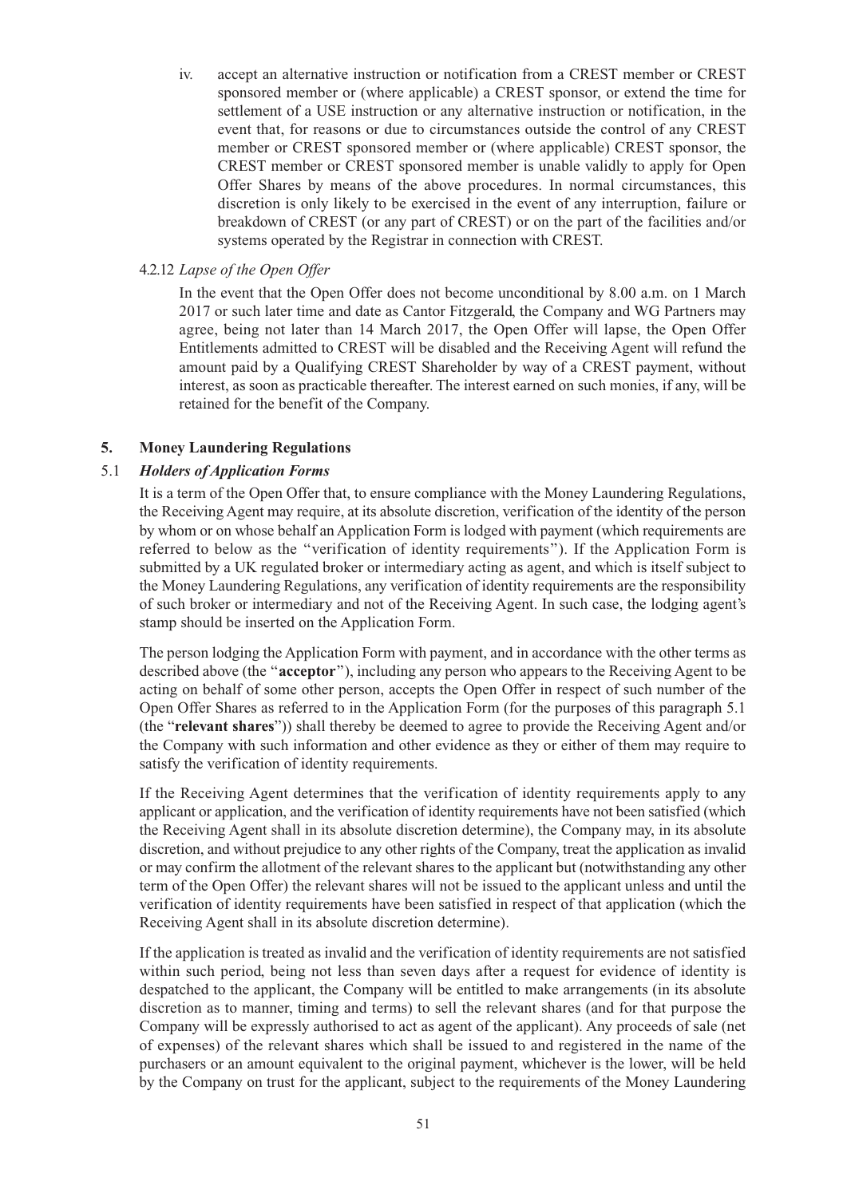iv. accept an alternative instruction or notification from a CREST member or CREST sponsored member or (where applicable) a CREST sponsor, or extend the time for settlement of a USE instruction or any alternative instruction or notification, in the event that, for reasons or due to circumstances outside the control of any CREST member or CREST sponsored member or (where applicable) CREST sponsor, the CREST member or CREST sponsored member is unable validly to apply for Open Offer Shares by means of the above procedures. In normal circumstances, this discretion is only likely to be exercised in the event of any interruption, failure or breakdown of CREST (or any part of CREST) or on the part of the facilities and/or systems operated by the Registrar in connection with CREST.

#### 4.2.12 *Lapse of the Open Offer*

In the event that the Open Offer does not become unconditional by 8.00 a.m. on 1 March 2017 or such later time and date as Cantor Fitzgerald, the Company and WG Partners may agree, being not later than 14 March 2017, the Open Offer will lapse, the Open Offer Entitlements admitted to CREST will be disabled and the Receiving Agent will refund the amount paid by a Qualifying CREST Shareholder by way of a CREST payment, without interest, as soon as practicable thereafter. The interest earned on such monies, if any, will be retained for the benefit of the Company.

#### **5. Money Laundering Regulations**

#### 5.1 *Holders of Application Forms*

It is a term of the Open Offer that, to ensure compliance with the Money Laundering Regulations, the Receiving Agent may require, at its absolute discretion, verification of the identity of the person by whom or on whose behalf an Application Form is lodged with payment (which requirements are referred to below as the ''verification of identity requirements''). If the Application Form is submitted by a UK regulated broker or intermediary acting as agent, and which is itself subject to the Money Laundering Regulations, any verification of identity requirements are the responsibility of such broker or intermediary and not of the Receiving Agent. In such case, the lodging agent's stamp should be inserted on the Application Form.

The person lodging the Application Form with payment, and in accordance with the other terms as described above (the ''**acceptor**''), including any person who appears to the Receiving Agent to be acting on behalf of some other person, accepts the Open Offer in respect of such number of the Open Offer Shares as referred to in the Application Form (for the purposes of this paragraph 5.1 (the "**relevant shares**")) shall thereby be deemed to agree to provide the Receiving Agent and/or the Company with such information and other evidence as they or either of them may require to satisfy the verification of identity requirements.

If the Receiving Agent determines that the verification of identity requirements apply to any applicant or application, and the verification of identity requirements have not been satisfied (which the Receiving Agent shall in its absolute discretion determine), the Company may, in its absolute discretion, and without prejudice to any other rights of the Company, treat the application as invalid or may confirm the allotment of the relevant shares to the applicant but (notwithstanding any other term of the Open Offer) the relevant shares will not be issued to the applicant unless and until the verification of identity requirements have been satisfied in respect of that application (which the Receiving Agent shall in its absolute discretion determine).

If the application is treated as invalid and the verification of identity requirements are not satisfied within such period, being not less than seven days after a request for evidence of identity is despatched to the applicant, the Company will be entitled to make arrangements (in its absolute discretion as to manner, timing and terms) to sell the relevant shares (and for that purpose the Company will be expressly authorised to act as agent of the applicant). Any proceeds of sale (net of expenses) of the relevant shares which shall be issued to and registered in the name of the purchasers or an amount equivalent to the original payment, whichever is the lower, will be held by the Company on trust for the applicant, subject to the requirements of the Money Laundering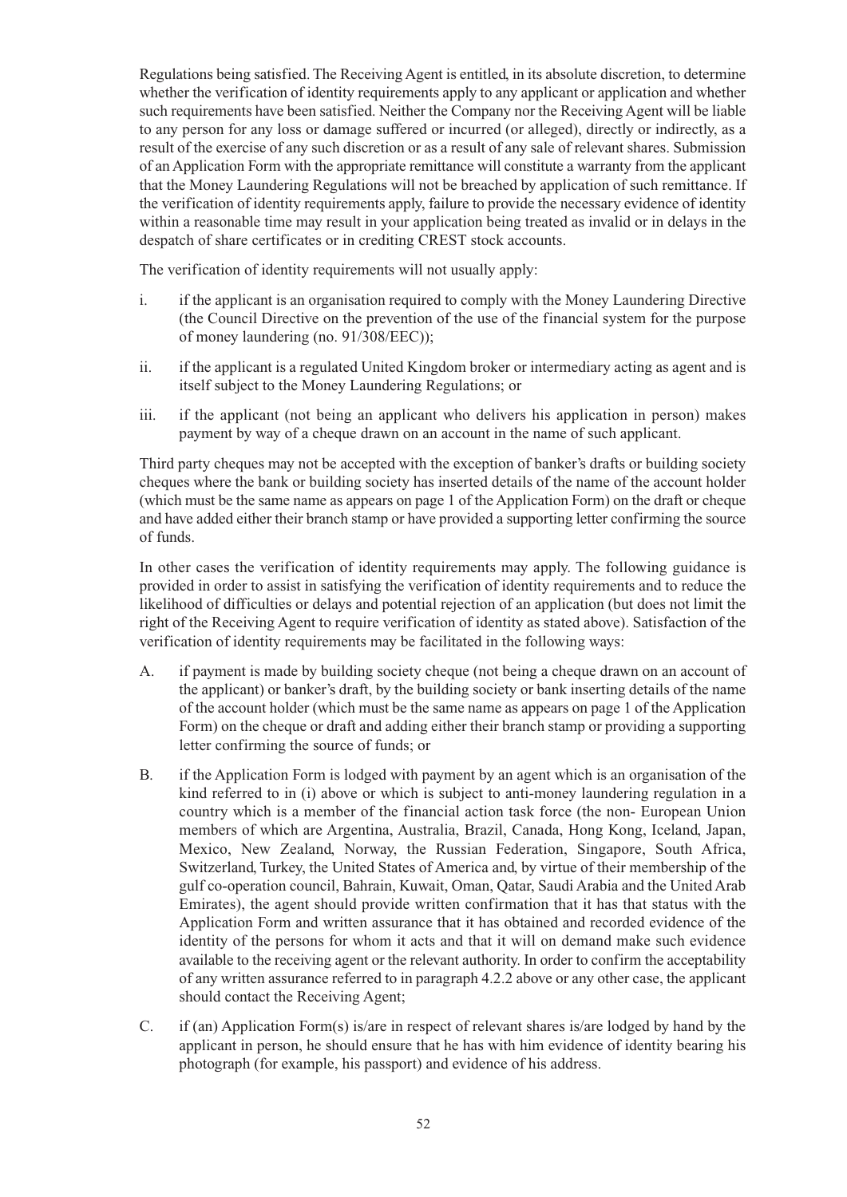Regulations being satisfied. The Receiving Agent is entitled, in its absolute discretion, to determine whether the verification of identity requirements apply to any applicant or application and whether such requirements have been satisfied. Neither the Company nor the Receiving Agent will be liable to any person for any loss or damage suffered or incurred (or alleged), directly or indirectly, as a result of the exercise of any such discretion or as a result of any sale of relevant shares. Submission of an Application Form with the appropriate remittance will constitute a warranty from the applicant that the Money Laundering Regulations will not be breached by application of such remittance. If the verification of identity requirements apply, failure to provide the necessary evidence of identity within a reasonable time may result in your application being treated as invalid or in delays in the despatch of share certificates or in crediting CREST stock accounts.

The verification of identity requirements will not usually apply:

- i. if the applicant is an organisation required to comply with the Money Laundering Directive (the Council Directive on the prevention of the use of the financial system for the purpose of money laundering (no. 91/308/EEC));
- ii. if the applicant is a regulated United Kingdom broker or intermediary acting as agent and is itself subject to the Money Laundering Regulations; or
- iii. if the applicant (not being an applicant who delivers his application in person) makes payment by way of a cheque drawn on an account in the name of such applicant.

Third party cheques may not be accepted with the exception of banker's drafts or building society cheques where the bank or building society has inserted details of the name of the account holder (which must be the same name as appears on page 1 of the Application Form) on the draft or cheque and have added either their branch stamp or have provided a supporting letter confirming the source of funds.

In other cases the verification of identity requirements may apply. The following guidance is provided in order to assist in satisfying the verification of identity requirements and to reduce the likelihood of difficulties or delays and potential rejection of an application (but does not limit the right of the Receiving Agent to require verification of identity as stated above). Satisfaction of the verification of identity requirements may be facilitated in the following ways:

- A. if payment is made by building society cheque (not being a cheque drawn on an account of the applicant) or banker's draft, by the building society or bank inserting details of the name of the account holder (which must be the same name as appears on page 1 of the Application Form) on the cheque or draft and adding either their branch stamp or providing a supporting letter confirming the source of funds; or
- B. if the Application Form is lodged with payment by an agent which is an organisation of the kind referred to in (i) above or which is subject to anti-money laundering regulation in a country which is a member of the financial action task force (the non- European Union members of which are Argentina, Australia, Brazil, Canada, Hong Kong, Iceland, Japan, Mexico, New Zealand, Norway, the Russian Federation, Singapore, South Africa, Switzerland, Turkey, the United States of America and, by virtue of their membership of the gulf co-operation council, Bahrain, Kuwait, Oman, Qatar, Saudi Arabia and the United Arab Emirates), the agent should provide written confirmation that it has that status with the Application Form and written assurance that it has obtained and recorded evidence of the identity of the persons for whom it acts and that it will on demand make such evidence available to the receiving agent or the relevant authority. In order to confirm the acceptability of any written assurance referred to in paragraph 4.2.2 above or any other case, the applicant should contact the Receiving Agent;
- C. if (an) Application Form(s) is/are in respect of relevant shares is/are lodged by hand by the applicant in person, he should ensure that he has with him evidence of identity bearing his photograph (for example, his passport) and evidence of his address.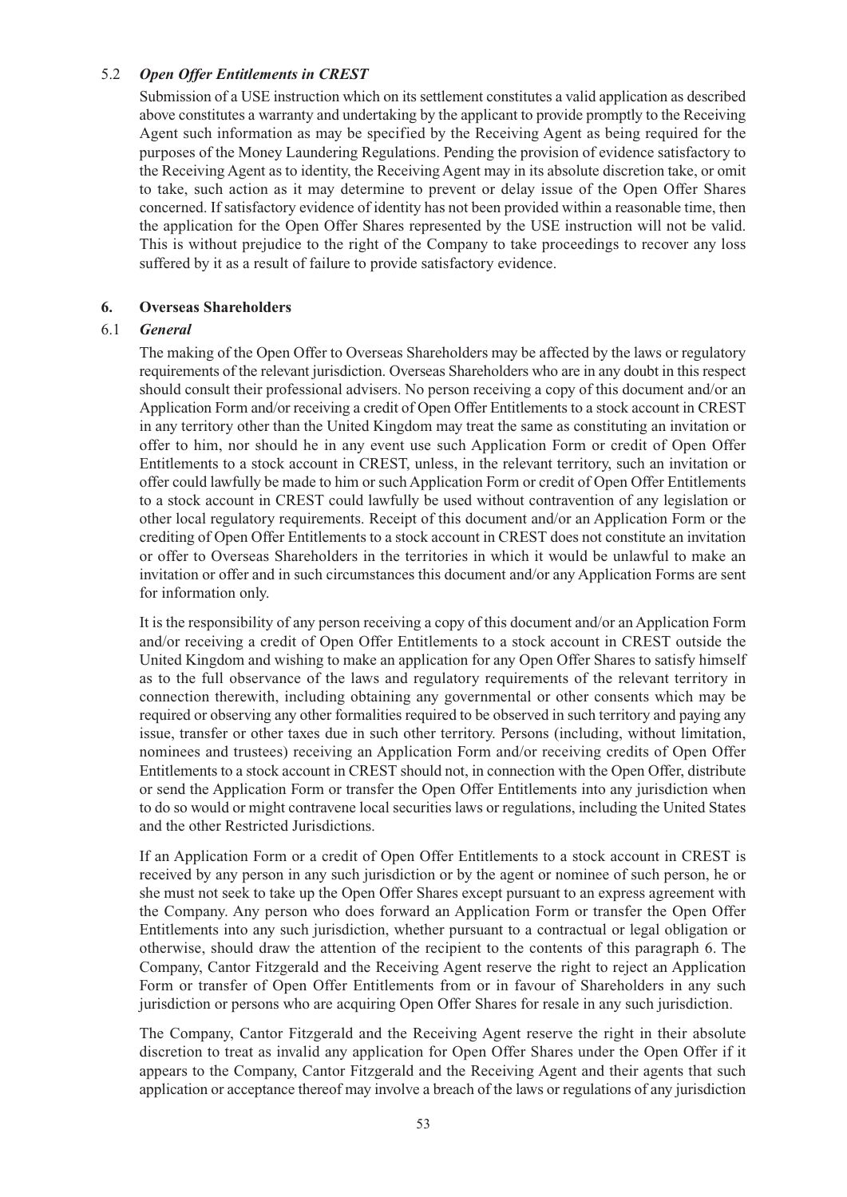#### 5.2 *Open Offer Entitlements in CREST*

Submission of a USE instruction which on its settlement constitutes a valid application as described above constitutes a warranty and undertaking by the applicant to provide promptly to the Receiving Agent such information as may be specified by the Receiving Agent as being required for the purposes of the Money Laundering Regulations. Pending the provision of evidence satisfactory to the Receiving Agent as to identity, the Receiving Agent may in its absolute discretion take, or omit to take, such action as it may determine to prevent or delay issue of the Open Offer Shares concerned. If satisfactory evidence of identity has not been provided within a reasonable time, then the application for the Open Offer Shares represented by the USE instruction will not be valid. This is without prejudice to the right of the Company to take proceedings to recover any loss suffered by it as a result of failure to provide satisfactory evidence.

#### **6. Overseas Shareholders**

#### 6.1 *General*

The making of the Open Offer to Overseas Shareholders may be affected by the laws or regulatory requirements of the relevant jurisdiction. Overseas Shareholders who are in any doubt in this respect should consult their professional advisers. No person receiving a copy of this document and/or an Application Form and/or receiving a credit of Open Offer Entitlements to a stock account in CREST in any territory other than the United Kingdom may treat the same as constituting an invitation or offer to him, nor should he in any event use such Application Form or credit of Open Offer Entitlements to a stock account in CREST, unless, in the relevant territory, such an invitation or offer could lawfully be made to him or such Application Form or credit of Open Offer Entitlements to a stock account in CREST could lawfully be used without contravention of any legislation or other local regulatory requirements. Receipt of this document and/or an Application Form or the crediting of Open Offer Entitlements to a stock account in CREST does not constitute an invitation or offer to Overseas Shareholders in the territories in which it would be unlawful to make an invitation or offer and in such circumstances this document and/or any Application Forms are sent for information only.

It is the responsibility of any person receiving a copy of this document and/or an Application Form and/or receiving a credit of Open Offer Entitlements to a stock account in CREST outside the United Kingdom and wishing to make an application for any Open Offer Shares to satisfy himself as to the full observance of the laws and regulatory requirements of the relevant territory in connection therewith, including obtaining any governmental or other consents which may be required or observing any other formalities required to be observed in such territory and paying any issue, transfer or other taxes due in such other territory. Persons (including, without limitation, nominees and trustees) receiving an Application Form and/or receiving credits of Open Offer Entitlements to a stock account in CREST should not, in connection with the Open Offer, distribute or send the Application Form or transfer the Open Offer Entitlements into any jurisdiction when to do so would or might contravene local securities laws or regulations, including the United States and the other Restricted Jurisdictions.

If an Application Form or a credit of Open Offer Entitlements to a stock account in CREST is received by any person in any such jurisdiction or by the agent or nominee of such person, he or she must not seek to take up the Open Offer Shares except pursuant to an express agreement with the Company. Any person who does forward an Application Form or transfer the Open Offer Entitlements into any such jurisdiction, whether pursuant to a contractual or legal obligation or otherwise, should draw the attention of the recipient to the contents of this paragraph 6. The Company, Cantor Fitzgerald and the Receiving Agent reserve the right to reject an Application Form or transfer of Open Offer Entitlements from or in favour of Shareholders in any such jurisdiction or persons who are acquiring Open Offer Shares for resale in any such jurisdiction.

The Company, Cantor Fitzgerald and the Receiving Agent reserve the right in their absolute discretion to treat as invalid any application for Open Offer Shares under the Open Offer if it appears to the Company, Cantor Fitzgerald and the Receiving Agent and their agents that such application or acceptance thereof may involve a breach of the laws or regulations of any jurisdiction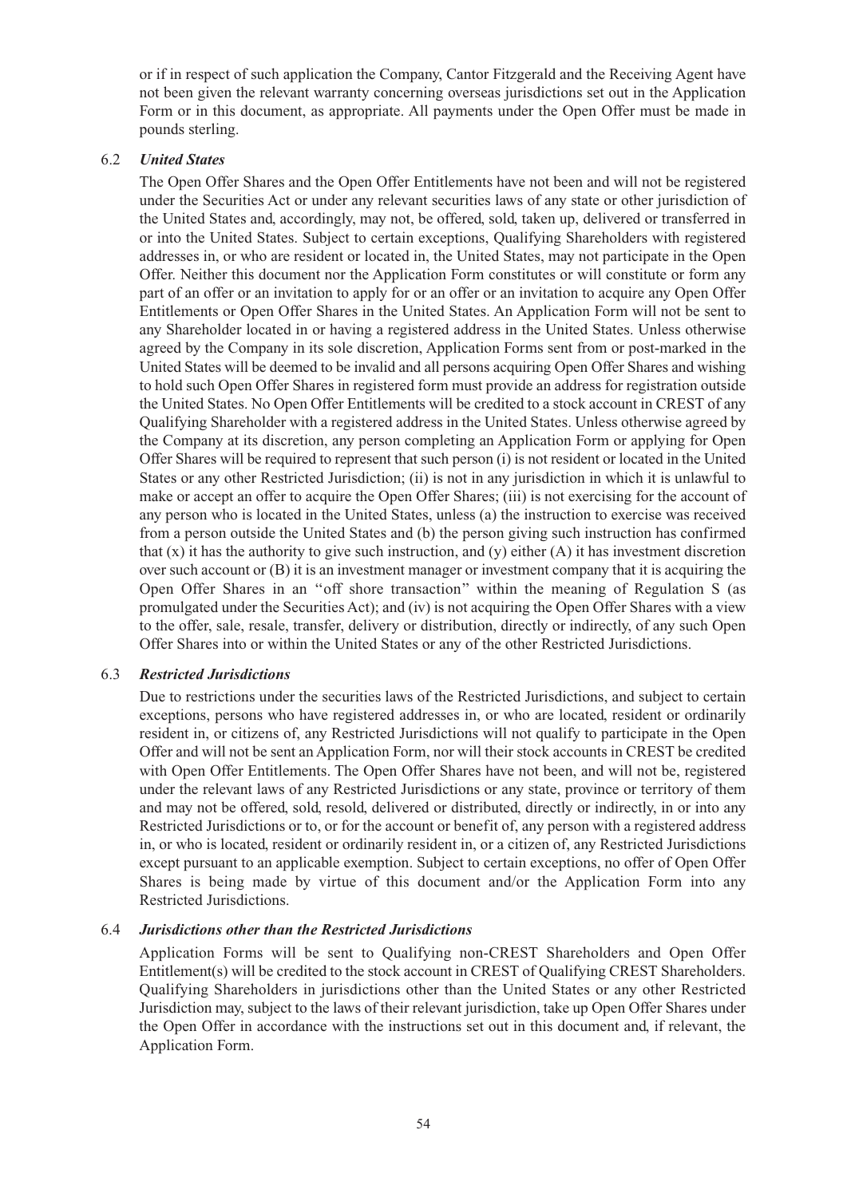or if in respect of such application the Company, Cantor Fitzgerald and the Receiving Agent have not been given the relevant warranty concerning overseas jurisdictions set out in the Application Form or in this document, as appropriate. All payments under the Open Offer must be made in pounds sterling.

#### 6.2 *United States*

The Open Offer Shares and the Open Offer Entitlements have not been and will not be registered under the Securities Act or under any relevant securities laws of any state or other jurisdiction of the United States and, accordingly, may not, be offered, sold, taken up, delivered or transferred in or into the United States. Subject to certain exceptions, Qualifying Shareholders with registered addresses in, or who are resident or located in, the United States, may not participate in the Open Offer. Neither this document nor the Application Form constitutes or will constitute or form any part of an offer or an invitation to apply for or an offer or an invitation to acquire any Open Offer Entitlements or Open Offer Shares in the United States. An Application Form will not be sent to any Shareholder located in or having a registered address in the United States. Unless otherwise agreed by the Company in its sole discretion, Application Forms sent from or post-marked in the United States will be deemed to be invalid and all persons acquiring Open Offer Shares and wishing to hold such Open Offer Shares in registered form must provide an address for registration outside the United States. No Open Offer Entitlements will be credited to a stock account in CREST of any Qualifying Shareholder with a registered address in the United States. Unless otherwise agreed by the Company at its discretion, any person completing an Application Form or applying for Open Offer Shares will be required to represent that such person (i) is not resident or located in the United States or any other Restricted Jurisdiction; (ii) is not in any jurisdiction in which it is unlawful to make or accept an offer to acquire the Open Offer Shares; (iii) is not exercising for the account of any person who is located in the United States, unless (a) the instruction to exercise was received from a person outside the United States and (b) the person giving such instruction has confirmed that  $(x)$  it has the authority to give such instruction, and  $(y)$  either  $(A)$  it has investment discretion over such account or (B) it is an investment manager or investment company that it is acquiring the Open Offer Shares in an ''off shore transaction'' within the meaning of Regulation S (as promulgated under the Securities Act); and (iv) is not acquiring the Open Offer Shares with a view to the offer, sale, resale, transfer, delivery or distribution, directly or indirectly, of any such Open Offer Shares into or within the United States or any of the other Restricted Jurisdictions.

#### 6.3 *Restricted Jurisdictions*

Due to restrictions under the securities laws of the Restricted Jurisdictions, and subject to certain exceptions, persons who have registered addresses in, or who are located, resident or ordinarily resident in, or citizens of, any Restricted Jurisdictions will not qualify to participate in the Open Offer and will not be sent an Application Form, nor will their stock accounts in CREST be credited with Open Offer Entitlements. The Open Offer Shares have not been, and will not be, registered under the relevant laws of any Restricted Jurisdictions or any state, province or territory of them and may not be offered, sold, resold, delivered or distributed, directly or indirectly, in or into any Restricted Jurisdictions or to, or for the account or benefit of, any person with a registered address in, or who is located, resident or ordinarily resident in, or a citizen of, any Restricted Jurisdictions except pursuant to an applicable exemption. Subject to certain exceptions, no offer of Open Offer Shares is being made by virtue of this document and/or the Application Form into any Restricted Jurisdictions.

## 6.4 *Jurisdictions other than the Restricted Jurisdictions*

Application Forms will be sent to Qualifying non-CREST Shareholders and Open Offer Entitlement(s) will be credited to the stock account in CREST of Qualifying CREST Shareholders. Qualifying Shareholders in jurisdictions other than the United States or any other Restricted Jurisdiction may, subject to the laws of their relevant jurisdiction, take up Open Offer Shares under the Open Offer in accordance with the instructions set out in this document and, if relevant, the Application Form.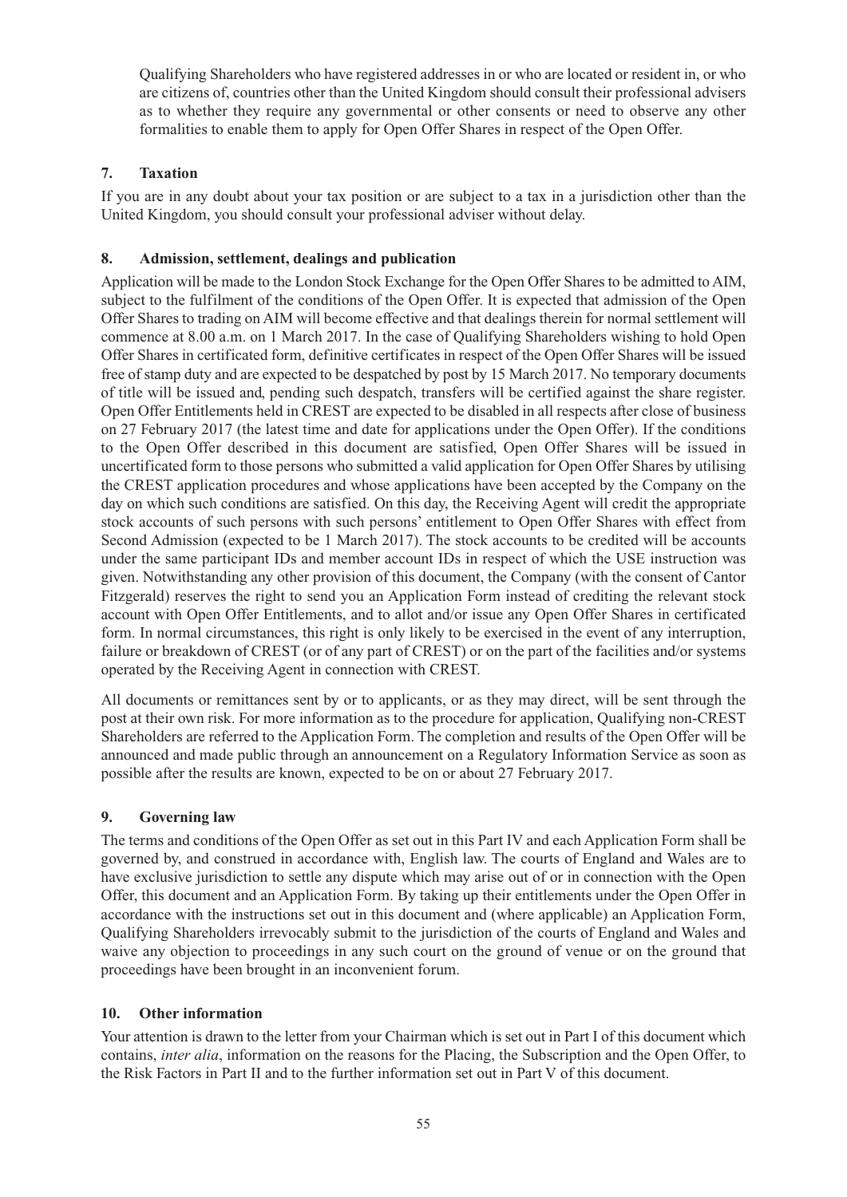Qualifying Shareholders who have registered addresses in or who are located or resident in, or who are citizens of, countries other than the United Kingdom should consult their professional advisers as to whether they require any governmental or other consents or need to observe any other formalities to enable them to apply for Open Offer Shares in respect of the Open Offer.

## **7. Taxation**

If you are in any doubt about your tax position or are subject to a tax in a jurisdiction other than the United Kingdom, you should consult your professional adviser without delay.

## **8. Admission, settlement, dealings and publication**

Application will be made to the London Stock Exchange for the Open Offer Shares to be admitted to AIM, subject to the fulfilment of the conditions of the Open Offer. It is expected that admission of the Open Offer Shares to trading on AIM will become effective and that dealings therein for normal settlement will commence at 8.00 a.m. on 1 March 2017. In the case of Qualifying Shareholders wishing to hold Open Offer Shares in certificated form, definitive certificates in respect of the Open Offer Shares will be issued free of stamp duty and are expected to be despatched by post by 15 March 2017. No temporary documents of title will be issued and, pending such despatch, transfers will be certified against the share register. Open Offer Entitlements held in CREST are expected to be disabled in all respects after close of business on 27 February 2017 (the latest time and date for applications under the Open Offer). If the conditions to the Open Offer described in this document are satisfied, Open Offer Shares will be issued in uncertificated form to those persons who submitted a valid application for Open Offer Shares by utilising the CREST application procedures and whose applications have been accepted by the Company on the day on which such conditions are satisfied. On this day, the Receiving Agent will credit the appropriate stock accounts of such persons with such persons' entitlement to Open Offer Shares with effect from Second Admission (expected to be 1 March 2017). The stock accounts to be credited will be accounts under the same participant IDs and member account IDs in respect of which the USE instruction was given. Notwithstanding any other provision of this document, the Company (with the consent of Cantor Fitzgerald) reserves the right to send you an Application Form instead of crediting the relevant stock account with Open Offer Entitlements, and to allot and/or issue any Open Offer Shares in certificated form. In normal circumstances, this right is only likely to be exercised in the event of any interruption, failure or breakdown of CREST (or of any part of CREST) or on the part of the facilities and/or systems operated by the Receiving Agent in connection with CREST.

All documents or remittances sent by or to applicants, or as they may direct, will be sent through the post at their own risk. For more information as to the procedure for application, Qualifying non-CREST Shareholders are referred to the Application Form. The completion and results of the Open Offer will be announced and made public through an announcement on a Regulatory Information Service as soon as possible after the results are known, expected to be on or about 27 February 2017.

## **9. Governing law**

The terms and conditions of the Open Offer as set out in this Part IV and each Application Form shall be governed by, and construed in accordance with, English law. The courts of England and Wales are to have exclusive jurisdiction to settle any dispute which may arise out of or in connection with the Open Offer, this document and an Application Form. By taking up their entitlements under the Open Offer in accordance with the instructions set out in this document and (where applicable) an Application Form, Qualifying Shareholders irrevocably submit to the jurisdiction of the courts of England and Wales and waive any objection to proceedings in any such court on the ground of venue or on the ground that proceedings have been brought in an inconvenient forum.

## **10. Other information**

Your attention is drawn to the letter from your Chairman which is set out in Part I of this document which contains, *inter alia*, information on the reasons for the Placing, the Subscription and the Open Offer, to the Risk Factors in Part II and to the further information set out in Part V of this document.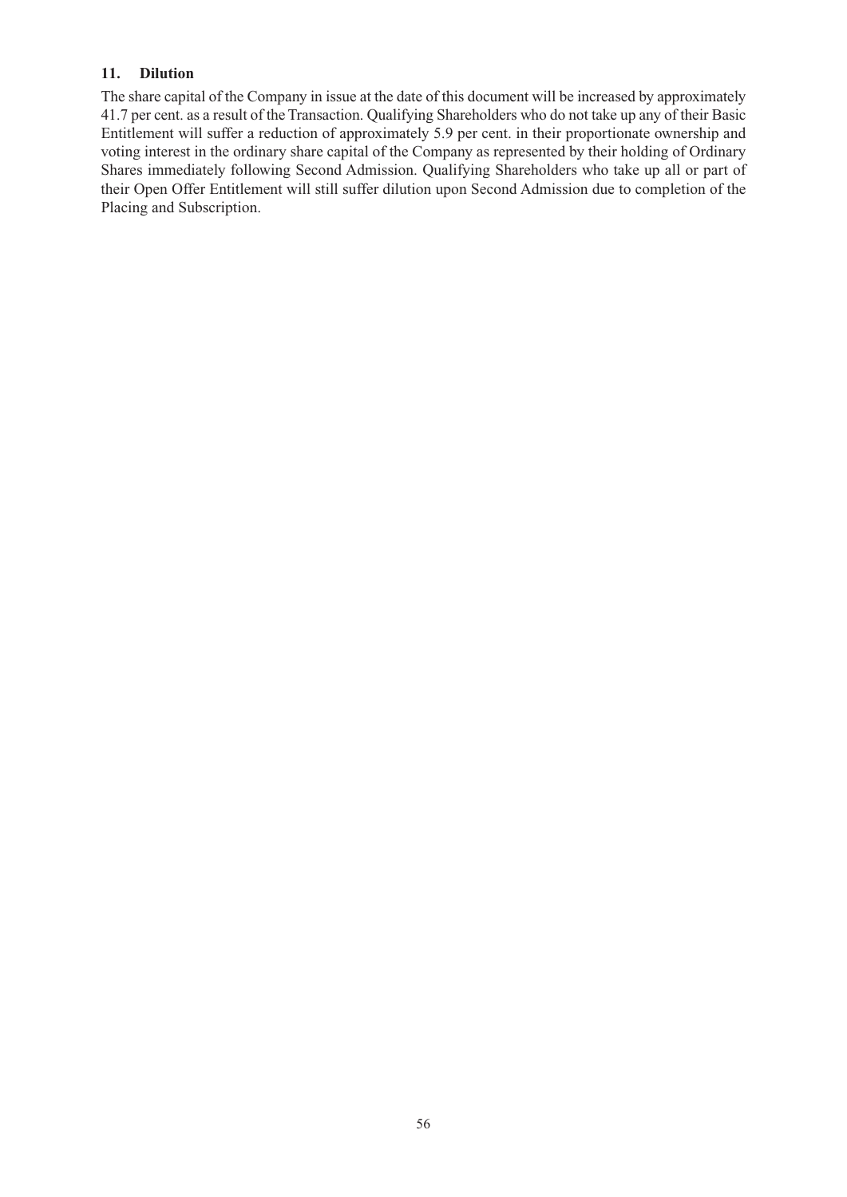## **11. Dilution**

The share capital of the Company in issue at the date of this document will be increased by approximately 41.7 per cent. as a result of the Transaction. Qualifying Shareholders who do not take up any of their Basic Entitlement will suffer a reduction of approximately 5.9 per cent. in their proportionate ownership and voting interest in the ordinary share capital of the Company as represented by their holding of Ordinary Shares immediately following Second Admission. Qualifying Shareholders who take up all or part of their Open Offer Entitlement will still suffer dilution upon Second Admission due to completion of the Placing and Subscription.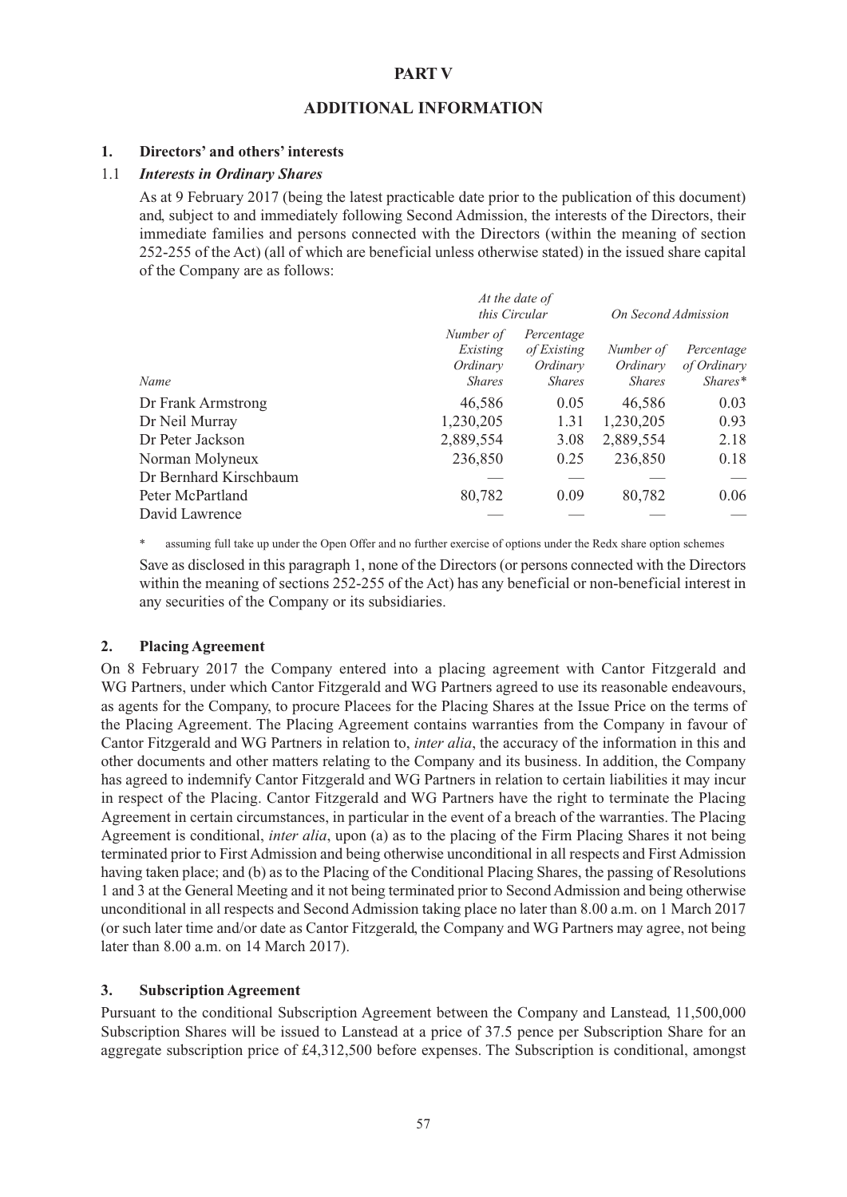## **PART V**

#### **ADDITIONAL INFORMATION**

#### **1. Directors' and others' interests**

#### 1.1 *Interests in Ordinary Shares*

As at 9 February 2017 (being the latest practicable date prior to the publication of this document) and, subject to and immediately following Second Admission, the interests of the Directors, their immediate families and persons connected with the Directors (within the meaning of section 252-255 of the Act) (all of which are beneficial unless otherwise stated) in the issued share capital of the Company are as follows:

|                        | At the date of<br>this Circular                    |                                                        | On Second Admission                    |                                        |
|------------------------|----------------------------------------------------|--------------------------------------------------------|----------------------------------------|----------------------------------------|
| Name                   | Number of<br>Existing<br>Ordinary<br><b>Shares</b> | Percentage<br>of Existing<br>Ordinary<br><b>Shares</b> | Number of<br>Ordinary<br><b>Shares</b> | Percentage<br>of Ordinary<br>$Shares*$ |
| Dr Frank Armstrong     | 46,586                                             | 0.05                                                   | 46,586                                 | 0.03                                   |
| Dr Neil Murray         | 1,230,205                                          | 1.31                                                   | 1,230,205                              | 0.93                                   |
| Dr Peter Jackson       | 2,889,554                                          | 3.08                                                   | 2,889,554                              | 2.18                                   |
| Norman Molyneux        | 236,850                                            | 0.25                                                   | 236,850                                | 0.18                                   |
| Dr Bernhard Kirschbaum |                                                    |                                                        |                                        |                                        |
| Peter McPartland       | 80,782                                             | 0.09                                                   | 80,782                                 | 0.06                                   |
| David Lawrence         |                                                    |                                                        |                                        |                                        |

assuming full take up under the Open Offer and no further exercise of options under the Redx share option schemes

Save as disclosed in this paragraph 1, none of the Directors (or persons connected with the Directors within the meaning of sections 252-255 of the Act) has any beneficial or non-beneficial interest in any securities of the Company or its subsidiaries.

#### **2. Placing Agreement**

On 8 February 2017 the Company entered into a placing agreement with Cantor Fitzgerald and WG Partners, under which Cantor Fitzgerald and WG Partners agreed to use its reasonable endeavours, as agents for the Company, to procure Placees for the Placing Shares at the Issue Price on the terms of the Placing Agreement. The Placing Agreement contains warranties from the Company in favour of Cantor Fitzgerald and WG Partners in relation to, *inter alia*, the accuracy of the information in this and other documents and other matters relating to the Company and its business. In addition, the Company has agreed to indemnify Cantor Fitzgerald and WG Partners in relation to certain liabilities it may incur in respect of the Placing. Cantor Fitzgerald and WG Partners have the right to terminate the Placing Agreement in certain circumstances, in particular in the event of a breach of the warranties. The Placing Agreement is conditional, *inter alia*, upon (a) as to the placing of the Firm Placing Shares it not being terminated prior to First Admission and being otherwise unconditional in all respects and First Admission having taken place; and (b) as to the Placing of the Conditional Placing Shares, the passing of Resolutions 1 and 3 at the General Meeting and it not being terminated prior to Second Admission and being otherwise unconditional in all respects and Second Admission taking place no later than 8.00 a.m. on 1 March 2017 (or such later time and/or date as Cantor Fitzgerald, the Company and WG Partners may agree, not being later than 8.00 a.m. on 14 March 2017).

#### **3. Subscription Agreement**

Pursuant to the conditional Subscription Agreement between the Company and Lanstead, 11,500,000 Subscription Shares will be issued to Lanstead at a price of 37.5 pence per Subscription Share for an aggregate subscription price of £4,312,500 before expenses. The Subscription is conditional, amongst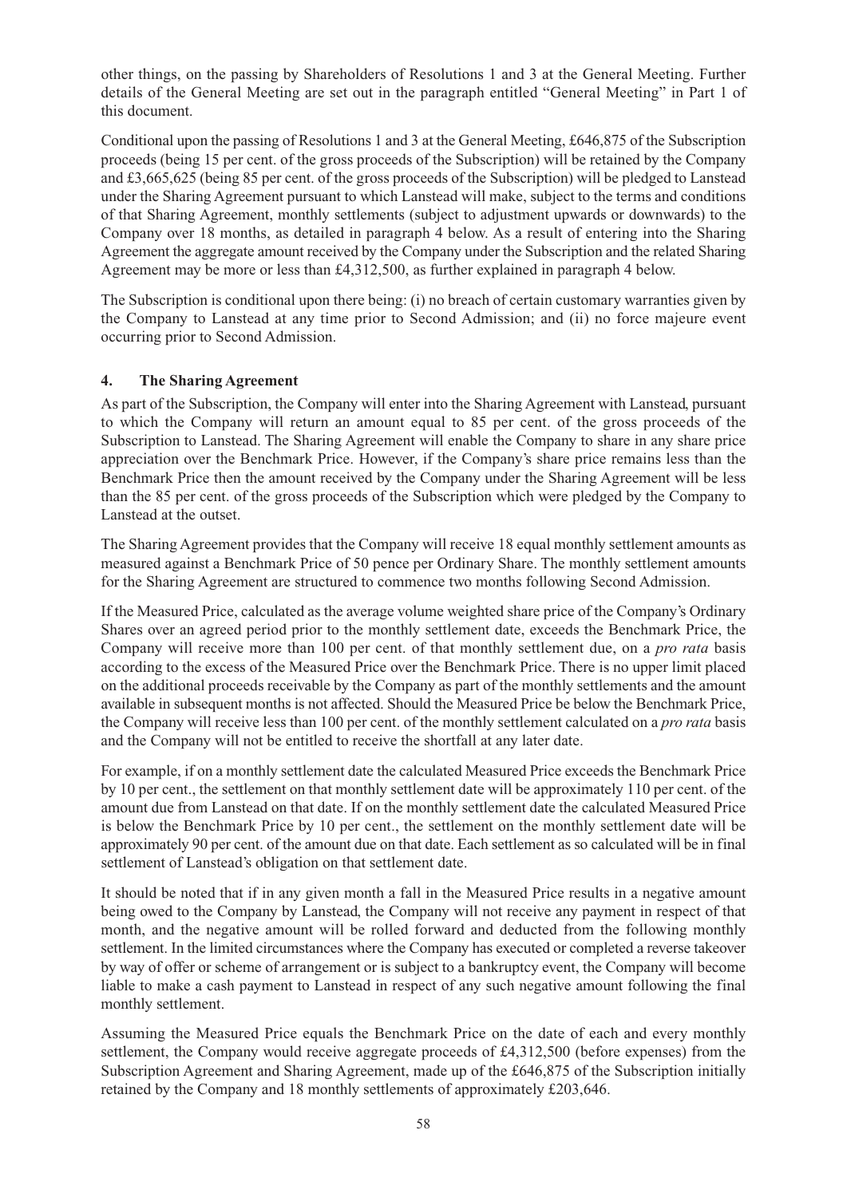other things, on the passing by Shareholders of Resolutions 1 and 3 at the General Meeting. Further details of the General Meeting are set out in the paragraph entitled "General Meeting" in Part 1 of this document.

Conditional upon the passing of Resolutions 1 and 3 at the General Meeting, £646,875 of the Subscription proceeds (being 15 per cent. of the gross proceeds of the Subscription) will be retained by the Company and £3,665,625 (being 85 per cent. of the gross proceeds of the Subscription) will be pledged to Lanstead under the Sharing Agreement pursuant to which Lanstead will make, subject to the terms and conditions of that Sharing Agreement, monthly settlements (subject to adjustment upwards or downwards) to the Company over 18 months, as detailed in paragraph 4 below. As a result of entering into the Sharing Agreement the aggregate amount received by the Company under the Subscription and the related Sharing Agreement may be more or less than £4,312,500, as further explained in paragraph 4 below.

The Subscription is conditional upon there being: (i) no breach of certain customary warranties given by the Company to Lanstead at any time prior to Second Admission; and (ii) no force majeure event occurring prior to Second Admission.

## **4. The Sharing Agreement**

As part of the Subscription, the Company will enter into the Sharing Agreement with Lanstead, pursuant to which the Company will return an amount equal to 85 per cent. of the gross proceeds of the Subscription to Lanstead. The Sharing Agreement will enable the Company to share in any share price appreciation over the Benchmark Price. However, if the Company's share price remains less than the Benchmark Price then the amount received by the Company under the Sharing Agreement will be less than the 85 per cent. of the gross proceeds of the Subscription which were pledged by the Company to Lanstead at the outset.

The Sharing Agreement provides that the Company will receive 18 equal monthly settlement amounts as measured against a Benchmark Price of 50 pence per Ordinary Share. The monthly settlement amounts for the Sharing Agreement are structured to commence two months following Second Admission.

If the Measured Price, calculated as the average volume weighted share price of the Company's Ordinary Shares over an agreed period prior to the monthly settlement date, exceeds the Benchmark Price, the Company will receive more than 100 per cent. of that monthly settlement due, on a *pro rata* basis according to the excess of the Measured Price over the Benchmark Price. There is no upper limit placed on the additional proceeds receivable by the Company as part of the monthly settlements and the amount available in subsequent months is not affected. Should the Measured Price be below the Benchmark Price, the Company will receive less than 100 per cent. of the monthly settlement calculated on a *pro rata* basis and the Company will not be entitled to receive the shortfall at any later date.

For example, if on a monthly settlement date the calculated Measured Price exceeds the Benchmark Price by 10 per cent., the settlement on that monthly settlement date will be approximately 110 per cent. of the amount due from Lanstead on that date. If on the monthly settlement date the calculated Measured Price is below the Benchmark Price by 10 per cent., the settlement on the monthly settlement date will be approximately 90 per cent. of the amount due on that date. Each settlement as so calculated will be in final settlement of Lanstead's obligation on that settlement date.

It should be noted that if in any given month a fall in the Measured Price results in a negative amount being owed to the Company by Lanstead, the Company will not receive any payment in respect of that month, and the negative amount will be rolled forward and deducted from the following monthly settlement. In the limited circumstances where the Company has executed or completed a reverse takeover by way of offer or scheme of arrangement or is subject to a bankruptcy event, the Company will become liable to make a cash payment to Lanstead in respect of any such negative amount following the final monthly settlement.

Assuming the Measured Price equals the Benchmark Price on the date of each and every monthly settlement, the Company would receive aggregate proceeds of £4,312,500 (before expenses) from the Subscription Agreement and Sharing Agreement, made up of the £646,875 of the Subscription initially retained by the Company and 18 monthly settlements of approximately £203,646.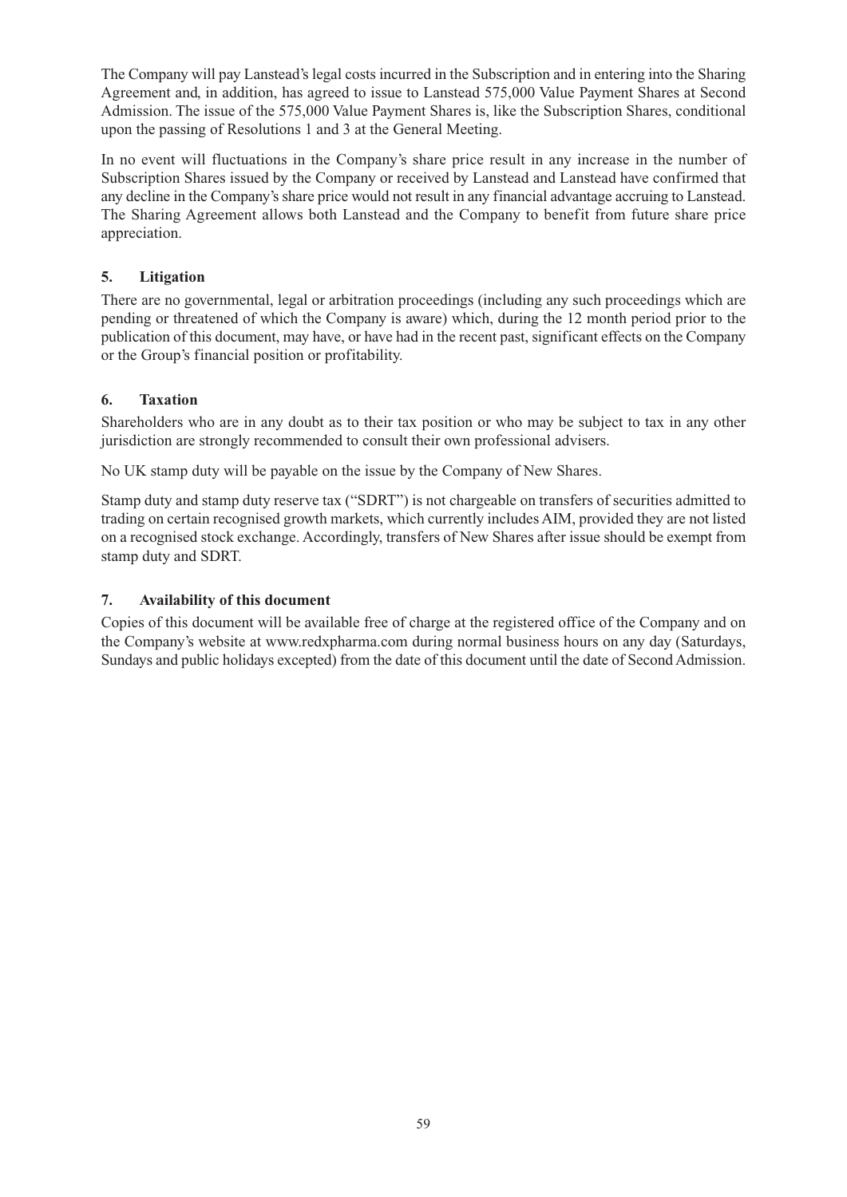The Company will pay Lanstead's legal costs incurred in the Subscription and in entering into the Sharing Agreement and, in addition, has agreed to issue to Lanstead 575,000 Value Payment Shares at Second Admission. The issue of the 575,000 Value Payment Shares is, like the Subscription Shares, conditional upon the passing of Resolutions 1 and 3 at the General Meeting.

In no event will fluctuations in the Company's share price result in any increase in the number of Subscription Shares issued by the Company or received by Lanstead and Lanstead have confirmed that any decline in the Company's share price would not result in any financial advantage accruing to Lanstead. The Sharing Agreement allows both Lanstead and the Company to benefit from future share price appreciation.

## **5. Litigation**

There are no governmental, legal or arbitration proceedings (including any such proceedings which are pending or threatened of which the Company is aware) which, during the 12 month period prior to the publication of this document, may have, or have had in the recent past, significant effects on the Company or the Group's financial position or profitability.

## **6. Taxation**

Shareholders who are in any doubt as to their tax position or who may be subject to tax in any other jurisdiction are strongly recommended to consult their own professional advisers.

No UK stamp duty will be payable on the issue by the Company of New Shares.

Stamp duty and stamp duty reserve tax ("SDRT") is not chargeable on transfers of securities admitted to trading on certain recognised growth markets, which currently includes AIM, provided they are not listed on a recognised stock exchange. Accordingly, transfers of New Shares after issue should be exempt from stamp duty and SDRT.

## **7. Availability of this document**

Copies of this document will be available free of charge at the registered office of the Company and on the Company's website at www.redxpharma.com during normal business hours on any day (Saturdays, Sundays and public holidays excepted) from the date of this document until the date of Second Admission.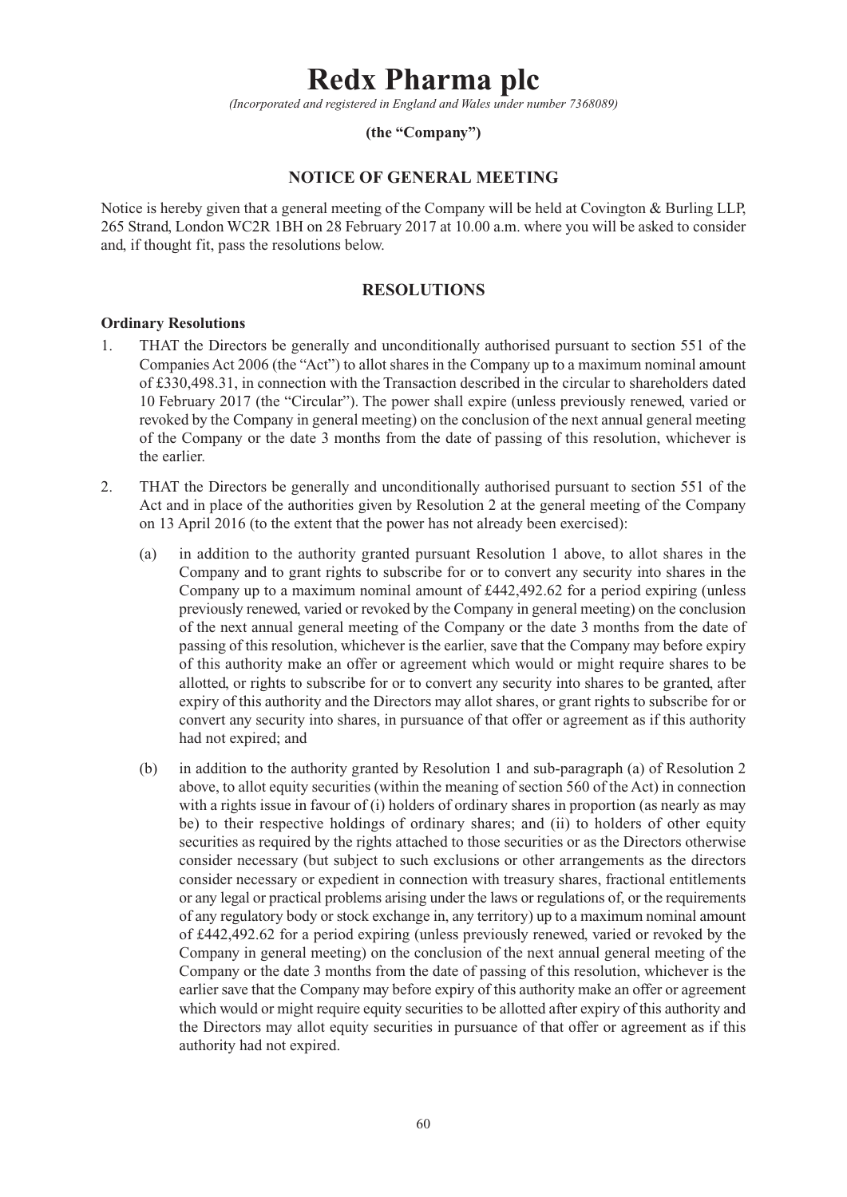# **Redx Pharma plc**

*(Incorporated and registered in England and Wales under number 7368089)*

#### **(the "Company")**

## **NOTICE OF GENERAL MEETING**

Notice is hereby given that a general meeting of the Company will be held at Covington & Burling LLP, 265 Strand, London WC2R 1BH on 28 February 2017 at 10.00 a.m. where you will be asked to consider and, if thought fit, pass the resolutions below.

## **RESOLUTIONS**

#### **Ordinary Resolutions**

- 1. THAT the Directors be generally and unconditionally authorised pursuant to section 551 of the Companies Act 2006 (the "Act") to allot shares in the Company up to a maximum nominal amount of £330,498.31, in connection with the Transaction described in the circular to shareholders dated 10 February 2017 (the "Circular"). The power shall expire (unless previously renewed, varied or revoked by the Company in general meeting) on the conclusion of the next annual general meeting of the Company or the date 3 months from the date of passing of this resolution, whichever is the earlier.
- 2. THAT the Directors be generally and unconditionally authorised pursuant to section 551 of the Act and in place of the authorities given by Resolution 2 at the general meeting of the Company on 13 April 2016 (to the extent that the power has not already been exercised):
	- (a) in addition to the authority granted pursuant Resolution 1 above, to allot shares in the Company and to grant rights to subscribe for or to convert any security into shares in the Company up to a maximum nominal amount of £442,492.62 for a period expiring (unless previously renewed, varied or revoked by the Company in general meeting) on the conclusion of the next annual general meeting of the Company or the date 3 months from the date of passing of this resolution, whichever is the earlier, save that the Company may before expiry of this authority make an offer or agreement which would or might require shares to be allotted, or rights to subscribe for or to convert any security into shares to be granted, after expiry of this authority and the Directors may allot shares, or grant rights to subscribe for or convert any security into shares, in pursuance of that offer or agreement as if this authority had not expired; and
	- (b) in addition to the authority granted by Resolution 1 and sub-paragraph (a) of Resolution 2 above, to allot equity securities (within the meaning of section 560 of the Act) in connection with a rights issue in favour of (i) holders of ordinary shares in proportion (as nearly as may be) to their respective holdings of ordinary shares; and (ii) to holders of other equity securities as required by the rights attached to those securities or as the Directors otherwise consider necessary (but subject to such exclusions or other arrangements as the directors consider necessary or expedient in connection with treasury shares, fractional entitlements or any legal or practical problems arising under the laws or regulations of, or the requirements of any regulatory body or stock exchange in, any territory) up to a maximum nominal amount of £442,492.62 for a period expiring (unless previously renewed, varied or revoked by the Company in general meeting) on the conclusion of the next annual general meeting of the Company or the date 3 months from the date of passing of this resolution, whichever is the earlier save that the Company may before expiry of this authority make an offer or agreement which would or might require equity securities to be allotted after expiry of this authority and the Directors may allot equity securities in pursuance of that offer or agreement as if this authority had not expired.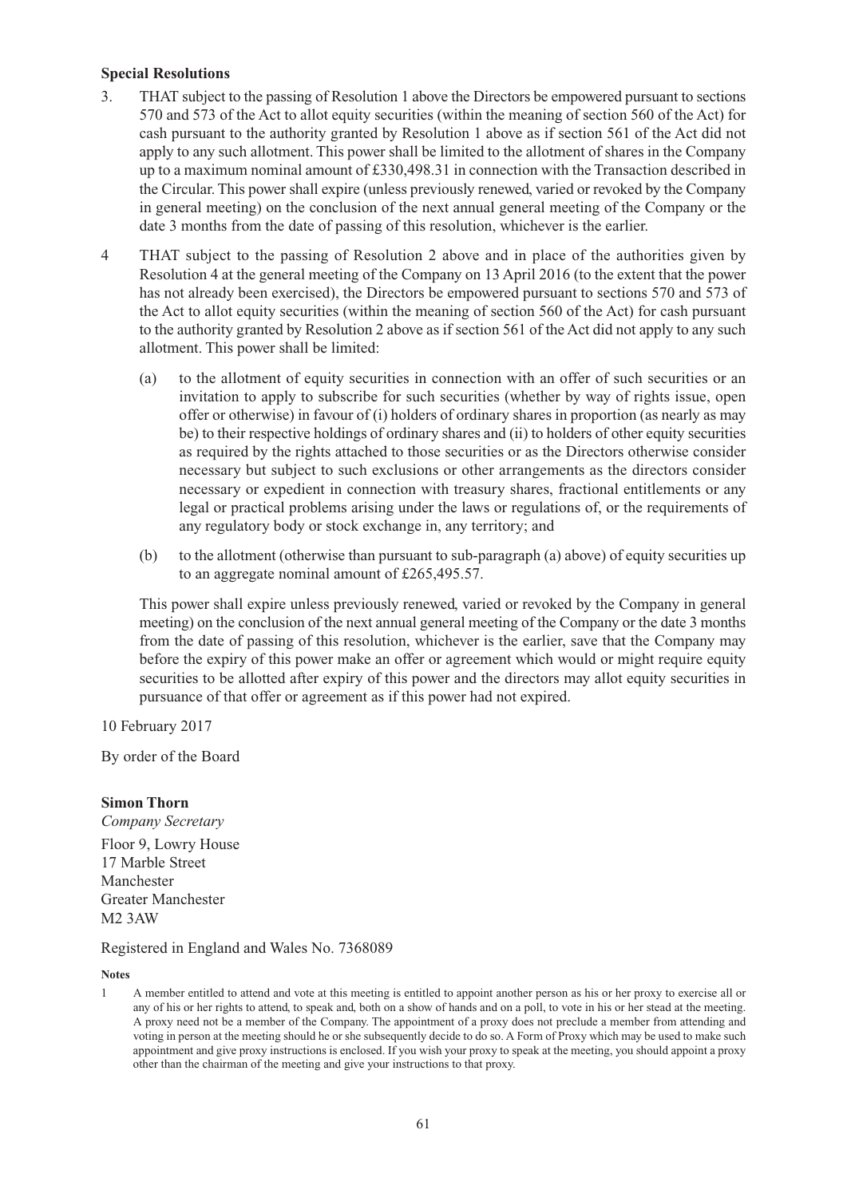#### **Special Resolutions**

- 3. THAT subject to the passing of Resolution 1 above the Directors be empowered pursuant to sections 570 and 573 of the Act to allot equity securities (within the meaning of section 560 of the Act) for cash pursuant to the authority granted by Resolution 1 above as if section 561 of the Act did not apply to any such allotment. This power shall be limited to the allotment of shares in the Company up to a maximum nominal amount of £330,498.31 in connection with the Transaction described in the Circular. This power shall expire (unless previously renewed, varied or revoked by the Company in general meeting) on the conclusion of the next annual general meeting of the Company or the date 3 months from the date of passing of this resolution, whichever is the earlier.
- 4 THAT subject to the passing of Resolution 2 above and in place of the authorities given by Resolution 4 at the general meeting of the Company on 13 April 2016 (to the extent that the power has not already been exercised), the Directors be empowered pursuant to sections 570 and 573 of the Act to allot equity securities (within the meaning of section 560 of the Act) for cash pursuant to the authority granted by Resolution 2 above as if section 561 of the Act did not apply to any such allotment. This power shall be limited:
	- (a) to the allotment of equity securities in connection with an offer of such securities or an invitation to apply to subscribe for such securities (whether by way of rights issue, open offer or otherwise) in favour of (i) holders of ordinary shares in proportion (as nearly as may be) to their respective holdings of ordinary shares and (ii) to holders of other equity securities as required by the rights attached to those securities or as the Directors otherwise consider necessary but subject to such exclusions or other arrangements as the directors consider necessary or expedient in connection with treasury shares, fractional entitlements or any legal or practical problems arising under the laws or regulations of, or the requirements of any regulatory body or stock exchange in, any territory; and
	- (b) to the allotment (otherwise than pursuant to sub-paragraph (a) above) of equity securities up to an aggregate nominal amount of £265,495.57.

This power shall expire unless previously renewed, varied or revoked by the Company in general meeting) on the conclusion of the next annual general meeting of the Company or the date 3 months from the date of passing of this resolution, whichever is the earlier, save that the Company may before the expiry of this power make an offer or agreement which would or might require equity securities to be allotted after expiry of this power and the directors may allot equity securities in pursuance of that offer or agreement as if this power had not expired.

10 February 2017

By order of the Board

#### **Simon Thorn**

*Company Secretary* Floor 9, Lowry House 17 Marble Street Manchester Greater Manchester M2 3AW

Registered in England and Wales No. 7368089

**Notes**

<sup>1</sup> A member entitled to attend and vote at this meeting is entitled to appoint another person as his or her proxy to exercise all or any of his or her rights to attend, to speak and, both on a show of hands and on a poll, to vote in his or her stead at the meeting. A proxy need not be a member of the Company. The appointment of a proxy does not preclude a member from attending and voting in person at the meeting should he or she subsequently decide to do so. A Form of Proxy which may be used to make such appointment and give proxy instructions is enclosed. If you wish your proxy to speak at the meeting, you should appoint a proxy other than the chairman of the meeting and give your instructions to that proxy.